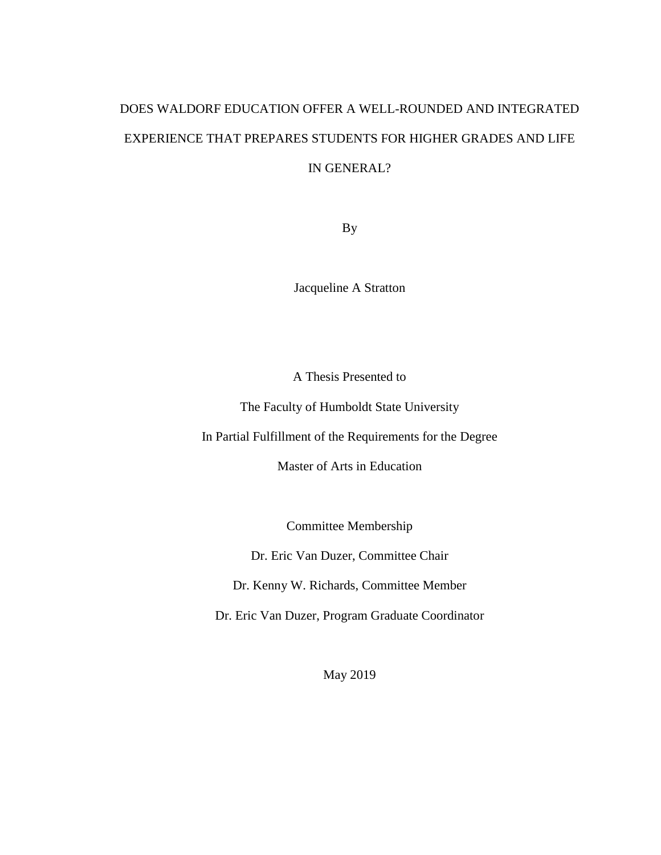# DOES WALDORF EDUCATION OFFER A WELL-ROUNDED AND INTEGRATED EXPERIENCE THAT PREPARES STUDENTS FOR HIGHER GRADES AND LIFE IN GENERAL?

By

Jacqueline A Stratton

A Thesis Presented to

The Faculty of Humboldt State University

In Partial Fulfillment of the Requirements for the Degree

Master of Arts in Education

Committee Membership

Dr. Eric Van Duzer, Committee Chair

Dr. Kenny W. Richards, Committee Member

Dr. Eric Van Duzer, Program Graduate Coordinator

May 2019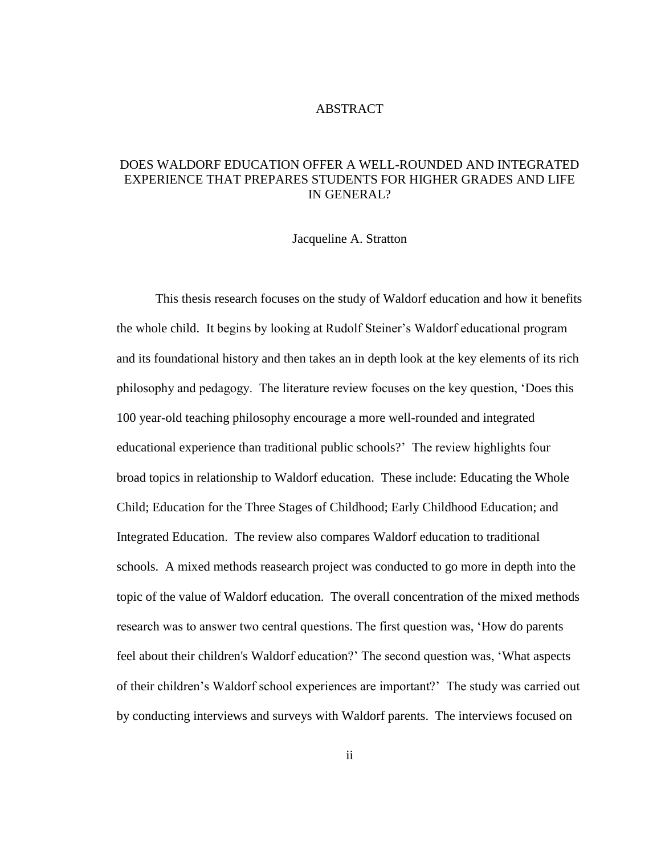#### ABSTRACT

## DOES WALDORF EDUCATION OFFER A WELL-ROUNDED AND INTEGRATED EXPERIENCE THAT PREPARES STUDENTS FOR HIGHER GRADES AND LIFE IN GENERAL?

#### Jacqueline A. Stratton

This thesis research focuses on the study of Waldorf education and how it benefits the whole child. It begins by looking at Rudolf Steiner's Waldorf educational program and its foundational history and then takes an in depth look at the key elements of its rich philosophy and pedagogy. The literature review focuses on the key question, 'Does this 100 year-old teaching philosophy encourage a more well-rounded and integrated educational experience than traditional public schools?' The review highlights four broad topics in relationship to Waldorf education. These include: Educating the Whole Child; Education for the Three Stages of Childhood; Early Childhood Education; and Integrated Education. The review also compares Waldorf education to traditional schools. A mixed methods reasearch project was conducted to go more in depth into the topic of the value of Waldorf education. The overall concentration of the mixed methods research was to answer two central questions. The first question was, 'How do parents feel about their children's Waldorf education?' The second question was, 'What aspects of their children's Waldorf school experiences are important?' The study was carried out by conducting interviews and surveys with Waldorf parents. The interviews focused on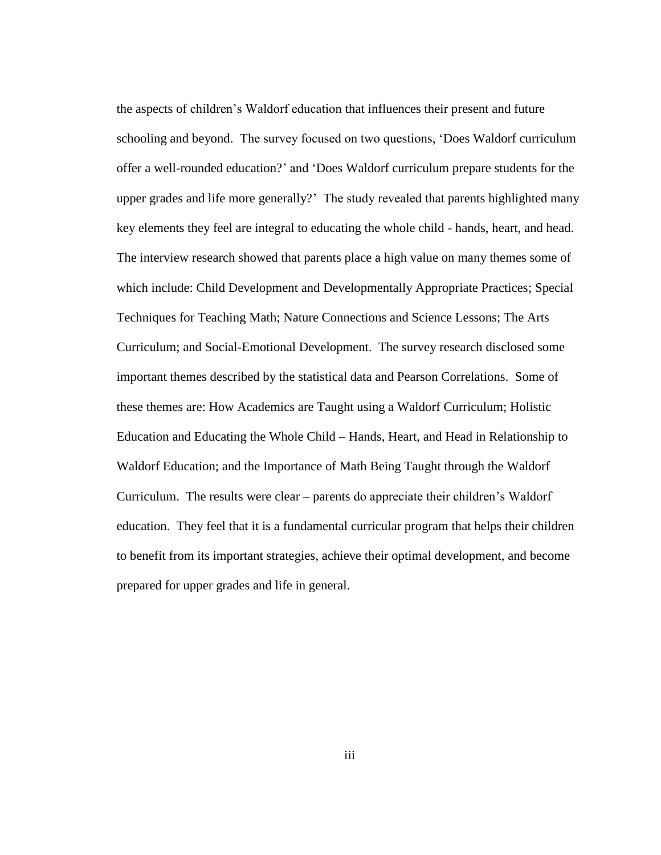the aspects of children's Waldorf education that influences their present and future schooling and beyond. The survey focused on two questions, 'Does Waldorf curriculum offer a well-rounded education?' and 'Does Waldorf curriculum prepare students for the upper grades and life more generally?' The study revealed that parents highlighted many key elements they feel are integral to educating the whole child - hands, heart, and head. The interview research showed that parents place a high value on many themes some of which include: Child Development and Developmentally Appropriate Practices; Special Techniques for Teaching Math; Nature Connections and Science Lessons; The Arts Curriculum; and Social-Emotional Development. The survey research disclosed some important themes described by the statistical data and Pearson Correlations. Some of these themes are: How Academics are Taught using a Waldorf Curriculum; Holistic Education and Educating the Whole Child – Hands, Heart, and Head in Relationship to Waldorf Education; and the Importance of Math Being Taught through the Waldorf Curriculum. The results were clear – parents do appreciate their children's Waldorf education. They feel that it is a fundamental curricular program that helps their children to benefit from its important strategies, achieve their optimal development, and become prepared for upper grades and life in general.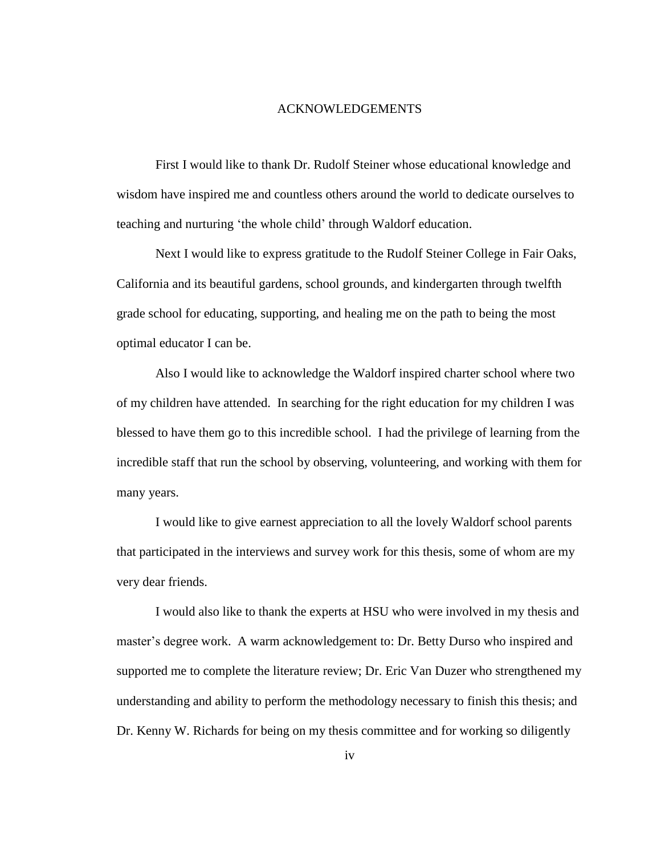#### ACKNOWLEDGEMENTS

First I would like to thank Dr. Rudolf Steiner whose educational knowledge and wisdom have inspired me and countless others around the world to dedicate ourselves to teaching and nurturing 'the whole child' through Waldorf education.

Next I would like to express gratitude to the Rudolf Steiner College in Fair Oaks, California and its beautiful gardens, school grounds, and kindergarten through twelfth grade school for educating, supporting, and healing me on the path to being the most optimal educator I can be.

Also I would like to acknowledge the Waldorf inspired charter school where two of my children have attended. In searching for the right education for my children I was blessed to have them go to this incredible school. I had the privilege of learning from the incredible staff that run the school by observing, volunteering, and working with them for many years.

I would like to give earnest appreciation to all the lovely Waldorf school parents that participated in the interviews and survey work for this thesis, some of whom are my very dear friends.

I would also like to thank the experts at HSU who were involved in my thesis and master's degree work. A warm acknowledgement to: Dr. Betty Durso who inspired and supported me to complete the literature review; Dr. Eric Van Duzer who strengthened my understanding and ability to perform the methodology necessary to finish this thesis; and Dr. Kenny W. Richards for being on my thesis committee and for working so diligently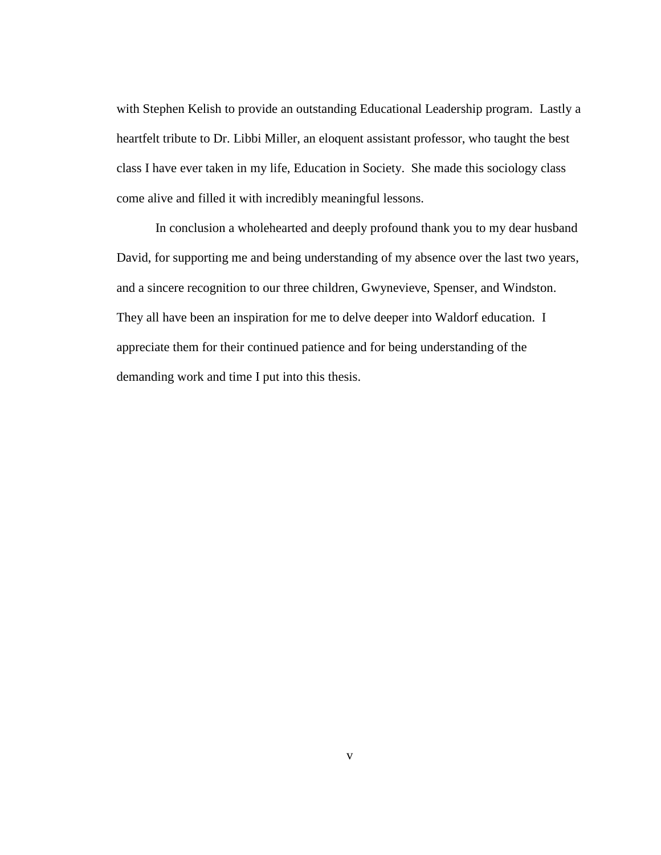with Stephen Kelish to provide an outstanding Educational Leadership program. Lastly a heartfelt tribute to Dr. Libbi Miller, an eloquent assistant professor, who taught the best class I have ever taken in my life, Education in Society. She made this sociology class come alive and filled it with incredibly meaningful lessons.

In conclusion a wholehearted and deeply profound thank you to my dear husband David, for supporting me and being understanding of my absence over the last two years, and a sincere recognition to our three children, Gwynevieve, Spenser, and Windston. They all have been an inspiration for me to delve deeper into Waldorf education. I appreciate them for their continued patience and for being understanding of the demanding work and time I put into this thesis.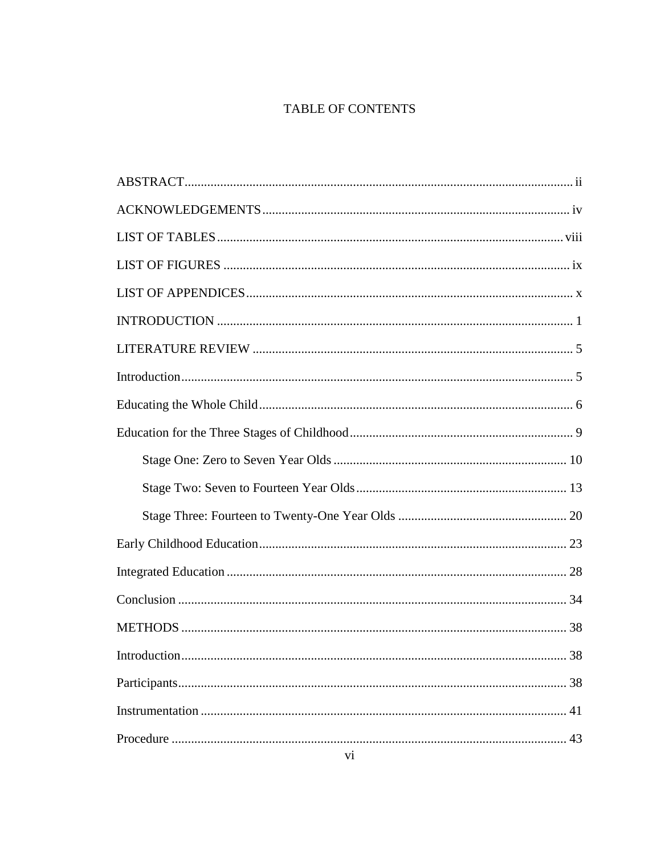# TABLE OF CONTENTS

| 38 |
|----|
|    |
| 43 |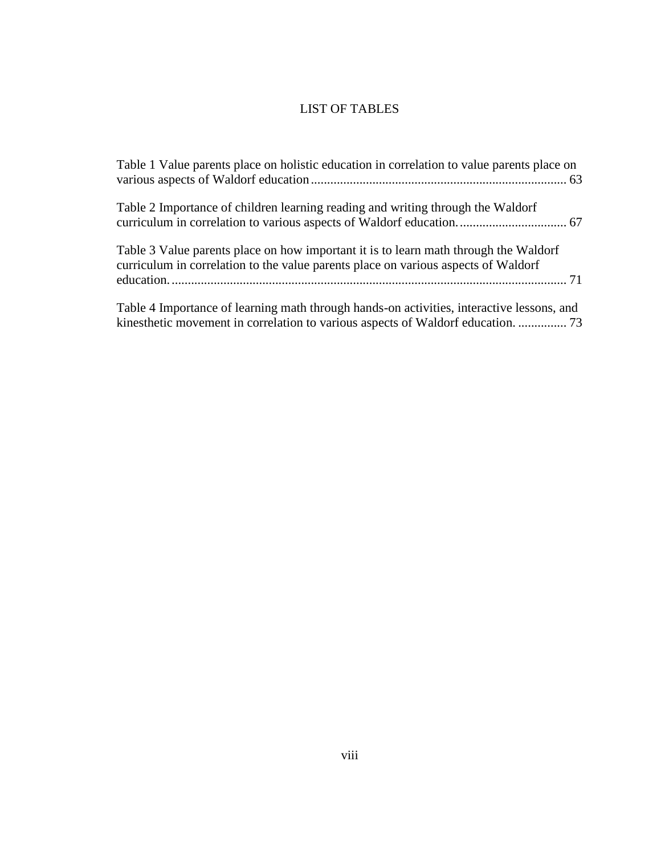## LIST OF TABLES

| Table 1 Value parents place on holistic education in correlation to value parents place on                                                                                    |
|-------------------------------------------------------------------------------------------------------------------------------------------------------------------------------|
| Table 2 Importance of children learning reading and writing through the Waldorf                                                                                               |
| Table 3 Value parents place on how important it is to learn math through the Waldorf<br>curriculum in correlation to the value parents place on various aspects of Waldorf    |
| Table 4 Importance of learning math through hands-on activities, interactive lessons, and<br>kinesthetic movement in correlation to various aspects of Waldorf education.  73 |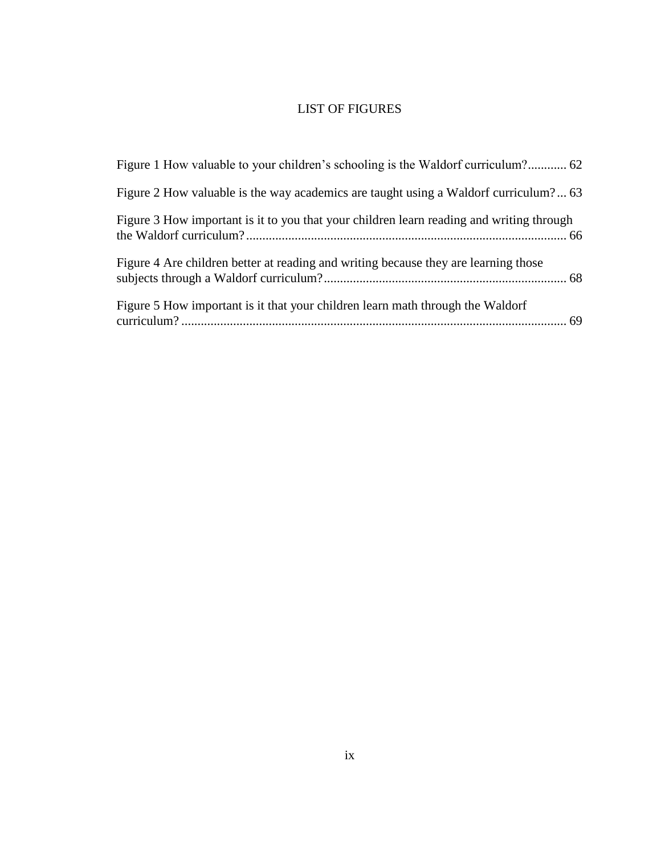# LIST OF FIGURES

| Figure 1 How valuable to your children's schooling is the Waldorf curriculum? 62         |  |
|------------------------------------------------------------------------------------------|--|
| Figure 2 How valuable is the way academics are taught using a Waldorf curriculum? 63     |  |
| Figure 3 How important is it to you that your children learn reading and writing through |  |
| Figure 4 Are children better at reading and writing because they are learning those      |  |
| Figure 5 How important is it that your children learn math through the Waldorf           |  |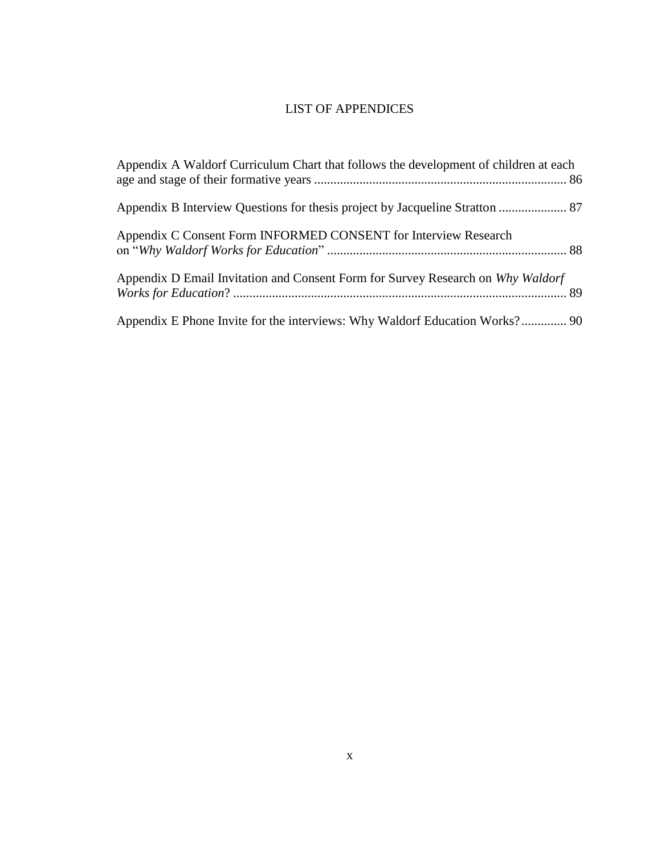# LIST OF APPENDICES

| Appendix A Waldorf Curriculum Chart that follows the development of children at each |  |
|--------------------------------------------------------------------------------------|--|
| Appendix B Interview Questions for thesis project by Jacqueline Stratton  87         |  |
| Appendix C Consent Form INFORMED CONSENT for Interview Research                      |  |
| Appendix D Email Invitation and Consent Form for Survey Research on Why Waldorf      |  |
|                                                                                      |  |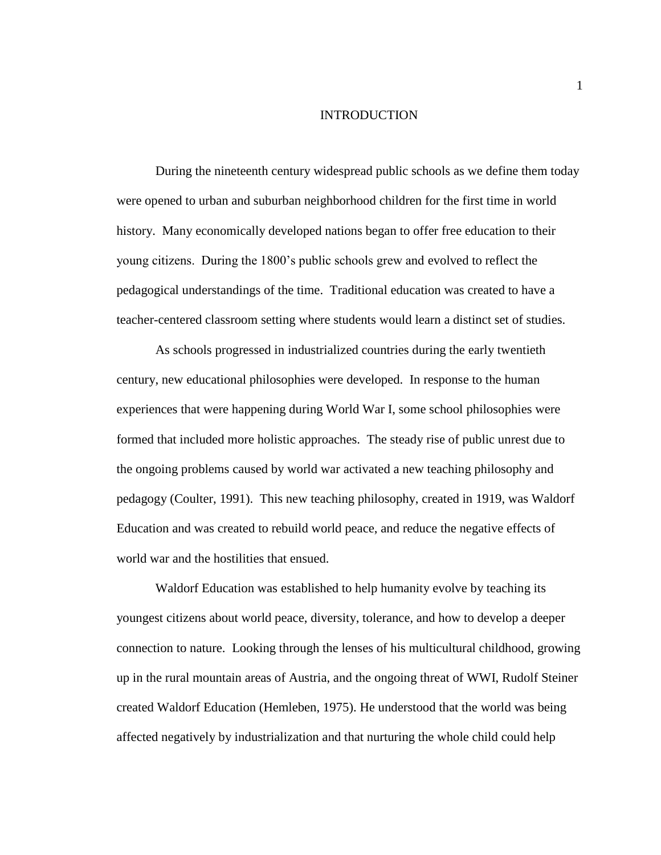#### INTRODUCTION

During the nineteenth century widespread public schools as we define them today were opened to urban and suburban neighborhood children for the first time in world history. Many economically developed nations began to offer free education to their young citizens. During the 1800's public schools grew and evolved to reflect the pedagogical understandings of the time. Traditional education was created to have a teacher-centered classroom setting where students would learn a distinct set of studies.

As schools progressed in industrialized countries during the early twentieth century, new educational philosophies were developed. In response to the human experiences that were happening during World War I, some school philosophies were formed that included more holistic approaches. The steady rise of public unrest due to the ongoing problems caused by world war activated a new teaching philosophy and pedagogy (Coulter, 1991). This new teaching philosophy, created in 1919, was Waldorf Education and was created to rebuild world peace, and reduce the negative effects of world war and the hostilities that ensued.

Waldorf Education was established to help humanity evolve by teaching its youngest citizens about world peace, diversity, tolerance, and how to develop a deeper connection to nature. Looking through the lenses of his multicultural childhood, growing up in the rural mountain areas of Austria, and the ongoing threat of WWI, Rudolf Steiner created Waldorf Education (Hemleben, 1975). He understood that the world was being affected negatively by industrialization and that nurturing the whole child could help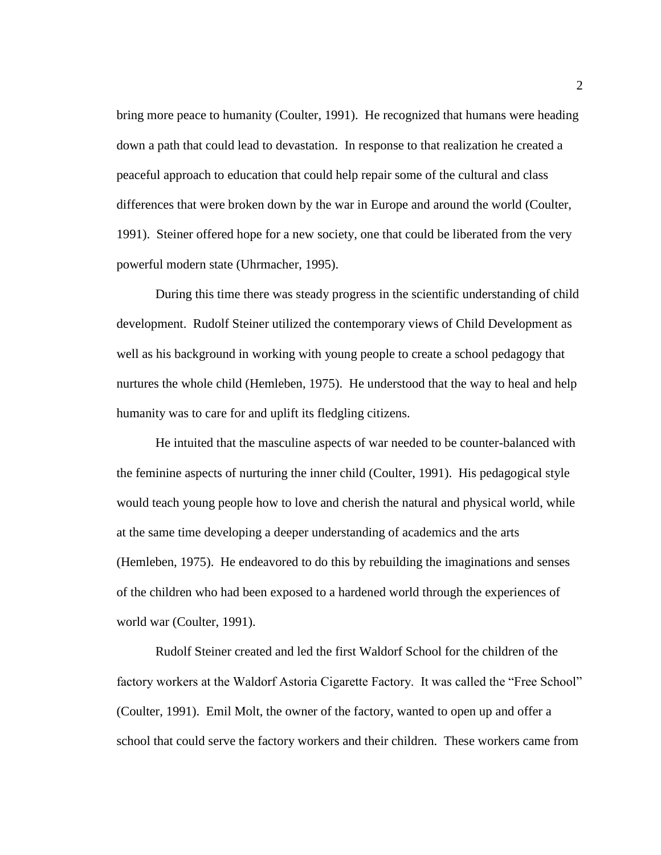bring more peace to humanity (Coulter, 1991). He recognized that humans were heading down a path that could lead to devastation. In response to that realization he created a peaceful approach to education that could help repair some of the cultural and class differences that were broken down by the war in Europe and around the world (Coulter, 1991). Steiner offered hope for a new society, one that could be liberated from the very powerful modern state (Uhrmacher, 1995).

During this time there was steady progress in the scientific understanding of child development. Rudolf Steiner utilized the contemporary views of Child Development as well as his background in working with young people to create a school pedagogy that nurtures the whole child (Hemleben, 1975). He understood that the way to heal and help humanity was to care for and uplift its fledgling citizens.

He intuited that the masculine aspects of war needed to be counter-balanced with the feminine aspects of nurturing the inner child (Coulter, 1991). His pedagogical style would teach young people how to love and cherish the natural and physical world, while at the same time developing a deeper understanding of academics and the arts (Hemleben, 1975). He endeavored to do this by rebuilding the imaginations and senses of the children who had been exposed to a hardened world through the experiences of world war (Coulter, 1991).

Rudolf Steiner created and led the first Waldorf School for the children of the factory workers at the Waldorf Astoria Cigarette Factory. It was called the "Free School" (Coulter, 1991). Emil Molt, the owner of the factory, wanted to open up and offer a school that could serve the factory workers and their children. These workers came from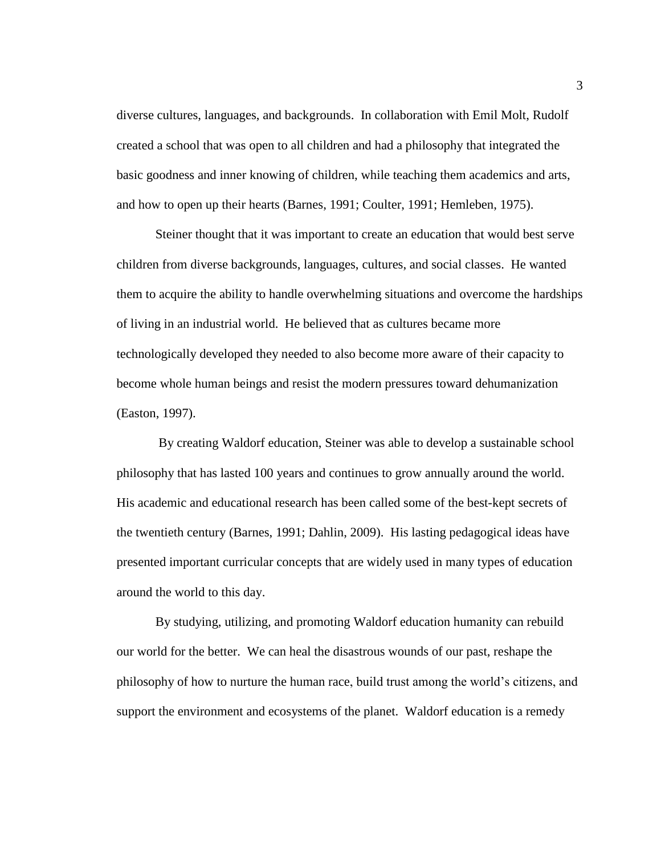diverse cultures, languages, and backgrounds. In collaboration with Emil Molt, Rudolf created a school that was open to all children and had a philosophy that integrated the basic goodness and inner knowing of children, while teaching them academics and arts, and how to open up their hearts (Barnes, 1991; Coulter, 1991; Hemleben, 1975).

Steiner thought that it was important to create an education that would best serve children from diverse backgrounds, languages, cultures, and social classes. He wanted them to acquire the ability to handle overwhelming situations and overcome the hardships of living in an industrial world. He believed that as cultures became more technologically developed they needed to also become more aware of their capacity to become whole human beings and resist the modern pressures toward dehumanization (Easton, 1997).

By creating Waldorf education, Steiner was able to develop a sustainable school philosophy that has lasted 100 years and continues to grow annually around the world. His academic and educational research has been called some of the best-kept secrets of the twentieth century (Barnes, 1991; Dahlin, 2009). His lasting pedagogical ideas have presented important curricular concepts that are widely used in many types of education around the world to this day.

By studying, utilizing, and promoting Waldorf education humanity can rebuild our world for the better. We can heal the disastrous wounds of our past, reshape the philosophy of how to nurture the human race, build trust among the world's citizens, and support the environment and ecosystems of the planet. Waldorf education is a remedy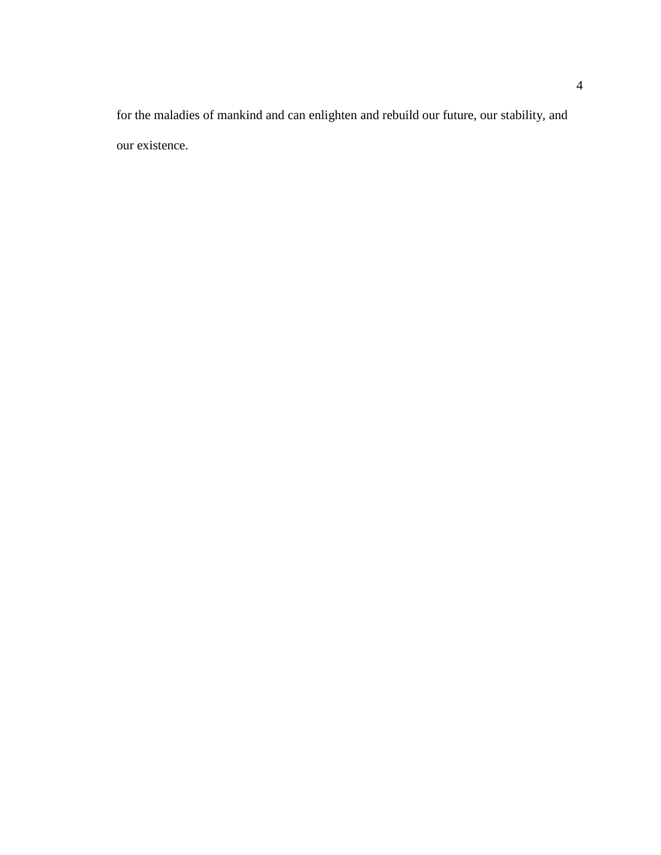for the maladies of mankind and can enlighten and rebuild our future, our stability, and our existence.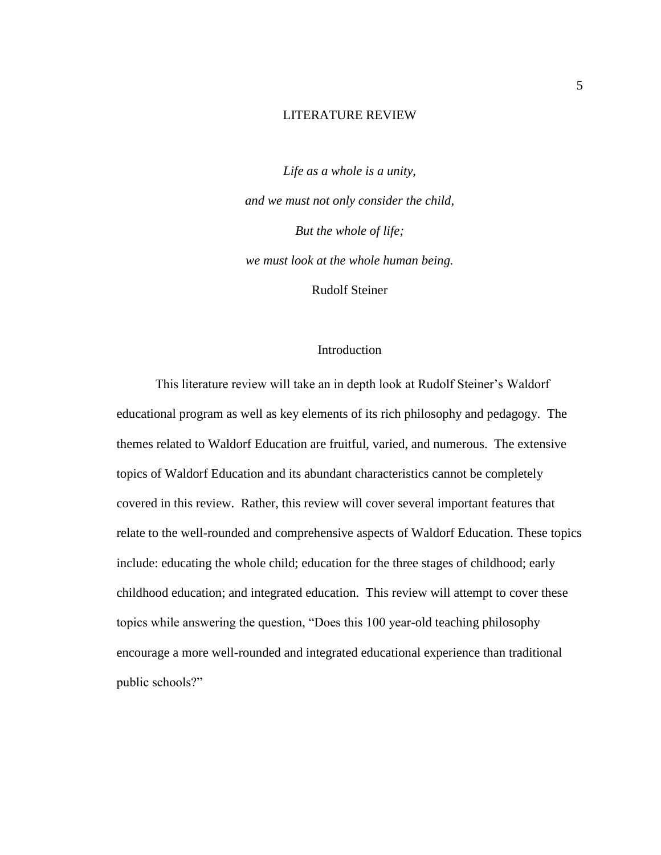#### LITERATURE REVIEW

*Life as a whole is a unity, and we must not only consider the child, But the whole of life; we must look at the whole human being.* Rudolf Steiner

#### Introduction

This literature review will take an in depth look at Rudolf Steiner's Waldorf educational program as well as key elements of its rich philosophy and pedagogy. The themes related to Waldorf Education are fruitful, varied, and numerous. The extensive topics of Waldorf Education and its abundant characteristics cannot be completely covered in this review. Rather, this review will cover several important features that relate to the well-rounded and comprehensive aspects of Waldorf Education. These topics include: educating the whole child; education for the three stages of childhood; early childhood education; and integrated education. This review will attempt to cover these topics while answering the question, "Does this 100 year-old teaching philosophy encourage a more well-rounded and integrated educational experience than traditional public schools?"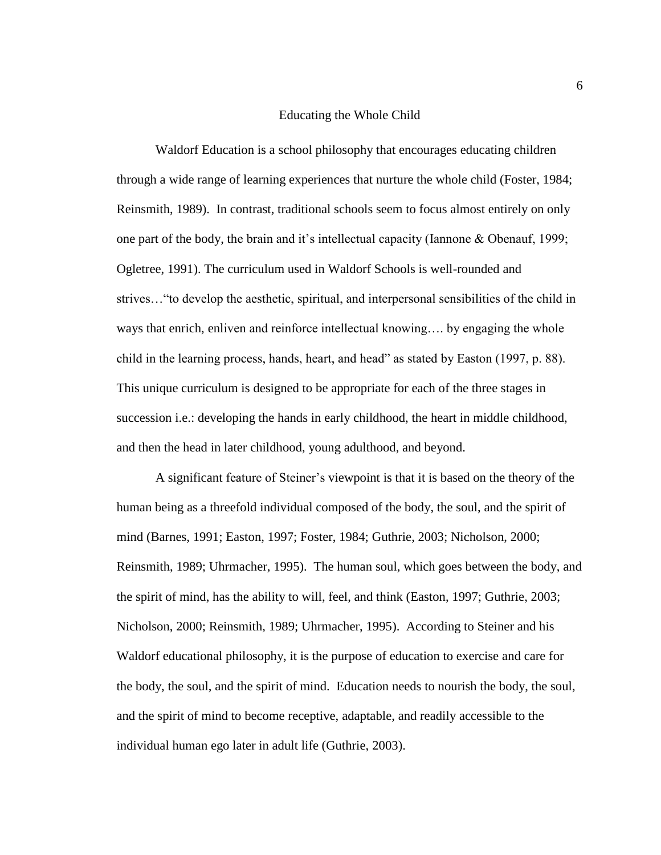#### Educating the Whole Child

Waldorf Education is a school philosophy that encourages educating children through a wide range of learning experiences that nurture the whole child (Foster, 1984; Reinsmith, 1989). In contrast, traditional schools seem to focus almost entirely on only one part of the body, the brain and it's intellectual capacity (Iannone & Obenauf, 1999; Ogletree, 1991). The curriculum used in Waldorf Schools is well-rounded and strives…"to develop the aesthetic, spiritual, and interpersonal sensibilities of the child in ways that enrich, enliven and reinforce intellectual knowing…. by engaging the whole child in the learning process, hands, heart, and head" as stated by Easton (1997, p. 88). This unique curriculum is designed to be appropriate for each of the three stages in succession i.e.: developing the hands in early childhood, the heart in middle childhood, and then the head in later childhood, young adulthood, and beyond.

A significant feature of Steiner's viewpoint is that it is based on the theory of the human being as a threefold individual composed of the body, the soul, and the spirit of mind (Barnes, 1991; Easton, 1997; Foster, 1984; Guthrie, 2003; Nicholson, 2000; Reinsmith, 1989; Uhrmacher, 1995). The human soul, which goes between the body, and the spirit of mind, has the ability to will, feel, and think (Easton, 1997; Guthrie, 2003; Nicholson, 2000; Reinsmith, 1989; Uhrmacher, 1995). According to Steiner and his Waldorf educational philosophy, it is the purpose of education to exercise and care for the body, the soul, and the spirit of mind. Education needs to nourish the body, the soul, and the spirit of mind to become receptive, adaptable, and readily accessible to the individual human ego later in adult life (Guthrie, 2003).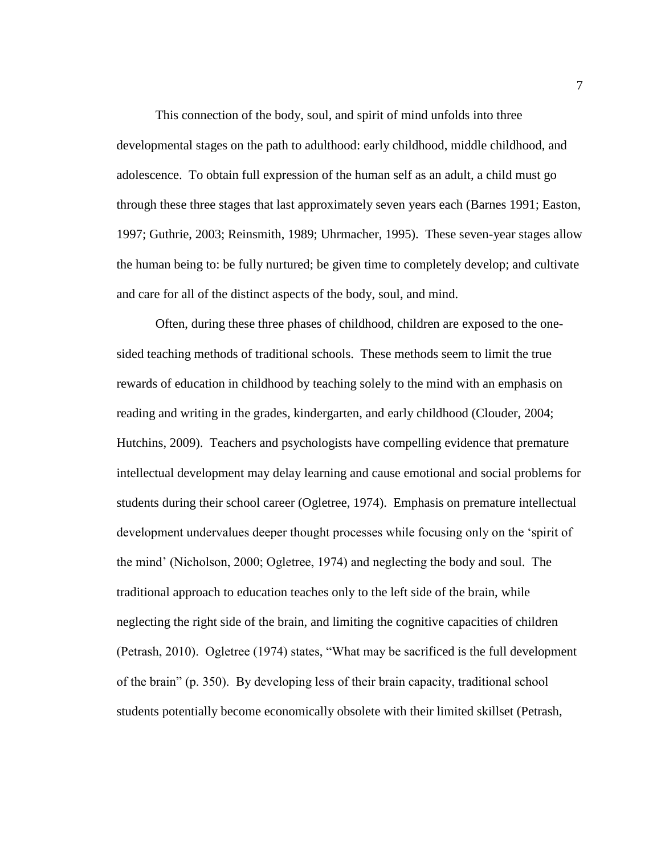This connection of the body, soul, and spirit of mind unfolds into three developmental stages on the path to adulthood: early childhood, middle childhood, and adolescence. To obtain full expression of the human self as an adult, a child must go through these three stages that last approximately seven years each (Barnes 1991; Easton, 1997; Guthrie, 2003; Reinsmith, 1989; Uhrmacher, 1995). These seven-year stages allow the human being to: be fully nurtured; be given time to completely develop; and cultivate and care for all of the distinct aspects of the body, soul, and mind.

Often, during these three phases of childhood, children are exposed to the onesided teaching methods of traditional schools. These methods seem to limit the true rewards of education in childhood by teaching solely to the mind with an emphasis on reading and writing in the grades, kindergarten, and early childhood (Clouder, 2004; Hutchins, 2009). Teachers and psychologists have compelling evidence that premature intellectual development may delay learning and cause emotional and social problems for students during their school career (Ogletree, 1974). Emphasis on premature intellectual development undervalues deeper thought processes while focusing only on the 'spirit of the mind' (Nicholson, 2000; Ogletree, 1974) and neglecting the body and soul. The traditional approach to education teaches only to the left side of the brain, while neglecting the right side of the brain, and limiting the cognitive capacities of children (Petrash, 2010). Ogletree (1974) states, "What may be sacrificed is the full development of the brain" (p. 350). By developing less of their brain capacity, traditional school students potentially become economically obsolete with their limited skillset (Petrash,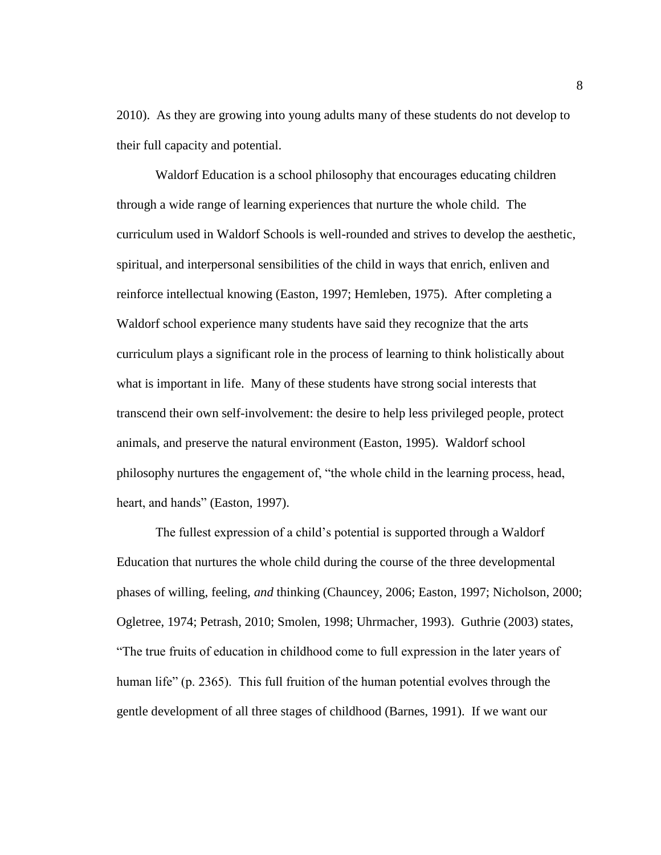2010). As they are growing into young adults many of these students do not develop to their full capacity and potential.

Waldorf Education is a school philosophy that encourages educating children through a wide range of learning experiences that nurture the whole child. The curriculum used in Waldorf Schools is well-rounded and strives to develop the aesthetic, spiritual, and interpersonal sensibilities of the child in ways that enrich, enliven and reinforce intellectual knowing (Easton, 1997; Hemleben, 1975). After completing a Waldorf school experience many students have said they recognize that the arts curriculum plays a significant role in the process of learning to think holistically about what is important in life. Many of these students have strong social interests that transcend their own self-involvement: the desire to help less privileged people, protect animals, and preserve the natural environment (Easton, 1995). Waldorf school philosophy nurtures the engagement of, "the whole child in the learning process, head, heart, and hands" (Easton, 1997).

The fullest expression of a child's potential is supported through a Waldorf Education that nurtures the whole child during the course of the three developmental phases of willing, feeling, *and* thinking (Chauncey, 2006; Easton, 1997; Nicholson, 2000; Ogletree, 1974; Petrash, 2010; Smolen, 1998; Uhrmacher, 1993). Guthrie (2003) states, "The true fruits of education in childhood come to full expression in the later years of human life" (p. 2365). This full fruition of the human potential evolves through the gentle development of all three stages of childhood (Barnes, 1991). If we want our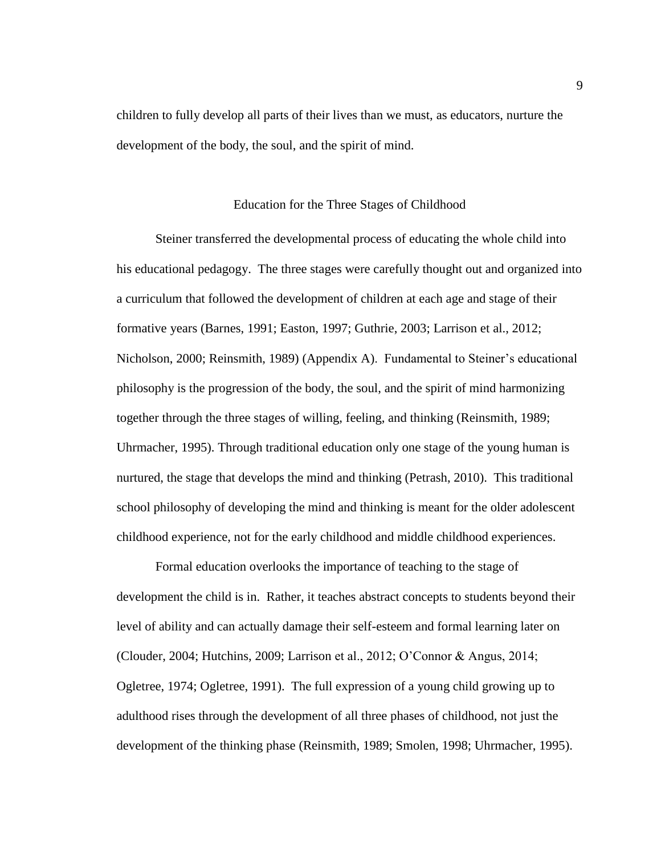children to fully develop all parts of their lives than we must, as educators, nurture the development of the body, the soul, and the spirit of mind.

### Education for the Three Stages of Childhood

Steiner transferred the developmental process of educating the whole child into his educational pedagogy. The three stages were carefully thought out and organized into a curriculum that followed the development of children at each age and stage of their formative years (Barnes, 1991; Easton, 1997; Guthrie, 2003; Larrison et al., 2012; Nicholson, 2000; Reinsmith, 1989) (Appendix A). Fundamental to Steiner's educational philosophy is the progression of the body, the soul, and the spirit of mind harmonizing together through the three stages of willing, feeling, and thinking (Reinsmith, 1989; Uhrmacher, 1995). Through traditional education only one stage of the young human is nurtured, the stage that develops the mind and thinking (Petrash, 2010). This traditional school philosophy of developing the mind and thinking is meant for the older adolescent childhood experience, not for the early childhood and middle childhood experiences.

Formal education overlooks the importance of teaching to the stage of development the child is in. Rather, it teaches abstract concepts to students beyond their level of ability and can actually damage their self-esteem and formal learning later on (Clouder, 2004; Hutchins, 2009; Larrison et al., 2012; O'Connor & Angus, 2014; Ogletree, 1974; Ogletree, 1991). The full expression of a young child growing up to adulthood rises through the development of all three phases of childhood, not just the development of the thinking phase (Reinsmith, 1989; Smolen, 1998; Uhrmacher, 1995).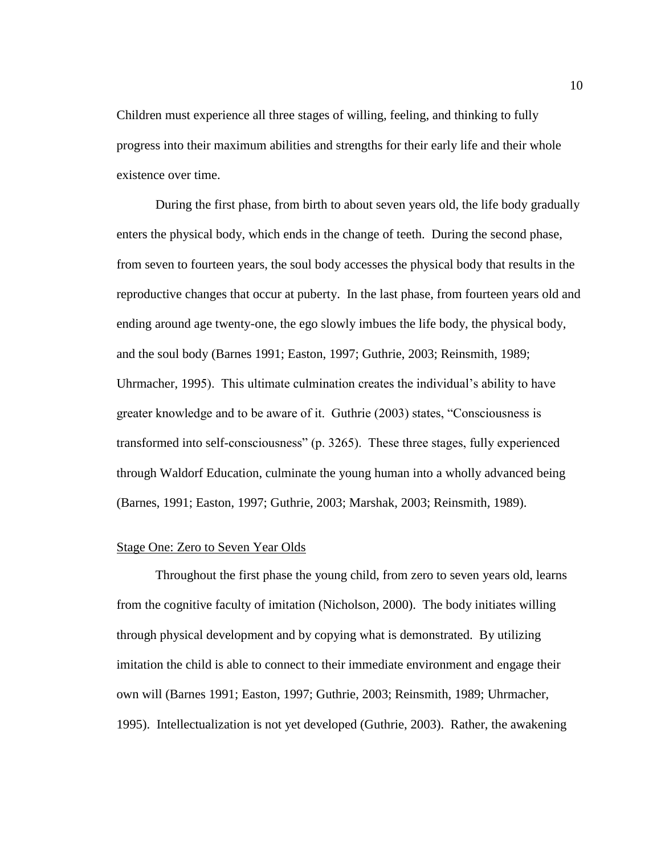Children must experience all three stages of willing, feeling, and thinking to fully progress into their maximum abilities and strengths for their early life and their whole existence over time.

During the first phase, from birth to about seven years old, the life body gradually enters the physical body, which ends in the change of teeth. During the second phase, from seven to fourteen years, the soul body accesses the physical body that results in the reproductive changes that occur at puberty. In the last phase, from fourteen years old and ending around age twenty-one, the ego slowly imbues the life body, the physical body, and the soul body (Barnes 1991; Easton, 1997; Guthrie, 2003; Reinsmith, 1989; Uhrmacher, 1995). This ultimate culmination creates the individual's ability to have greater knowledge and to be aware of it. Guthrie (2003) states, "Consciousness is transformed into self-consciousness" (p. 3265). These three stages, fully experienced through Waldorf Education, culminate the young human into a wholly advanced being (Barnes, 1991; Easton, 1997; Guthrie, 2003; Marshak, 2003; Reinsmith, 1989).

#### Stage One: Zero to Seven Year Olds

Throughout the first phase the young child, from zero to seven years old, learns from the cognitive faculty of imitation (Nicholson, 2000). The body initiates willing through physical development and by copying what is demonstrated. By utilizing imitation the child is able to connect to their immediate environment and engage their own will (Barnes 1991; Easton, 1997; Guthrie, 2003; Reinsmith, 1989; Uhrmacher, 1995). Intellectualization is not yet developed (Guthrie, 2003). Rather, the awakening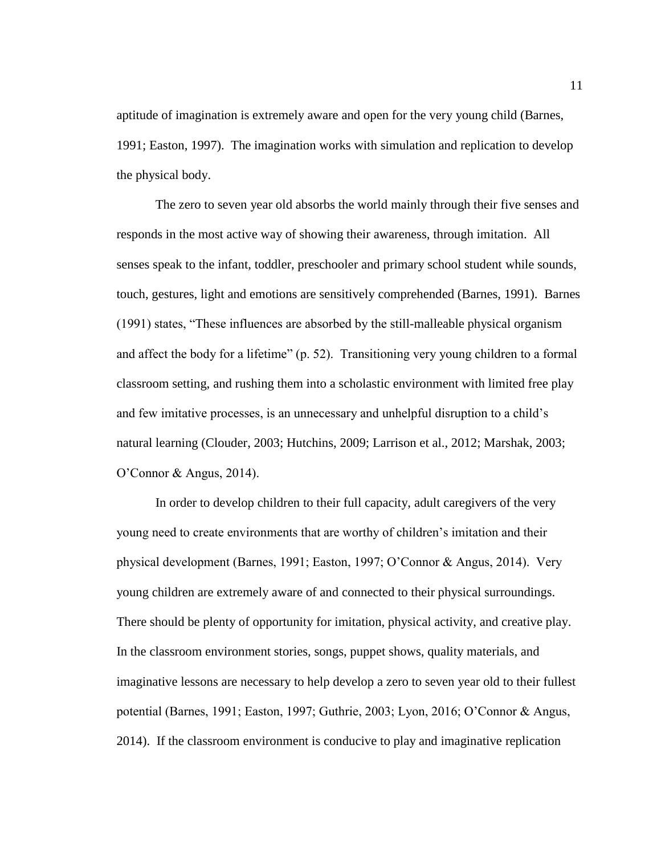aptitude of imagination is extremely aware and open for the very young child (Barnes, 1991; Easton, 1997). The imagination works with simulation and replication to develop the physical body.

The zero to seven year old absorbs the world mainly through their five senses and responds in the most active way of showing their awareness, through imitation. All senses speak to the infant, toddler, preschooler and primary school student while sounds, touch, gestures, light and emotions are sensitively comprehended (Barnes, 1991). Barnes (1991) states, "These influences are absorbed by the still-malleable physical organism and affect the body for a lifetime" (p. 52). Transitioning very young children to a formal classroom setting, and rushing them into a scholastic environment with limited free play and few imitative processes, is an unnecessary and unhelpful disruption to a child's natural learning (Clouder, 2003; Hutchins, 2009; Larrison et al., 2012; Marshak, 2003; O'Connor & Angus, 2014).

In order to develop children to their full capacity, adult caregivers of the very young need to create environments that are worthy of children's imitation and their physical development (Barnes, 1991; Easton, 1997; O'Connor & Angus, 2014). Very young children are extremely aware of and connected to their physical surroundings. There should be plenty of opportunity for imitation, physical activity, and creative play. In the classroom environment stories, songs, puppet shows, quality materials, and imaginative lessons are necessary to help develop a zero to seven year old to their fullest potential (Barnes, 1991; Easton, 1997; Guthrie, 2003; Lyon, 2016; O'Connor & Angus, 2014). If the classroom environment is conducive to play and imaginative replication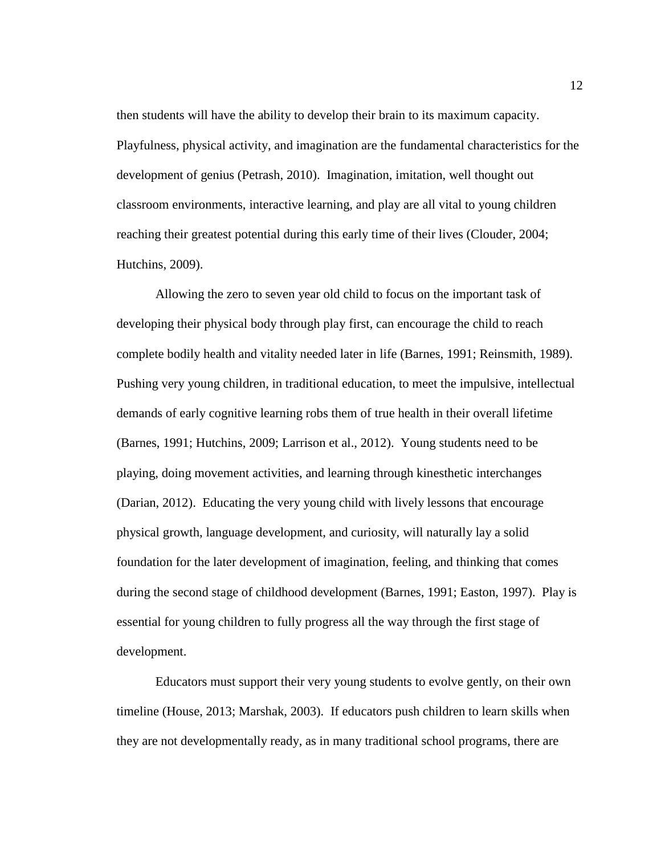then students will have the ability to develop their brain to its maximum capacity. Playfulness, physical activity, and imagination are the fundamental characteristics for the development of genius (Petrash, 2010). Imagination, imitation, well thought out classroom environments, interactive learning, and play are all vital to young children reaching their greatest potential during this early time of their lives (Clouder, 2004; Hutchins, 2009).

Allowing the zero to seven year old child to focus on the important task of developing their physical body through play first, can encourage the child to reach complete bodily health and vitality needed later in life (Barnes, 1991; Reinsmith, 1989). Pushing very young children, in traditional education, to meet the impulsive, intellectual demands of early cognitive learning robs them of true health in their overall lifetime (Barnes, 1991; Hutchins, 2009; Larrison et al., 2012). Young students need to be playing, doing movement activities, and learning through kinesthetic interchanges (Darian, 2012). Educating the very young child with lively lessons that encourage physical growth, language development, and curiosity, will naturally lay a solid foundation for the later development of imagination, feeling, and thinking that comes during the second stage of childhood development (Barnes, 1991; Easton, 1997). Play is essential for young children to fully progress all the way through the first stage of development.

Educators must support their very young students to evolve gently, on their own timeline (House, 2013; Marshak, 2003). If educators push children to learn skills when they are not developmentally ready, as in many traditional school programs, there are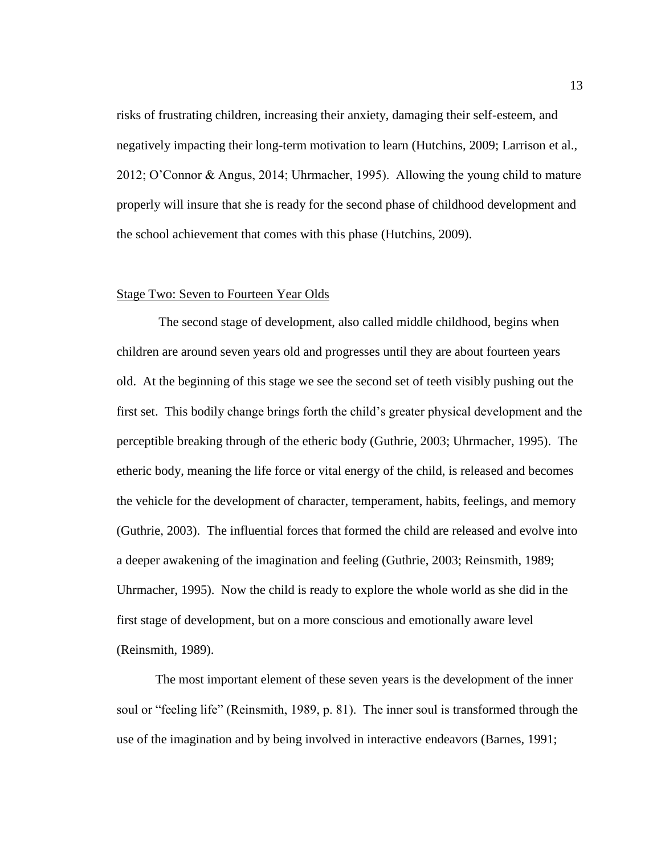risks of frustrating children, increasing their anxiety, damaging their self-esteem, and negatively impacting their long-term motivation to learn (Hutchins, 2009; Larrison et al., 2012; O'Connor & Angus, 2014; Uhrmacher, 1995). Allowing the young child to mature properly will insure that she is ready for the second phase of childhood development and the school achievement that comes with this phase (Hutchins, 2009).

#### Stage Two: Seven to Fourteen Year Olds

The second stage of development, also called middle childhood, begins when children are around seven years old and progresses until they are about fourteen years old. At the beginning of this stage we see the second set of teeth visibly pushing out the first set. This bodily change brings forth the child's greater physical development and the perceptible breaking through of the etheric body (Guthrie, 2003; Uhrmacher, 1995). The etheric body, meaning the life force or vital energy of the child, is released and becomes the vehicle for the development of character, temperament, habits, feelings, and memory (Guthrie, 2003). The influential forces that formed the child are released and evolve into a deeper awakening of the imagination and feeling (Guthrie, 2003; Reinsmith, 1989; Uhrmacher, 1995). Now the child is ready to explore the whole world as she did in the first stage of development, but on a more conscious and emotionally aware level (Reinsmith, 1989).

The most important element of these seven years is the development of the inner soul or "feeling life" (Reinsmith, 1989, p. 81). The inner soul is transformed through the use of the imagination and by being involved in interactive endeavors (Barnes, 1991;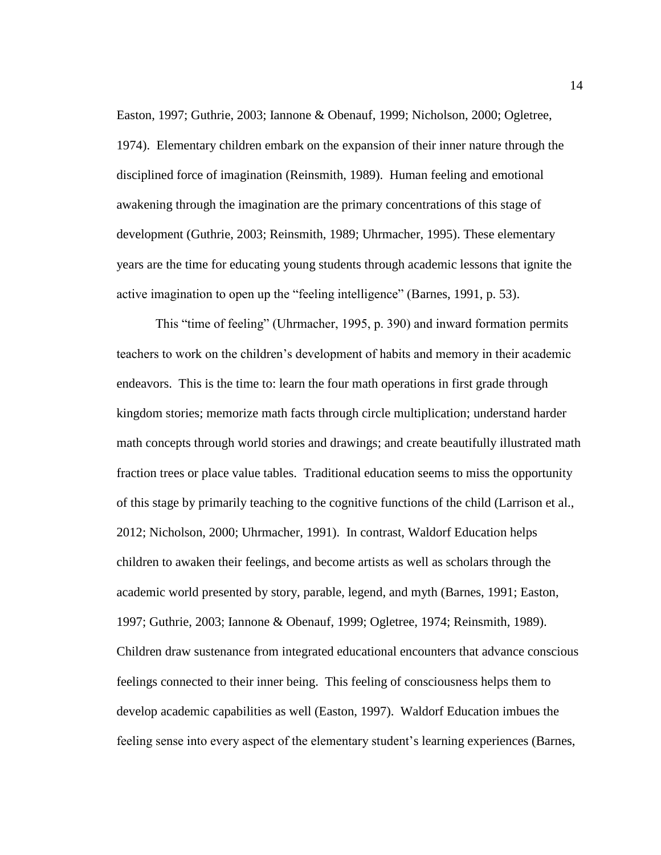Easton, 1997; Guthrie, 2003; Iannone & Obenauf, 1999; Nicholson, 2000; Ogletree, 1974). Elementary children embark on the expansion of their inner nature through the disciplined force of imagination (Reinsmith, 1989). Human feeling and emotional awakening through the imagination are the primary concentrations of this stage of development (Guthrie, 2003; Reinsmith, 1989; Uhrmacher, 1995). These elementary years are the time for educating young students through academic lessons that ignite the active imagination to open up the "feeling intelligence" (Barnes, 1991, p. 53).

This "time of feeling" (Uhrmacher, 1995, p. 390) and inward formation permits teachers to work on the children's development of habits and memory in their academic endeavors. This is the time to: learn the four math operations in first grade through kingdom stories; memorize math facts through circle multiplication; understand harder math concepts through world stories and drawings; and create beautifully illustrated math fraction trees or place value tables. Traditional education seems to miss the opportunity of this stage by primarily teaching to the cognitive functions of the child (Larrison et al., 2012; Nicholson, 2000; Uhrmacher, 1991). In contrast, Waldorf Education helps children to awaken their feelings, and become artists as well as scholars through the academic world presented by story, parable, legend, and myth (Barnes, 1991; Easton, 1997; Guthrie, 2003; Iannone & Obenauf, 1999; Ogletree, 1974; Reinsmith, 1989). Children draw sustenance from integrated educational encounters that advance conscious feelings connected to their inner being. This feeling of consciousness helps them to develop academic capabilities as well (Easton, 1997). Waldorf Education imbues the feeling sense into every aspect of the elementary student's learning experiences (Barnes,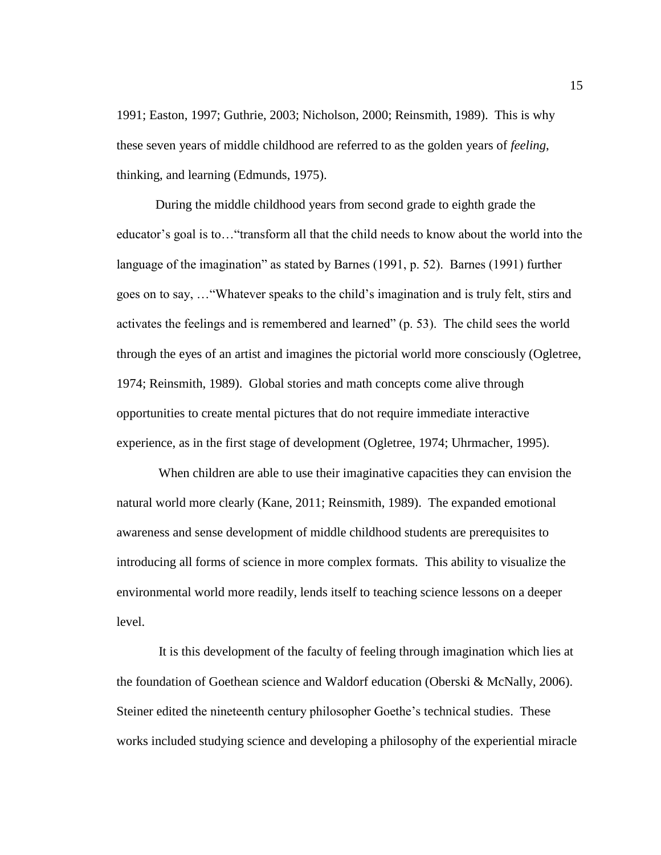1991; Easton, 1997; Guthrie, 2003; Nicholson, 2000; Reinsmith, 1989). This is why these seven years of middle childhood are referred to as the golden years of *feeling*, thinking, and learning (Edmunds, 1975).

During the middle childhood years from second grade to eighth grade the educator's goal is to…"transform all that the child needs to know about the world into the language of the imagination" as stated by Barnes (1991, p. 52). Barnes (1991) further goes on to say, …"Whatever speaks to the child's imagination and is truly felt, stirs and activates the feelings and is remembered and learned" (p. 53). The child sees the world through the eyes of an artist and imagines the pictorial world more consciously (Ogletree, 1974; Reinsmith, 1989). Global stories and math concepts come alive through opportunities to create mental pictures that do not require immediate interactive experience, as in the first stage of development (Ogletree, 1974; Uhrmacher, 1995).

When children are able to use their imaginative capacities they can envision the natural world more clearly (Kane, 2011; Reinsmith, 1989). The expanded emotional awareness and sense development of middle childhood students are prerequisites to introducing all forms of science in more complex formats. This ability to visualize the environmental world more readily, lends itself to teaching science lessons on a deeper level.

It is this development of the faculty of feeling through imagination which lies at the foundation of Goethean science and Waldorf education (Oberski & McNally, 2006). Steiner edited the nineteenth century philosopher Goethe's technical studies. These works included studying science and developing a philosophy of the experiential miracle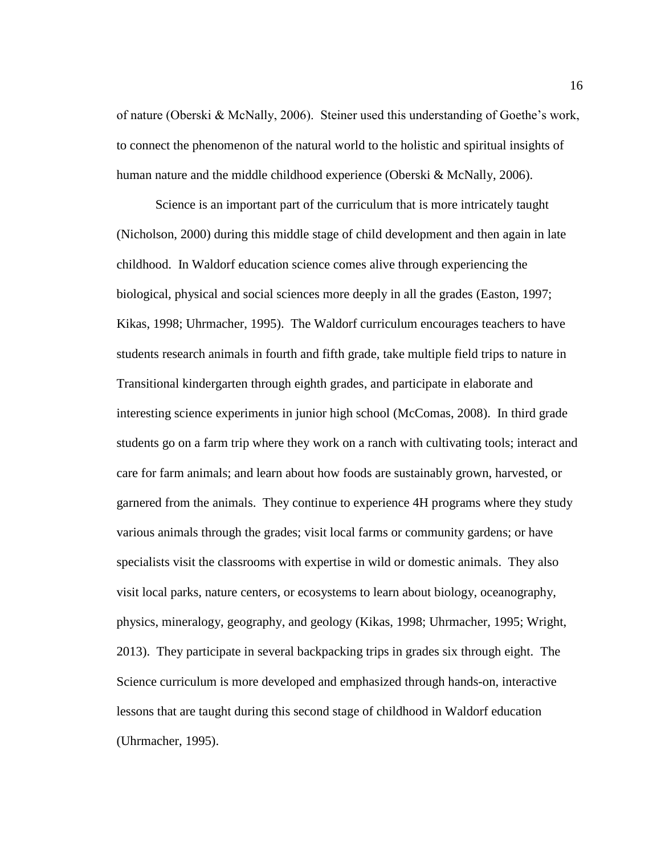of nature (Oberski & McNally, 2006). Steiner used this understanding of Goethe's work, to connect the phenomenon of the natural world to the holistic and spiritual insights of human nature and the middle childhood experience (Oberski & McNally, 2006).

Science is an important part of the curriculum that is more intricately taught (Nicholson, 2000) during this middle stage of child development and then again in late childhood. In Waldorf education science comes alive through experiencing the biological, physical and social sciences more deeply in all the grades (Easton, 1997; Kikas, 1998; Uhrmacher, 1995). The Waldorf curriculum encourages teachers to have students research animals in fourth and fifth grade, take multiple field trips to nature in Transitional kindergarten through eighth grades, and participate in elaborate and interesting science experiments in junior high school (McComas, 2008). In third grade students go on a farm trip where they work on a ranch with cultivating tools; interact and care for farm animals; and learn about how foods are sustainably grown, harvested, or garnered from the animals. They continue to experience 4H programs where they study various animals through the grades; visit local farms or community gardens; or have specialists visit the classrooms with expertise in wild or domestic animals. They also visit local parks, nature centers, or ecosystems to learn about biology, oceanography, physics, mineralogy, geography, and geology (Kikas, 1998; Uhrmacher, 1995; Wright, 2013). They participate in several backpacking trips in grades six through eight. The Science curriculum is more developed and emphasized through hands-on, interactive lessons that are taught during this second stage of childhood in Waldorf education (Uhrmacher, 1995).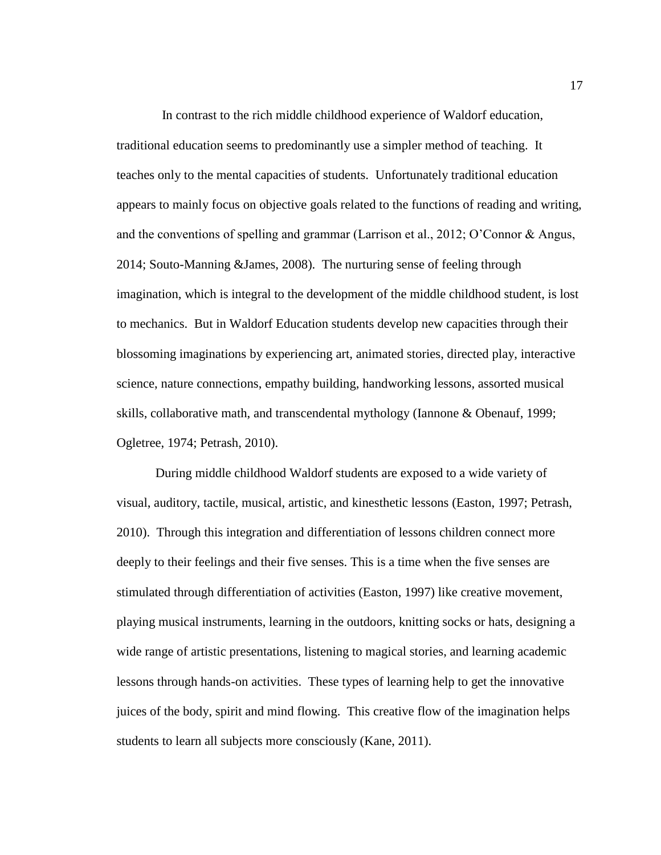In contrast to the rich middle childhood experience of Waldorf education, traditional education seems to predominantly use a simpler method of teaching. It teaches only to the mental capacities of students. Unfortunately traditional education appears to mainly focus on objective goals related to the functions of reading and writing, and the conventions of spelling and grammar (Larrison et al., 2012; O'Connor & Angus, 2014; Souto-Manning &James, 2008). The nurturing sense of feeling through imagination, which is integral to the development of the middle childhood student, is lost to mechanics. But in Waldorf Education students develop new capacities through their blossoming imaginations by experiencing art, animated stories, directed play, interactive science, nature connections, empathy building, handworking lessons, assorted musical skills, collaborative math, and transcendental mythology (Iannone & Obenauf, 1999; Ogletree, 1974; Petrash, 2010).

During middle childhood Waldorf students are exposed to a wide variety of visual, auditory, tactile, musical, artistic, and kinesthetic lessons (Easton, 1997; Petrash, 2010). Through this integration and differentiation of lessons children connect more deeply to their feelings and their five senses. This is a time when the five senses are stimulated through differentiation of activities (Easton, 1997) like creative movement, playing musical instruments, learning in the outdoors, knitting socks or hats, designing a wide range of artistic presentations, listening to magical stories, and learning academic lessons through hands-on activities. These types of learning help to get the innovative juices of the body, spirit and mind flowing. This creative flow of the imagination helps students to learn all subjects more consciously (Kane, 2011).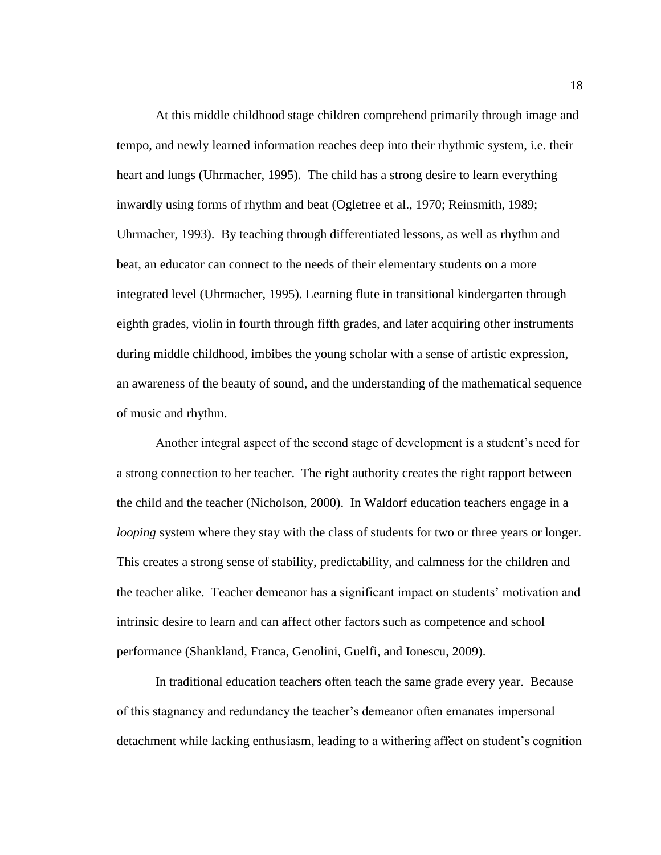At this middle childhood stage children comprehend primarily through image and tempo, and newly learned information reaches deep into their rhythmic system, i.e. their heart and lungs (Uhrmacher, 1995). The child has a strong desire to learn everything inwardly using forms of rhythm and beat (Ogletree et al., 1970; Reinsmith, 1989; Uhrmacher, 1993). By teaching through differentiated lessons, as well as rhythm and beat, an educator can connect to the needs of their elementary students on a more integrated level (Uhrmacher, 1995). Learning flute in transitional kindergarten through eighth grades, violin in fourth through fifth grades, and later acquiring other instruments during middle childhood, imbibes the young scholar with a sense of artistic expression, an awareness of the beauty of sound, and the understanding of the mathematical sequence of music and rhythm.

Another integral aspect of the second stage of development is a student's need for a strong connection to her teacher. The right authority creates the right rapport between the child and the teacher (Nicholson, 2000). In Waldorf education teachers engage in a *looping* system where they stay with the class of students for two or three years or longer. This creates a strong sense of stability, predictability, and calmness for the children and the teacher alike. Teacher demeanor has a significant impact on students' motivation and intrinsic desire to learn and can affect other factors such as competence and school performance (Shankland, Franca, Genolini, Guelfi, and Ionescu, 2009).

In traditional education teachers often teach the same grade every year. Because of this stagnancy and redundancy the teacher's demeanor often emanates impersonal detachment while lacking enthusiasm, leading to a withering affect on student's cognition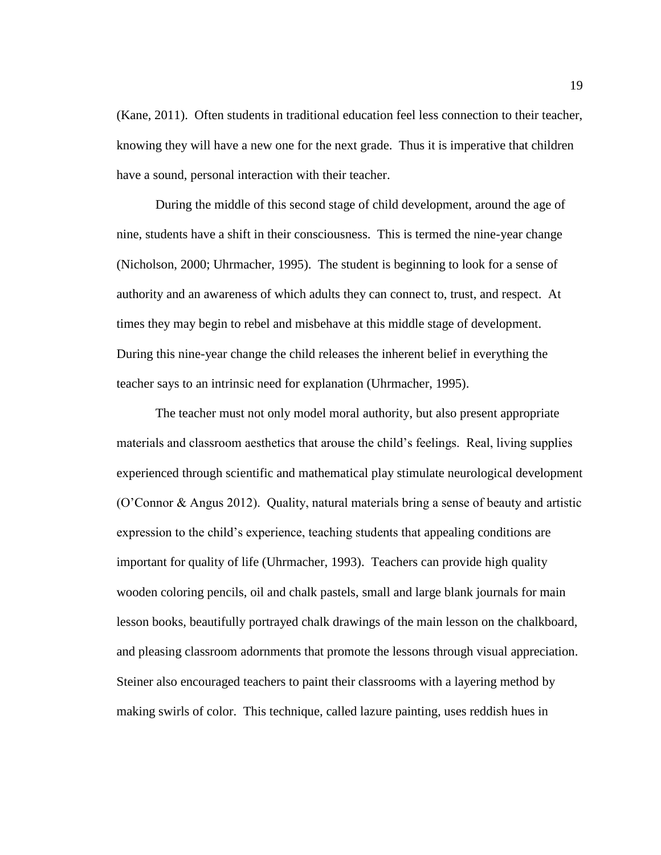(Kane, 2011). Often students in traditional education feel less connection to their teacher, knowing they will have a new one for the next grade. Thus it is imperative that children have a sound, personal interaction with their teacher.

During the middle of this second stage of child development, around the age of nine, students have a shift in their consciousness. This is termed the nine-year change (Nicholson, 2000; Uhrmacher, 1995). The student is beginning to look for a sense of authority and an awareness of which adults they can connect to, trust, and respect. At times they may begin to rebel and misbehave at this middle stage of development. During this nine-year change the child releases the inherent belief in everything the teacher says to an intrinsic need for explanation (Uhrmacher, 1995).

The teacher must not only model moral authority, but also present appropriate materials and classroom aesthetics that arouse the child's feelings. Real, living supplies experienced through scientific and mathematical play stimulate neurological development (O'Connor & Angus 2012). Quality, natural materials bring a sense of beauty and artistic expression to the child's experience, teaching students that appealing conditions are important for quality of life (Uhrmacher, 1993). Teachers can provide high quality wooden coloring pencils, oil and chalk pastels, small and large blank journals for main lesson books, beautifully portrayed chalk drawings of the main lesson on the chalkboard, and pleasing classroom adornments that promote the lessons through visual appreciation. Steiner also encouraged teachers to paint their classrooms with a layering method by making swirls of color. This technique, called lazure painting, uses reddish hues in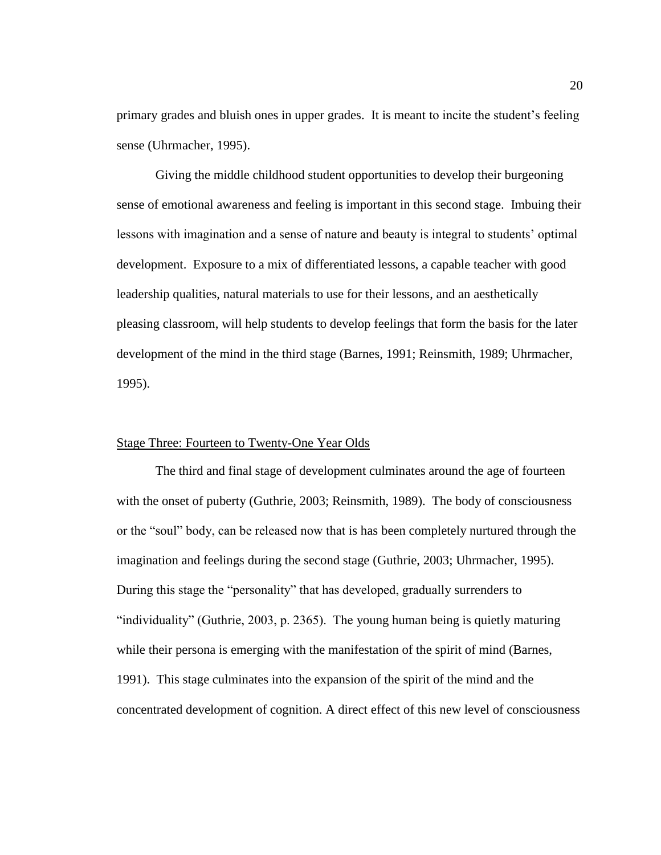primary grades and bluish ones in upper grades. It is meant to incite the student's feeling sense (Uhrmacher, 1995).

Giving the middle childhood student opportunities to develop their burgeoning sense of emotional awareness and feeling is important in this second stage. Imbuing their lessons with imagination and a sense of nature and beauty is integral to students' optimal development. Exposure to a mix of differentiated lessons, a capable teacher with good leadership qualities, natural materials to use for their lessons, and an aesthetically pleasing classroom, will help students to develop feelings that form the basis for the later development of the mind in the third stage (Barnes, 1991; Reinsmith, 1989; Uhrmacher, 1995).

## Stage Three: Fourteen to Twenty-One Year Olds

The third and final stage of development culminates around the age of fourteen with the onset of puberty (Guthrie, 2003; Reinsmith, 1989). The body of consciousness or the "soul" body, can be released now that is has been completely nurtured through the imagination and feelings during the second stage (Guthrie, 2003; Uhrmacher, 1995). During this stage the "personality" that has developed, gradually surrenders to "individuality" (Guthrie, 2003, p. 2365). The young human being is quietly maturing while their persona is emerging with the manifestation of the spirit of mind (Barnes, 1991). This stage culminates into the expansion of the spirit of the mind and the concentrated development of cognition. A direct effect of this new level of consciousness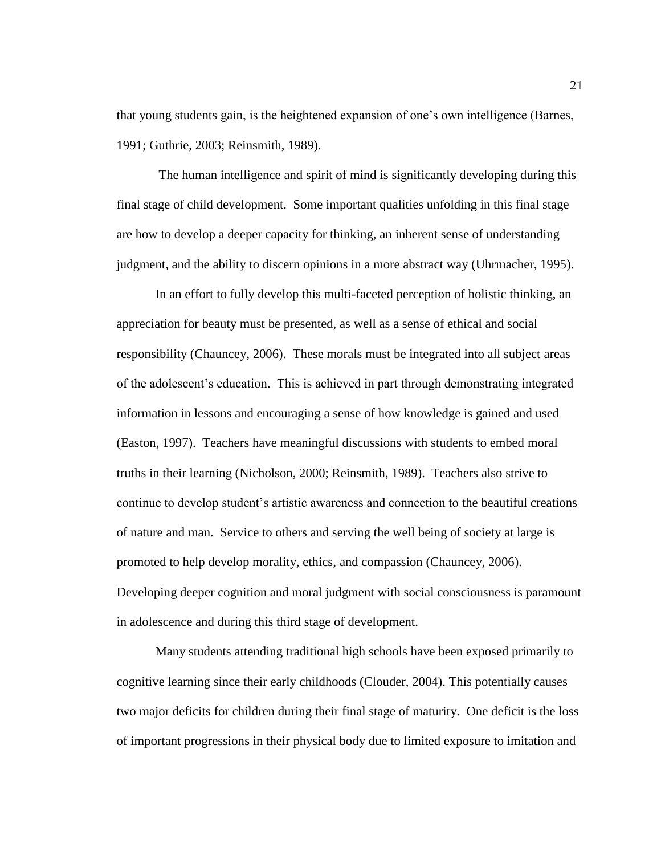that young students gain, is the heightened expansion of one's own intelligence (Barnes, 1991; Guthrie, 2003; Reinsmith, 1989).

The human intelligence and spirit of mind is significantly developing during this final stage of child development. Some important qualities unfolding in this final stage are how to develop a deeper capacity for thinking, an inherent sense of understanding judgment, and the ability to discern opinions in a more abstract way (Uhrmacher, 1995).

In an effort to fully develop this multi-faceted perception of holistic thinking, an appreciation for beauty must be presented, as well as a sense of ethical and social responsibility (Chauncey, 2006). These morals must be integrated into all subject areas of the adolescent's education. This is achieved in part through demonstrating integrated information in lessons and encouraging a sense of how knowledge is gained and used (Easton, 1997). Teachers have meaningful discussions with students to embed moral truths in their learning (Nicholson, 2000; Reinsmith, 1989). Teachers also strive to continue to develop student's artistic awareness and connection to the beautiful creations of nature and man. Service to others and serving the well being of society at large is promoted to help develop morality, ethics, and compassion (Chauncey, 2006). Developing deeper cognition and moral judgment with social consciousness is paramount in adolescence and during this third stage of development.

Many students attending traditional high schools have been exposed primarily to cognitive learning since their early childhoods (Clouder, 2004). This potentially causes two major deficits for children during their final stage of maturity. One deficit is the loss of important progressions in their physical body due to limited exposure to imitation and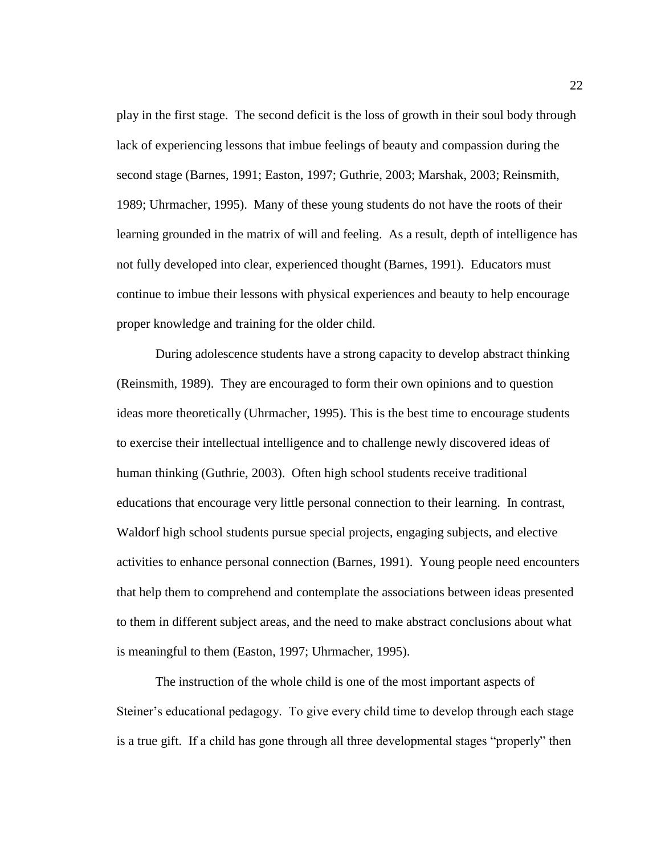play in the first stage. The second deficit is the loss of growth in their soul body through lack of experiencing lessons that imbue feelings of beauty and compassion during the second stage (Barnes, 1991; Easton, 1997; Guthrie, 2003; Marshak, 2003; Reinsmith, 1989; Uhrmacher, 1995). Many of these young students do not have the roots of their learning grounded in the matrix of will and feeling. As a result, depth of intelligence has not fully developed into clear, experienced thought (Barnes, 1991). Educators must continue to imbue their lessons with physical experiences and beauty to help encourage proper knowledge and training for the older child.

During adolescence students have a strong capacity to develop abstract thinking (Reinsmith, 1989). They are encouraged to form their own opinions and to question ideas more theoretically (Uhrmacher, 1995). This is the best time to encourage students to exercise their intellectual intelligence and to challenge newly discovered ideas of human thinking (Guthrie, 2003). Often high school students receive traditional educations that encourage very little personal connection to their learning. In contrast, Waldorf high school students pursue special projects, engaging subjects, and elective activities to enhance personal connection (Barnes, 1991). Young people need encounters that help them to comprehend and contemplate the associations between ideas presented to them in different subject areas, and the need to make abstract conclusions about what is meaningful to them (Easton, 1997; Uhrmacher, 1995).

The instruction of the whole child is one of the most important aspects of Steiner's educational pedagogy. To give every child time to develop through each stage is a true gift. If a child has gone through all three developmental stages "properly" then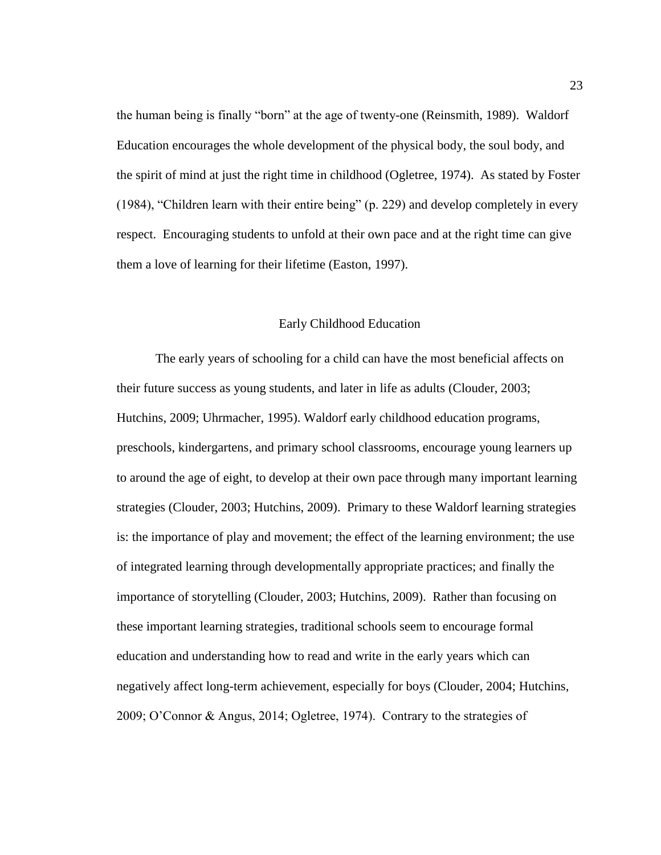the human being is finally "born" at the age of twenty-one (Reinsmith, 1989). Waldorf Education encourages the whole development of the physical body, the soul body, and the spirit of mind at just the right time in childhood (Ogletree, 1974). As stated by Foster (1984), "Children learn with their entire being" (p. 229) and develop completely in every respect. Encouraging students to unfold at their own pace and at the right time can give them a love of learning for their lifetime (Easton, 1997).

#### Early Childhood Education

The early years of schooling for a child can have the most beneficial affects on their future success as young students, and later in life as adults (Clouder, 2003; Hutchins, 2009; Uhrmacher, 1995). Waldorf early childhood education programs, preschools, kindergartens, and primary school classrooms, encourage young learners up to around the age of eight, to develop at their own pace through many important learning strategies (Clouder, 2003; Hutchins, 2009). Primary to these Waldorf learning strategies is: the importance of play and movement; the effect of the learning environment; the use of integrated learning through developmentally appropriate practices; and finally the importance of storytelling (Clouder, 2003; Hutchins, 2009). Rather than focusing on these important learning strategies, traditional schools seem to encourage formal education and understanding how to read and write in the early years which can negatively affect long-term achievement, especially for boys (Clouder, 2004; Hutchins, 2009; O'Connor & Angus, 2014; Ogletree, 1974). Contrary to the strategies of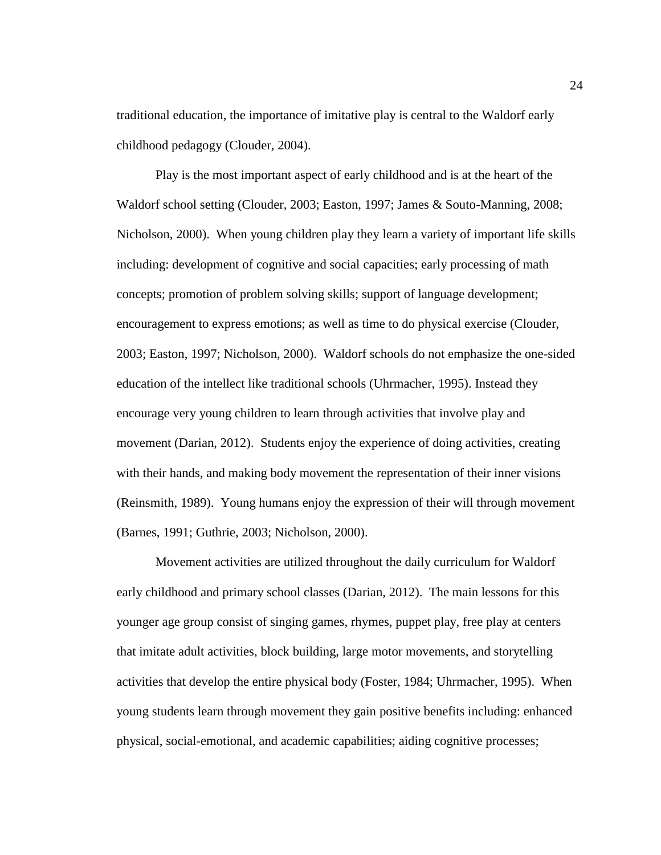traditional education, the importance of imitative play is central to the Waldorf early childhood pedagogy (Clouder, 2004).

Play is the most important aspect of early childhood and is at the heart of the Waldorf school setting (Clouder, 2003; Easton, 1997; James & Souto-Manning, 2008; Nicholson, 2000). When young children play they learn a variety of important life skills including: development of cognitive and social capacities; early processing of math concepts; promotion of problem solving skills; support of language development; encouragement to express emotions; as well as time to do physical exercise (Clouder, 2003; Easton, 1997; Nicholson, 2000). Waldorf schools do not emphasize the one-sided education of the intellect like traditional schools (Uhrmacher, 1995). Instead they encourage very young children to learn through activities that involve play and movement (Darian, 2012). Students enjoy the experience of doing activities, creating with their hands, and making body movement the representation of their inner visions (Reinsmith, 1989). Young humans enjoy the expression of their will through movement (Barnes, 1991; Guthrie, 2003; Nicholson, 2000).

Movement activities are utilized throughout the daily curriculum for Waldorf early childhood and primary school classes (Darian, 2012). The main lessons for this younger age group consist of singing games, rhymes, puppet play, free play at centers that imitate adult activities, block building, large motor movements, and storytelling activities that develop the entire physical body (Foster, 1984; Uhrmacher, 1995). When young students learn through movement they gain positive benefits including: enhanced physical, social-emotional, and academic capabilities; aiding cognitive processes;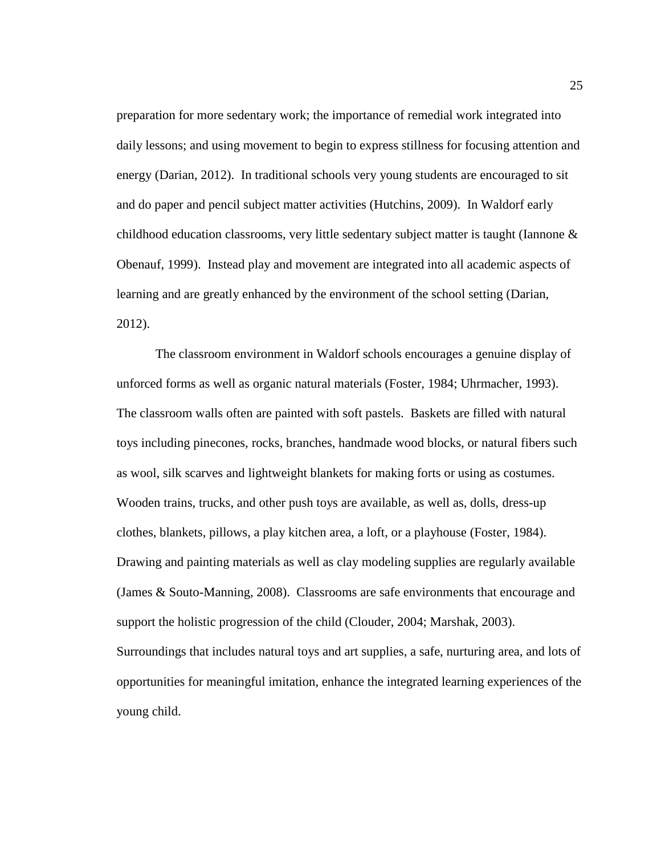preparation for more sedentary work; the importance of remedial work integrated into daily lessons; and using movement to begin to express stillness for focusing attention and energy (Darian, 2012). In traditional schools very young students are encouraged to sit and do paper and pencil subject matter activities (Hutchins, 2009). In Waldorf early childhood education classrooms, very little sedentary subject matter is taught (Iannone & Obenauf, 1999). Instead play and movement are integrated into all academic aspects of learning and are greatly enhanced by the environment of the school setting (Darian, 2012).

The classroom environment in Waldorf schools encourages a genuine display of unforced forms as well as organic natural materials (Foster, 1984; Uhrmacher, 1993). The classroom walls often are painted with soft pastels. Baskets are filled with natural toys including pinecones, rocks, branches, handmade wood blocks, or natural fibers such as wool, silk scarves and lightweight blankets for making forts or using as costumes. Wooden trains, trucks, and other push toys are available, as well as, dolls, dress-up clothes, blankets, pillows, a play kitchen area, a loft, or a playhouse (Foster, 1984). Drawing and painting materials as well as clay modeling supplies are regularly available (James & Souto-Manning, 2008). Classrooms are safe environments that encourage and support the holistic progression of the child (Clouder, 2004; Marshak, 2003). Surroundings that includes natural toys and art supplies, a safe, nurturing area, and lots of opportunities for meaningful imitation, enhance the integrated learning experiences of the young child.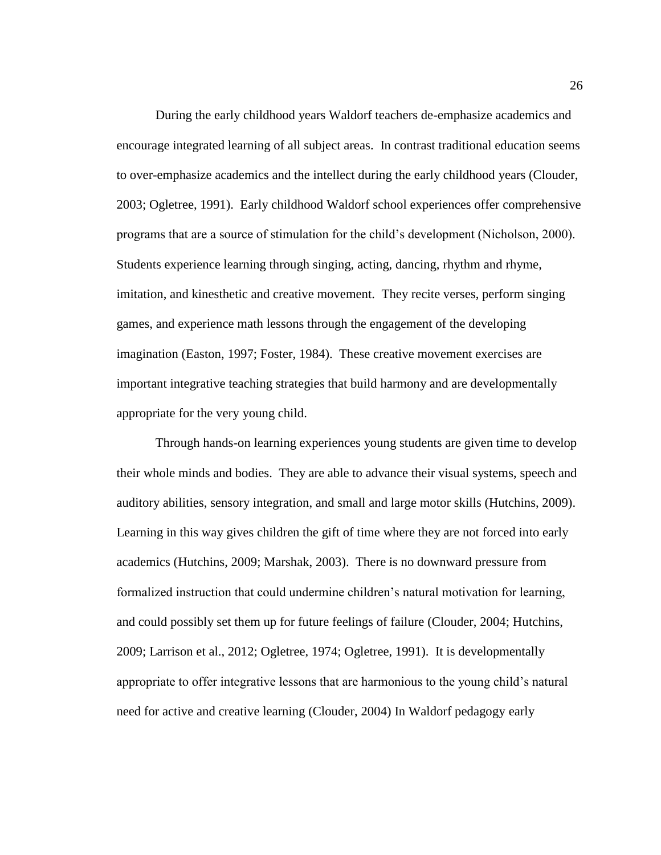During the early childhood years Waldorf teachers de-emphasize academics and encourage integrated learning of all subject areas. In contrast traditional education seems to over-emphasize academics and the intellect during the early childhood years (Clouder, 2003; Ogletree, 1991). Early childhood Waldorf school experiences offer comprehensive programs that are a source of stimulation for the child's development (Nicholson, 2000). Students experience learning through singing, acting, dancing, rhythm and rhyme, imitation, and kinesthetic and creative movement. They recite verses, perform singing games, and experience math lessons through the engagement of the developing imagination (Easton, 1997; Foster, 1984). These creative movement exercises are important integrative teaching strategies that build harmony and are developmentally appropriate for the very young child.

Through hands-on learning experiences young students are given time to develop their whole minds and bodies. They are able to advance their visual systems, speech and auditory abilities, sensory integration, and small and large motor skills (Hutchins, 2009). Learning in this way gives children the gift of time where they are not forced into early academics (Hutchins, 2009; Marshak, 2003). There is no downward pressure from formalized instruction that could undermine children's natural motivation for learning, and could possibly set them up for future feelings of failure (Clouder, 2004; Hutchins, 2009; Larrison et al., 2012; Ogletree, 1974; Ogletree, 1991). It is developmentally appropriate to offer integrative lessons that are harmonious to the young child's natural need for active and creative learning (Clouder, 2004) In Waldorf pedagogy early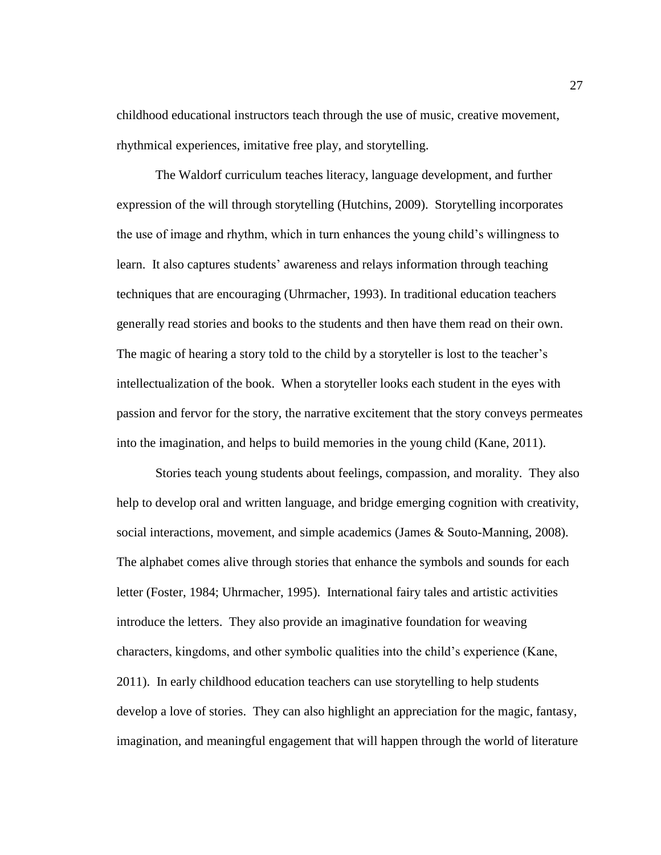childhood educational instructors teach through the use of music, creative movement, rhythmical experiences, imitative free play, and storytelling.

The Waldorf curriculum teaches literacy, language development, and further expression of the will through storytelling (Hutchins, 2009). Storytelling incorporates the use of image and rhythm, which in turn enhances the young child's willingness to learn. It also captures students' awareness and relays information through teaching techniques that are encouraging (Uhrmacher, 1993). In traditional education teachers generally read stories and books to the students and then have them read on their own. The magic of hearing a story told to the child by a storyteller is lost to the teacher's intellectualization of the book. When a storyteller looks each student in the eyes with passion and fervor for the story, the narrative excitement that the story conveys permeates into the imagination, and helps to build memories in the young child (Kane, 2011).

Stories teach young students about feelings, compassion, and morality. They also help to develop oral and written language, and bridge emerging cognition with creativity, social interactions, movement, and simple academics (James & Souto-Manning, 2008). The alphabet comes alive through stories that enhance the symbols and sounds for each letter (Foster, 1984; Uhrmacher, 1995). International fairy tales and artistic activities introduce the letters. They also provide an imaginative foundation for weaving characters, kingdoms, and other symbolic qualities into the child's experience (Kane, 2011). In early childhood education teachers can use storytelling to help students develop a love of stories. They can also highlight an appreciation for the magic, fantasy, imagination, and meaningful engagement that will happen through the world of literature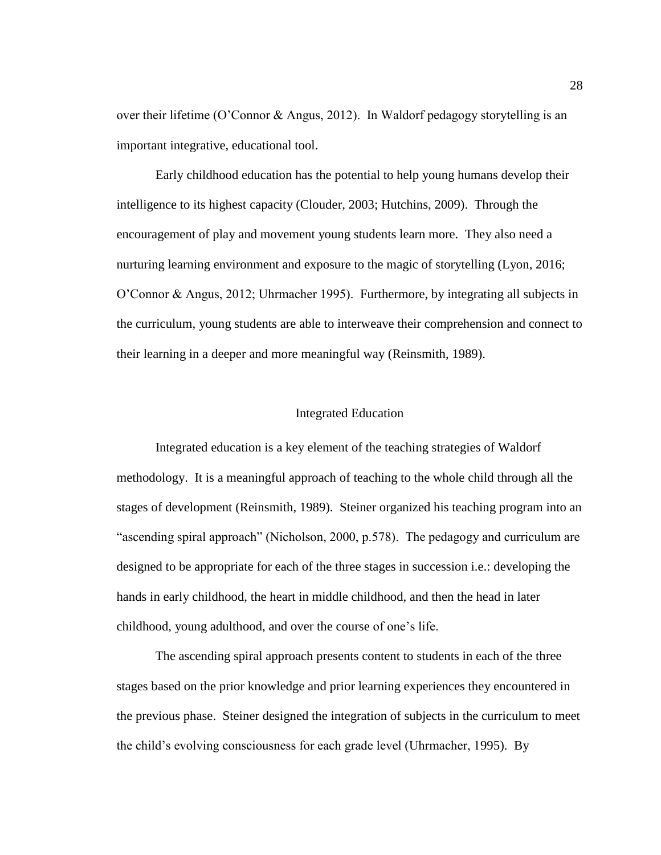over their lifetime (O'Connor & Angus, 2012). In Waldorf pedagogy storytelling is an important integrative, educational tool.

Early childhood education has the potential to help young humans develop their intelligence to its highest capacity (Clouder, 2003; Hutchins, 2009). Through the encouragement of play and movement young students learn more. They also need a nurturing learning environment and exposure to the magic of storytelling (Lyon, 2016; O'Connor & Angus, 2012; Uhrmacher 1995). Furthermore, by integrating all subjects in the curriculum, young students are able to interweave their comprehension and connect to their learning in a deeper and more meaningful way (Reinsmith, 1989).

#### Integrated Education

Integrated education is a key element of the teaching strategies of Waldorf methodology. It is a meaningful approach of teaching to the whole child through all the stages of development (Reinsmith, 1989). Steiner organized his teaching program into an "ascending spiral approach" (Nicholson, 2000, p.578). The pedagogy and curriculum are designed to be appropriate for each of the three stages in succession i.e.: developing the hands in early childhood, the heart in middle childhood, and then the head in later childhood, young adulthood, and over the course of one's life.

The ascending spiral approach presents content to students in each of the three stages based on the prior knowledge and prior learning experiences they encountered in the previous phase. Steiner designed the integration of subjects in the curriculum to meet the child's evolving consciousness for each grade level (Uhrmacher, 1995). By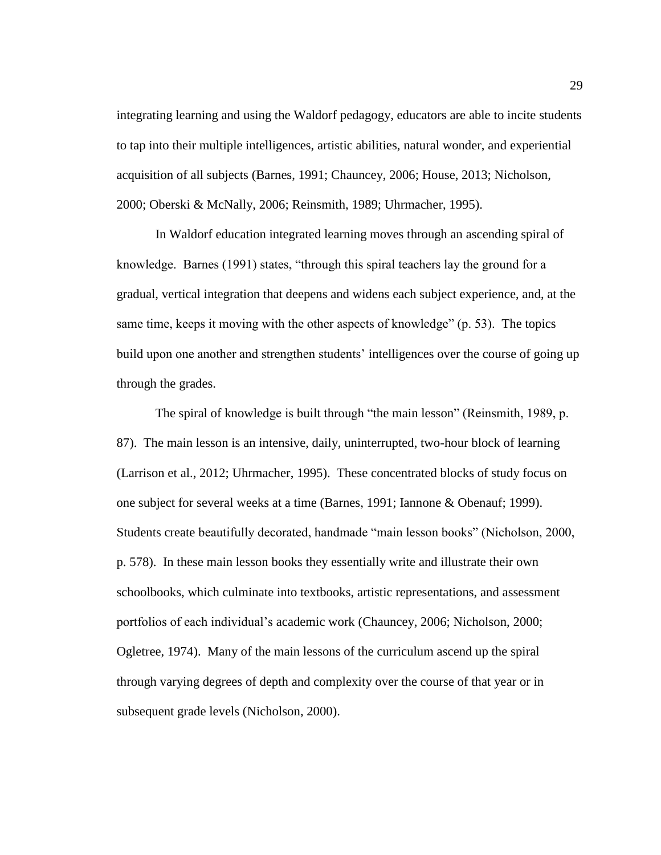integrating learning and using the Waldorf pedagogy, educators are able to incite students to tap into their multiple intelligences, artistic abilities, natural wonder, and experiential acquisition of all subjects (Barnes, 1991; Chauncey, 2006; House, 2013; Nicholson, 2000; Oberski & McNally, 2006; Reinsmith, 1989; Uhrmacher, 1995).

In Waldorf education integrated learning moves through an ascending spiral of knowledge. Barnes (1991) states, "through this spiral teachers lay the ground for a gradual, vertical integration that deepens and widens each subject experience, and, at the same time, keeps it moving with the other aspects of knowledge" (p. 53). The topics build upon one another and strengthen students' intelligences over the course of going up through the grades.

The spiral of knowledge is built through "the main lesson" (Reinsmith, 1989, p. 87). The main lesson is an intensive, daily, uninterrupted, two-hour block of learning (Larrison et al., 2012; Uhrmacher, 1995). These concentrated blocks of study focus on one subject for several weeks at a time (Barnes, 1991; Iannone & Obenauf; 1999). Students create beautifully decorated, handmade "main lesson books" (Nicholson, 2000, p. 578). In these main lesson books they essentially write and illustrate their own schoolbooks, which culminate into textbooks, artistic representations, and assessment portfolios of each individual's academic work (Chauncey, 2006; Nicholson, 2000; Ogletree, 1974). Many of the main lessons of the curriculum ascend up the spiral through varying degrees of depth and complexity over the course of that year or in subsequent grade levels (Nicholson, 2000).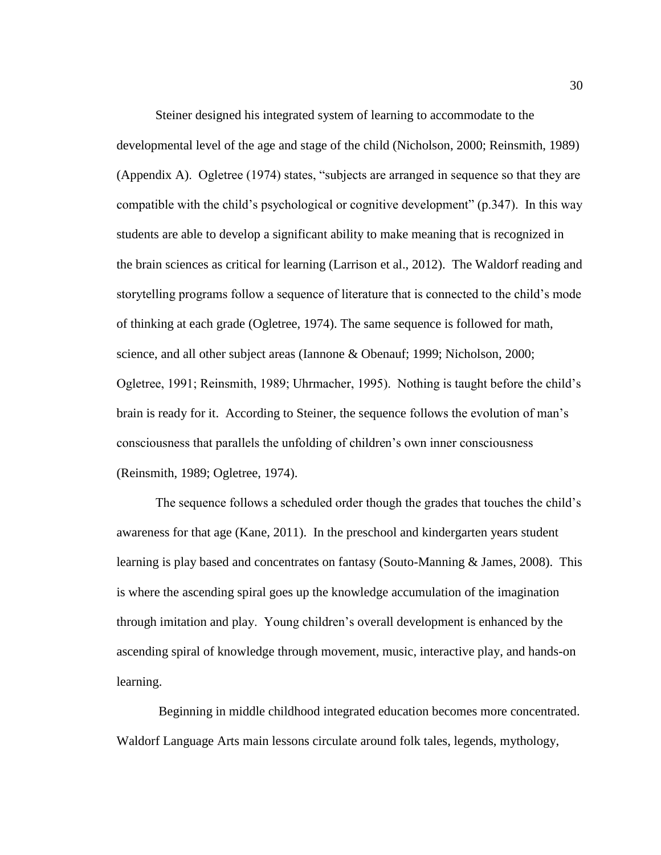Steiner designed his integrated system of learning to accommodate to the developmental level of the age and stage of the child (Nicholson, 2000; Reinsmith, 1989) (Appendix A). Ogletree (1974) states, "subjects are arranged in sequence so that they are compatible with the child's psychological or cognitive development" (p.347). In this way students are able to develop a significant ability to make meaning that is recognized in the brain sciences as critical for learning (Larrison et al., 2012). The Waldorf reading and storytelling programs follow a sequence of literature that is connected to the child's mode of thinking at each grade (Ogletree, 1974). The same sequence is followed for math, science, and all other subject areas (Iannone & Obenauf; 1999; Nicholson, 2000; Ogletree, 1991; Reinsmith, 1989; Uhrmacher, 1995). Nothing is taught before the child's brain is ready for it. According to Steiner, the sequence follows the evolution of man's consciousness that parallels the unfolding of children's own inner consciousness (Reinsmith, 1989; Ogletree, 1974).

The sequence follows a scheduled order though the grades that touches the child's awareness for that age (Kane, 2011). In the preschool and kindergarten years student learning is play based and concentrates on fantasy (Souto-Manning & James, 2008). This is where the ascending spiral goes up the knowledge accumulation of the imagination through imitation and play. Young children's overall development is enhanced by the ascending spiral of knowledge through movement, music, interactive play, and hands-on learning.

Beginning in middle childhood integrated education becomes more concentrated. Waldorf Language Arts main lessons circulate around folk tales, legends, mythology,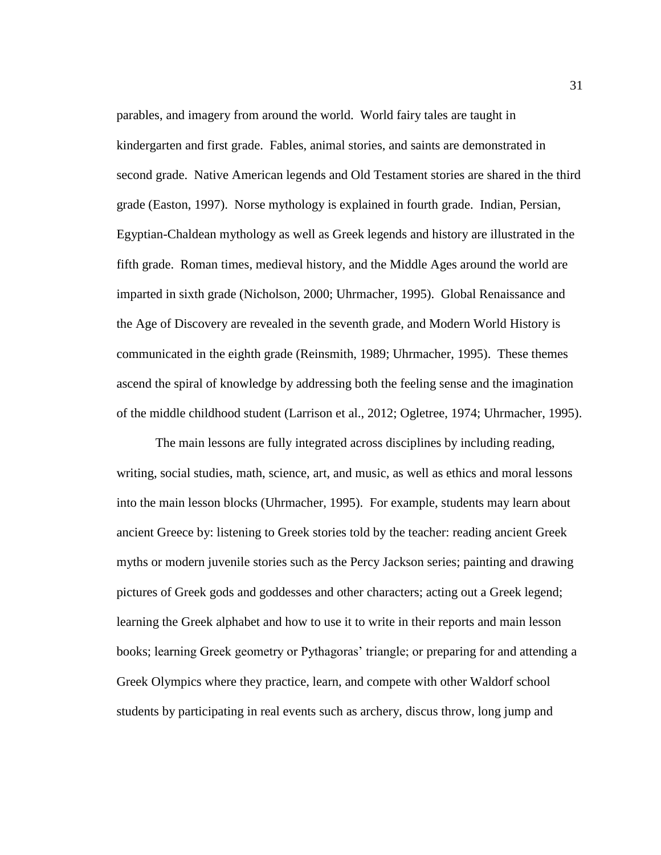parables, and imagery from around the world. World fairy tales are taught in kindergarten and first grade. Fables, animal stories, and saints are demonstrated in second grade. Native American legends and Old Testament stories are shared in the third grade (Easton, 1997). Norse mythology is explained in fourth grade. Indian, Persian, Egyptian-Chaldean mythology as well as Greek legends and history are illustrated in the fifth grade. Roman times, medieval history, and the Middle Ages around the world are imparted in sixth grade (Nicholson, 2000; Uhrmacher, 1995). Global Renaissance and the Age of Discovery are revealed in the seventh grade, and Modern World History is communicated in the eighth grade (Reinsmith, 1989; Uhrmacher, 1995). These themes ascend the spiral of knowledge by addressing both the feeling sense and the imagination of the middle childhood student (Larrison et al., 2012; Ogletree, 1974; Uhrmacher, 1995).

The main lessons are fully integrated across disciplines by including reading, writing, social studies, math, science, art, and music, as well as ethics and moral lessons into the main lesson blocks (Uhrmacher, 1995). For example, students may learn about ancient Greece by: listening to Greek stories told by the teacher: reading ancient Greek myths or modern juvenile stories such as the Percy Jackson series; painting and drawing pictures of Greek gods and goddesses and other characters; acting out a Greek legend; learning the Greek alphabet and how to use it to write in their reports and main lesson books; learning Greek geometry or Pythagoras' triangle; or preparing for and attending a Greek Olympics where they practice, learn, and compete with other Waldorf school students by participating in real events such as archery, discus throw, long jump and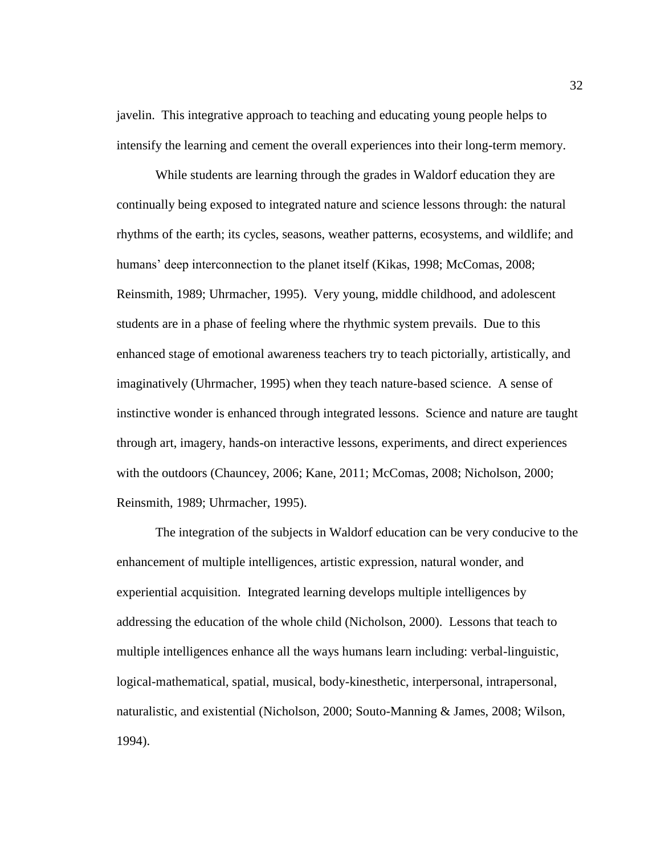javelin. This integrative approach to teaching and educating young people helps to intensify the learning and cement the overall experiences into their long-term memory.

While students are learning through the grades in Waldorf education they are continually being exposed to integrated nature and science lessons through: the natural rhythms of the earth; its cycles, seasons, weather patterns, ecosystems, and wildlife; and humans' deep interconnection to the planet itself (Kikas, 1998; McComas, 2008; Reinsmith, 1989; Uhrmacher, 1995). Very young, middle childhood, and adolescent students are in a phase of feeling where the rhythmic system prevails. Due to this enhanced stage of emotional awareness teachers try to teach pictorially, artistically, and imaginatively (Uhrmacher, 1995) when they teach nature-based science. A sense of instinctive wonder is enhanced through integrated lessons. Science and nature are taught through art, imagery, hands-on interactive lessons, experiments, and direct experiences with the outdoors (Chauncey, 2006; Kane, 2011; McComas, 2008; Nicholson, 2000; Reinsmith, 1989; Uhrmacher, 1995).

The integration of the subjects in Waldorf education can be very conducive to the enhancement of multiple intelligences, artistic expression, natural wonder, and experiential acquisition. Integrated learning develops multiple intelligences by addressing the education of the whole child (Nicholson, 2000). Lessons that teach to multiple intelligences enhance all the ways humans learn including: verbal-linguistic, logical-mathematical, spatial, musical, body-kinesthetic, interpersonal, intrapersonal, naturalistic, and existential (Nicholson, 2000; Souto-Manning & James, 2008; Wilson, 1994).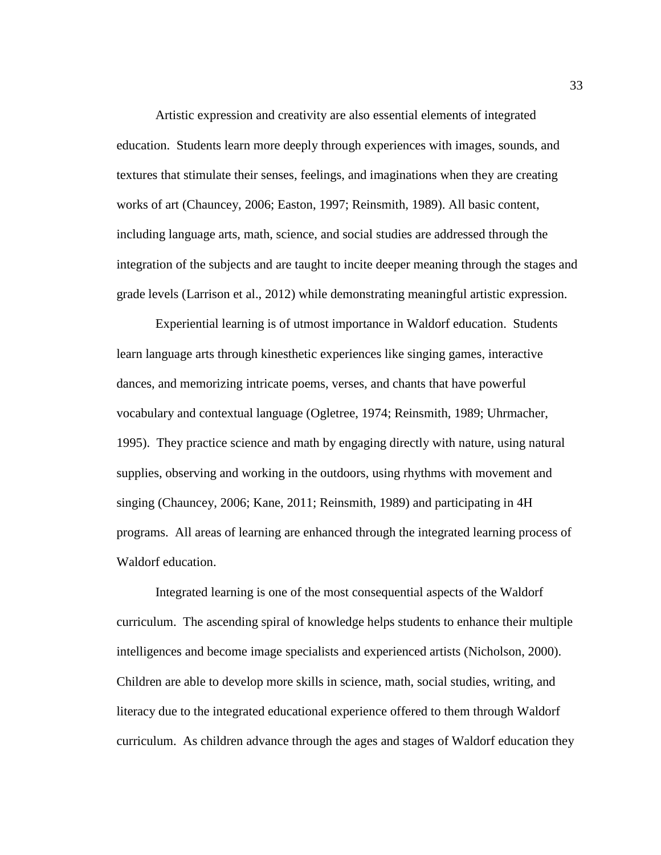Artistic expression and creativity are also essential elements of integrated education. Students learn more deeply through experiences with images, sounds, and textures that stimulate their senses, feelings, and imaginations when they are creating works of art (Chauncey, 2006; Easton, 1997; Reinsmith, 1989). All basic content, including language arts, math, science, and social studies are addressed through the integration of the subjects and are taught to incite deeper meaning through the stages and grade levels (Larrison et al., 2012) while demonstrating meaningful artistic expression.

Experiential learning is of utmost importance in Waldorf education. Students learn language arts through kinesthetic experiences like singing games, interactive dances, and memorizing intricate poems, verses, and chants that have powerful vocabulary and contextual language (Ogletree, 1974; Reinsmith, 1989; Uhrmacher, 1995). They practice science and math by engaging directly with nature, using natural supplies, observing and working in the outdoors, using rhythms with movement and singing (Chauncey, 2006; Kane, 2011; Reinsmith, 1989) and participating in 4H programs. All areas of learning are enhanced through the integrated learning process of Waldorf education.

Integrated learning is one of the most consequential aspects of the Waldorf curriculum. The ascending spiral of knowledge helps students to enhance their multiple intelligences and become image specialists and experienced artists (Nicholson, 2000). Children are able to develop more skills in science, math, social studies, writing, and literacy due to the integrated educational experience offered to them through Waldorf curriculum. As children advance through the ages and stages of Waldorf education they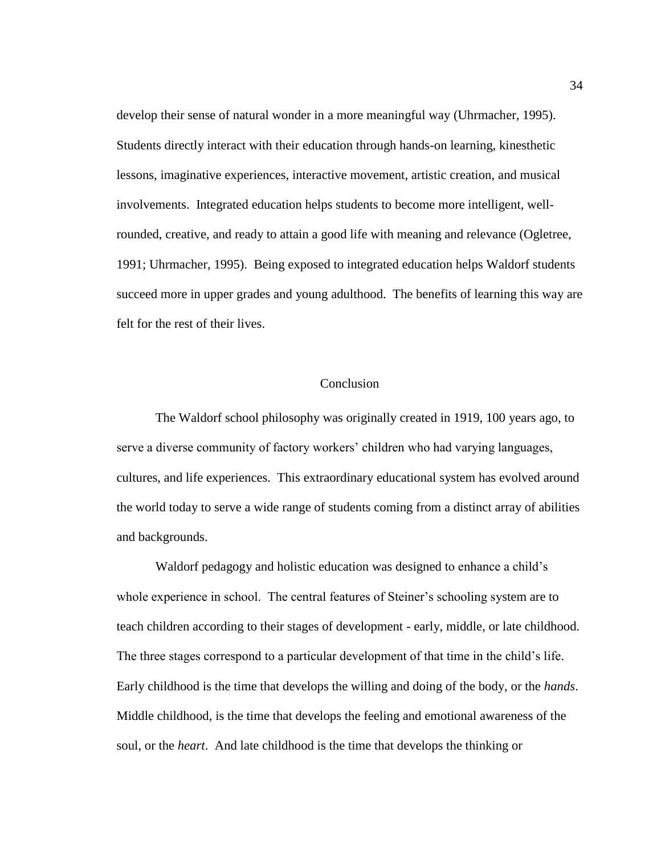develop their sense of natural wonder in a more meaningful way (Uhrmacher, 1995). Students directly interact with their education through hands-on learning, kinesthetic lessons, imaginative experiences, interactive movement, artistic creation, and musical involvements. Integrated education helps students to become more intelligent, wellrounded, creative, and ready to attain a good life with meaning and relevance (Ogletree, 1991; Uhrmacher, 1995). Being exposed to integrated education helps Waldorf students succeed more in upper grades and young adulthood. The benefits of learning this way are felt for the rest of their lives.

### Conclusion

The Waldorf school philosophy was originally created in 1919, 100 years ago, to serve a diverse community of factory workers' children who had varying languages, cultures, and life experiences. This extraordinary educational system has evolved around the world today to serve a wide range of students coming from a distinct array of abilities and backgrounds.

Waldorf pedagogy and holistic education was designed to enhance a child's whole experience in school. The central features of Steiner's schooling system are to teach children according to their stages of development - early, middle, or late childhood. The three stages correspond to a particular development of that time in the child's life. Early childhood is the time that develops the willing and doing of the body, or the *hands*. Middle childhood, is the time that develops the feeling and emotional awareness of the soul, or the *heart*. And late childhood is the time that develops the thinking or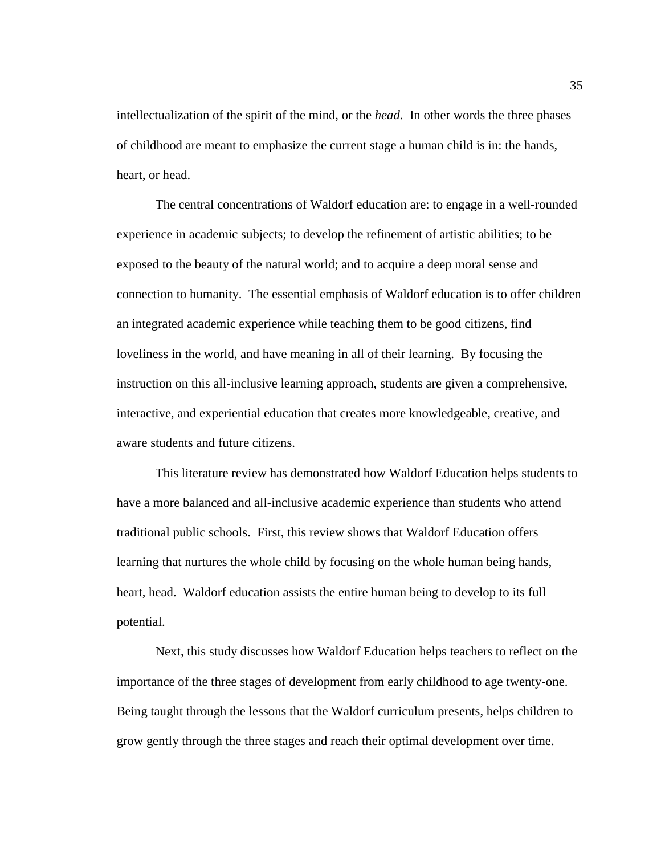intellectualization of the spirit of the mind, or the *head*. In other words the three phases of childhood are meant to emphasize the current stage a human child is in: the hands, heart, or head.

The central concentrations of Waldorf education are: to engage in a well-rounded experience in academic subjects; to develop the refinement of artistic abilities; to be exposed to the beauty of the natural world; and to acquire a deep moral sense and connection to humanity. The essential emphasis of Waldorf education is to offer children an integrated academic experience while teaching them to be good citizens, find loveliness in the world, and have meaning in all of their learning. By focusing the instruction on this all-inclusive learning approach, students are given a comprehensive, interactive, and experiential education that creates more knowledgeable, creative, and aware students and future citizens.

This literature review has demonstrated how Waldorf Education helps students to have a more balanced and all-inclusive academic experience than students who attend traditional public schools. First, this review shows that Waldorf Education offers learning that nurtures the whole child by focusing on the whole human being hands, heart, head. Waldorf education assists the entire human being to develop to its full potential.

Next, this study discusses how Waldorf Education helps teachers to reflect on the importance of the three stages of development from early childhood to age twenty-one. Being taught through the lessons that the Waldorf curriculum presents, helps children to grow gently through the three stages and reach their optimal development over time.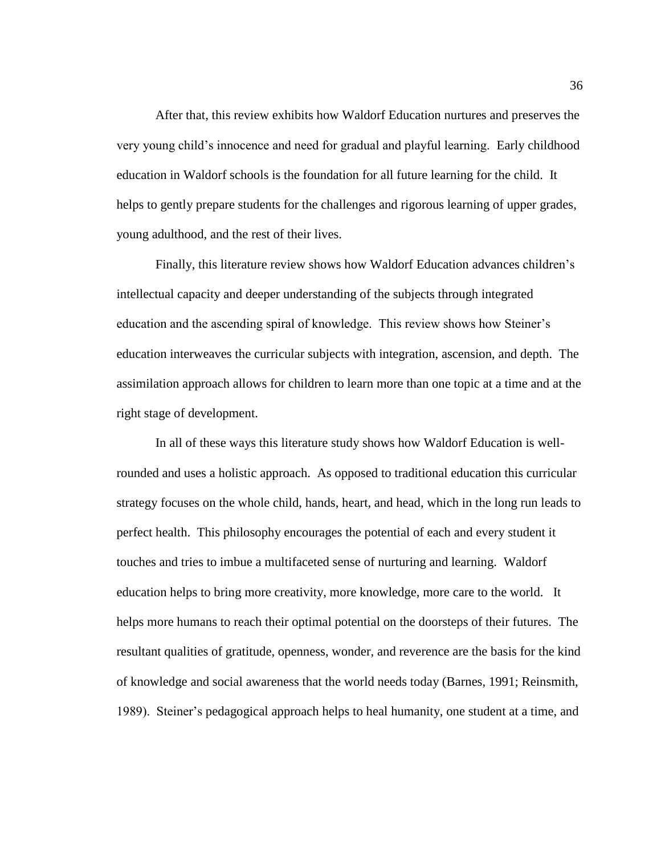After that, this review exhibits how Waldorf Education nurtures and preserves the very young child's innocence and need for gradual and playful learning. Early childhood education in Waldorf schools is the foundation for all future learning for the child. It helps to gently prepare students for the challenges and rigorous learning of upper grades, young adulthood, and the rest of their lives.

Finally, this literature review shows how Waldorf Education advances children's intellectual capacity and deeper understanding of the subjects through integrated education and the ascending spiral of knowledge. This review shows how Steiner's education interweaves the curricular subjects with integration, ascension, and depth. The assimilation approach allows for children to learn more than one topic at a time and at the right stage of development.

In all of these ways this literature study shows how Waldorf Education is wellrounded and uses a holistic approach. As opposed to traditional education this curricular strategy focuses on the whole child, hands, heart, and head, which in the long run leads to perfect health. This philosophy encourages the potential of each and every student it touches and tries to imbue a multifaceted sense of nurturing and learning. Waldorf education helps to bring more creativity, more knowledge, more care to the world. It helps more humans to reach their optimal potential on the doorsteps of their futures. The resultant qualities of gratitude, openness, wonder, and reverence are the basis for the kind of knowledge and social awareness that the world needs today (Barnes, 1991; Reinsmith, 1989). Steiner's pedagogical approach helps to heal humanity, one student at a time, and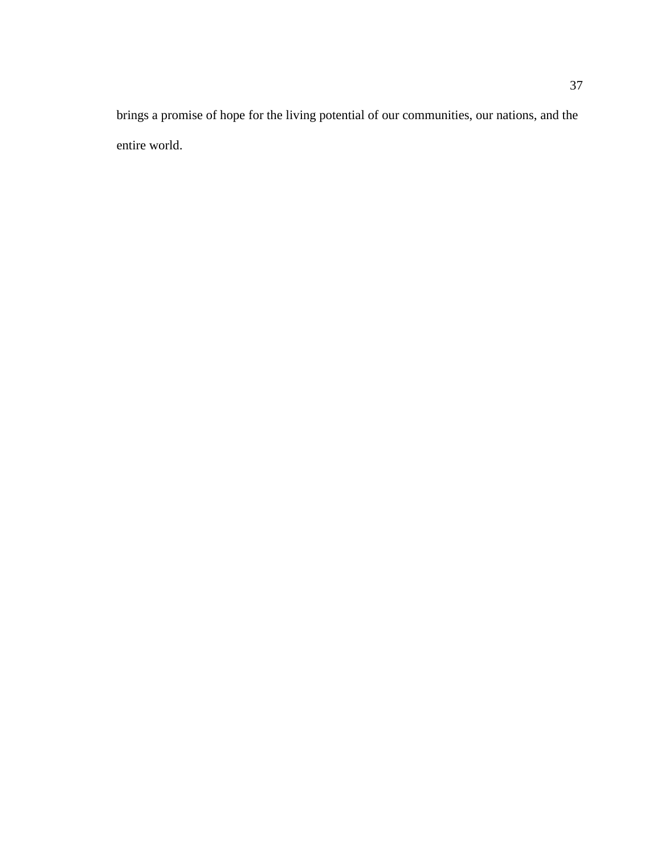brings a promise of hope for the living potential of our communities, our nations, and the entire world.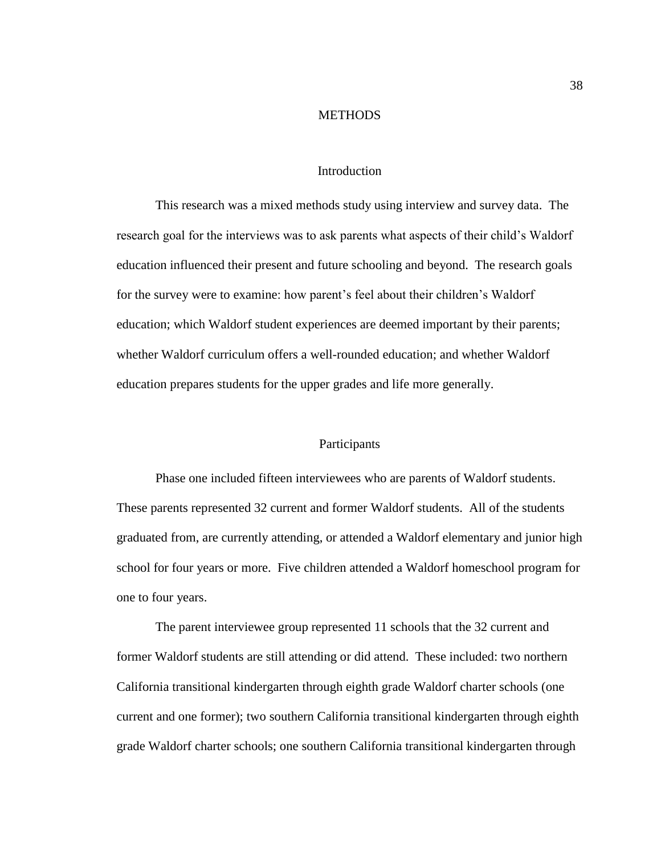#### **METHODS**

### Introduction

This research was a mixed methods study using interview and survey data. The research goal for the interviews was to ask parents what aspects of their child's Waldorf education influenced their present and future schooling and beyond. The research goals for the survey were to examine: how parent's feel about their children's Waldorf education; which Waldorf student experiences are deemed important by their parents; whether Waldorf curriculum offers a well-rounded education; and whether Waldorf education prepares students for the upper grades and life more generally.

#### Participants

Phase one included fifteen interviewees who are parents of Waldorf students. These parents represented 32 current and former Waldorf students. All of the students graduated from, are currently attending, or attended a Waldorf elementary and junior high school for four years or more. Five children attended a Waldorf homeschool program for one to four years.

The parent interviewee group represented 11 schools that the 32 current and former Waldorf students are still attending or did attend. These included: two northern California transitional kindergarten through eighth grade Waldorf charter schools (one current and one former); two southern California transitional kindergarten through eighth grade Waldorf charter schools; one southern California transitional kindergarten through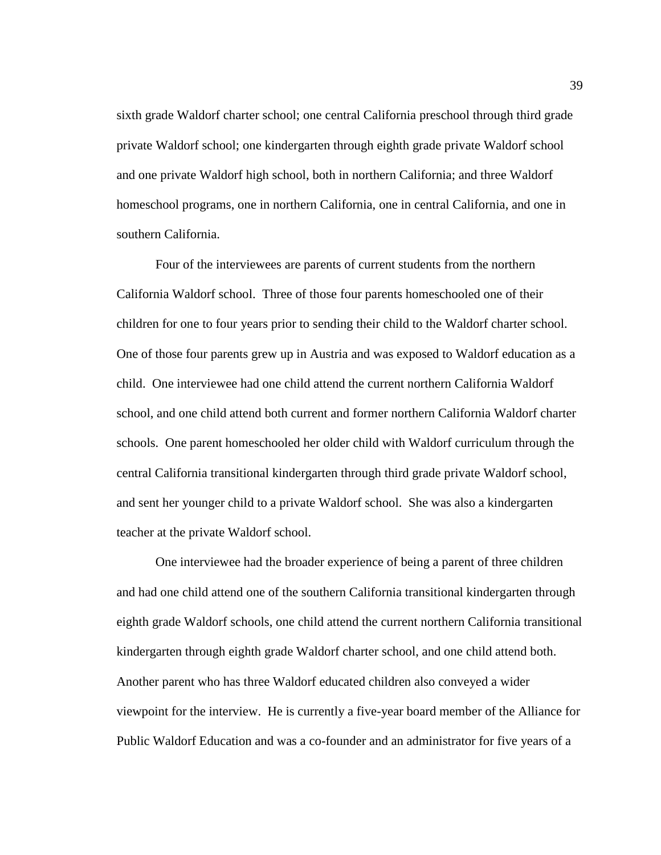sixth grade Waldorf charter school; one central California preschool through third grade private Waldorf school; one kindergarten through eighth grade private Waldorf school and one private Waldorf high school, both in northern California; and three Waldorf homeschool programs, one in northern California, one in central California, and one in southern California.

Four of the interviewees are parents of current students from the northern California Waldorf school. Three of those four parents homeschooled one of their children for one to four years prior to sending their child to the Waldorf charter school. One of those four parents grew up in Austria and was exposed to Waldorf education as a child. One interviewee had one child attend the current northern California Waldorf school, and one child attend both current and former northern California Waldorf charter schools. One parent homeschooled her older child with Waldorf curriculum through the central California transitional kindergarten through third grade private Waldorf school, and sent her younger child to a private Waldorf school. She was also a kindergarten teacher at the private Waldorf school.

One interviewee had the broader experience of being a parent of three children and had one child attend one of the southern California transitional kindergarten through eighth grade Waldorf schools, one child attend the current northern California transitional kindergarten through eighth grade Waldorf charter school, and one child attend both. Another parent who has three Waldorf educated children also conveyed a wider viewpoint for the interview. He is currently a five-year board member of the Alliance for Public Waldorf Education and was a co-founder and an administrator for five years of a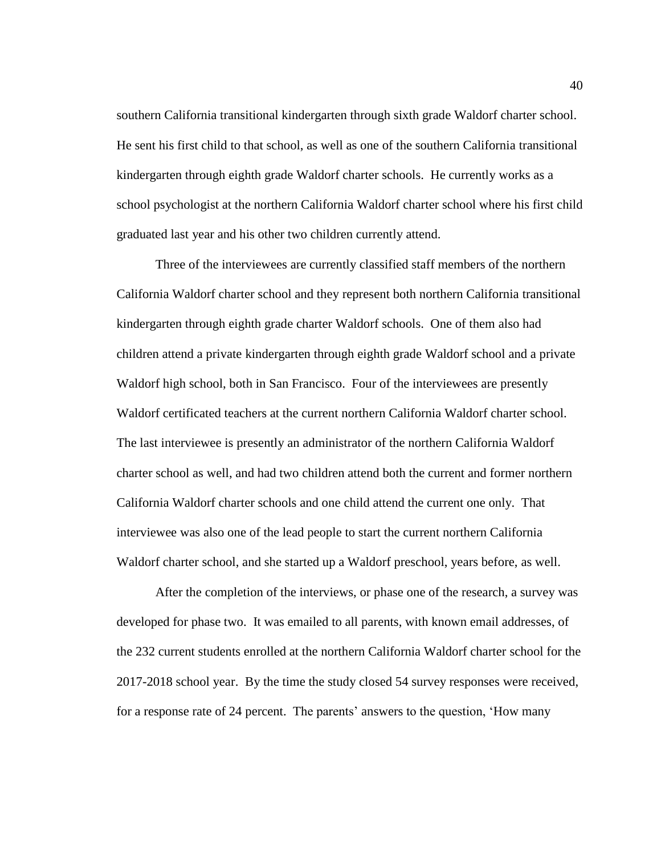southern California transitional kindergarten through sixth grade Waldorf charter school. He sent his first child to that school, as well as one of the southern California transitional kindergarten through eighth grade Waldorf charter schools. He currently works as a school psychologist at the northern California Waldorf charter school where his first child graduated last year and his other two children currently attend.

Three of the interviewees are currently classified staff members of the northern California Waldorf charter school and they represent both northern California transitional kindergarten through eighth grade charter Waldorf schools. One of them also had children attend a private kindergarten through eighth grade Waldorf school and a private Waldorf high school, both in San Francisco. Four of the interviewees are presently Waldorf certificated teachers at the current northern California Waldorf charter school. The last interviewee is presently an administrator of the northern California Waldorf charter school as well, and had two children attend both the current and former northern California Waldorf charter schools and one child attend the current one only. That interviewee was also one of the lead people to start the current northern California Waldorf charter school, and she started up a Waldorf preschool, years before, as well.

After the completion of the interviews, or phase one of the research, a survey was developed for phase two. It was emailed to all parents, with known email addresses, of the 232 current students enrolled at the northern California Waldorf charter school for the 2017-2018 school year. By the time the study closed 54 survey responses were received, for a response rate of 24 percent. The parents' answers to the question, 'How many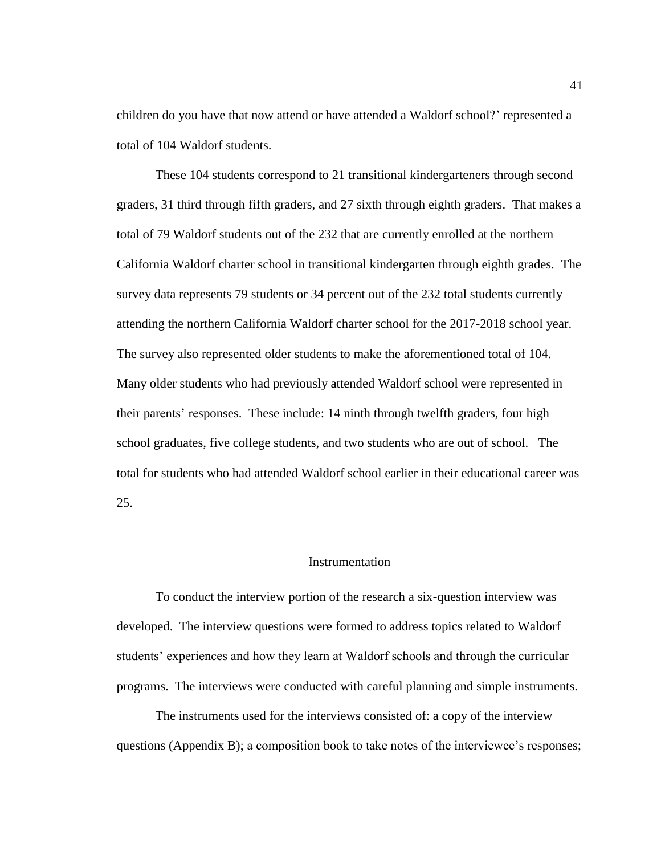children do you have that now attend or have attended a Waldorf school?' represented a total of 104 Waldorf students.

These 104 students correspond to 21 transitional kindergarteners through second graders, 31 third through fifth graders, and 27 sixth through eighth graders. That makes a total of 79 Waldorf students out of the 232 that are currently enrolled at the northern California Waldorf charter school in transitional kindergarten through eighth grades. The survey data represents 79 students or 34 percent out of the 232 total students currently attending the northern California Waldorf charter school for the 2017-2018 school year. The survey also represented older students to make the aforementioned total of 104. Many older students who had previously attended Waldorf school were represented in their parents' responses. These include: 14 ninth through twelfth graders, four high school graduates, five college students, and two students who are out of school. The total for students who had attended Waldorf school earlier in their educational career was 25.

#### Instrumentation

To conduct the interview portion of the research a six-question interview was developed. The interview questions were formed to address topics related to Waldorf students' experiences and how they learn at Waldorf schools and through the curricular programs. The interviews were conducted with careful planning and simple instruments.

The instruments used for the interviews consisted of: a copy of the interview questions (Appendix B); a composition book to take notes of the interviewee's responses;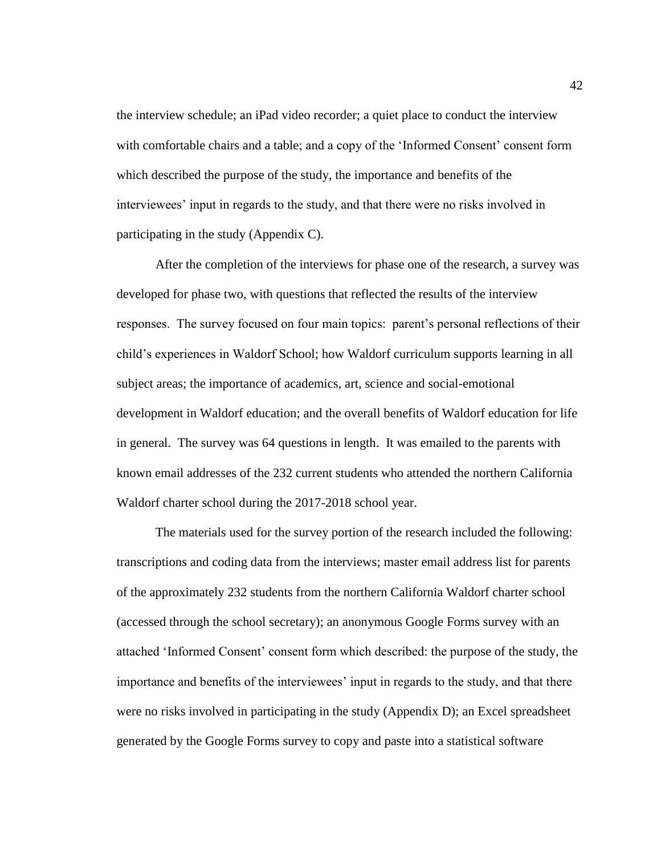the interview schedule; an iPad video recorder; a quiet place to conduct the interview with comfortable chairs and a table; and a copy of the 'Informed Consent' consent form which described the purpose of the study, the importance and benefits of the interviewees' input in regards to the study, and that there were no risks involved in participating in the study (Appendix C).

After the completion of the interviews for phase one of the research, a survey was developed for phase two, with questions that reflected the results of the interview responses. The survey focused on four main topics: parent's personal reflections of their child's experiences in Waldorf School; how Waldorf curriculum supports learning in all subject areas; the importance of academics, art, science and social-emotional development in Waldorf education; and the overall benefits of Waldorf education for life in general. The survey was 64 questions in length. It was emailed to the parents with known email addresses of the 232 current students who attended the northern California Waldorf charter school during the 2017-2018 school year.

The materials used for the survey portion of the research included the following: transcriptions and coding data from the interviews; master email address list for parents of the approximately 232 students from the northern California Waldorf charter school (accessed through the school secretary); an anonymous Google Forms survey with an attached 'Informed Consent' consent form which described: the purpose of the study, the importance and benefits of the interviewees' input in regards to the study, and that there were no risks involved in participating in the study (Appendix D); an Excel spreadsheet generated by the Google Forms survey to copy and paste into a statistical software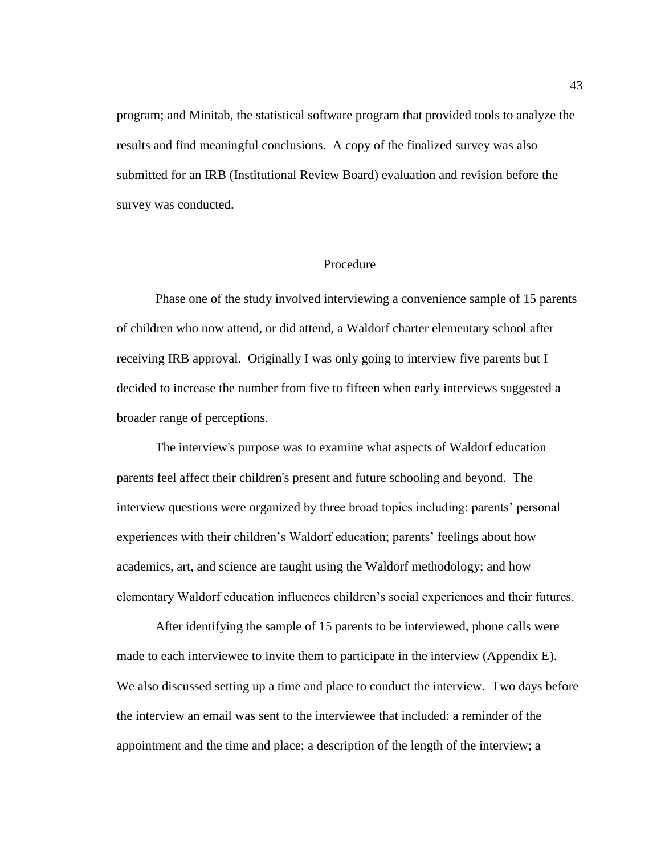program; and Minitab, the statistical software program that provided tools to analyze the results and find meaningful conclusions. A copy of the finalized survey was also submitted for an IRB (Institutional Review Board) evaluation and revision before the survey was conducted.

### Procedure

Phase one of the study involved interviewing a convenience sample of 15 parents of children who now attend, or did attend, a Waldorf charter elementary school after receiving IRB approval. Originally I was only going to interview five parents but I decided to increase the number from five to fifteen when early interviews suggested a broader range of perceptions.

The interview's purpose was to examine what aspects of Waldorf education parents feel affect their children's present and future schooling and beyond. The interview questions were organized by three broad topics including: parents' personal experiences with their children's Waldorf education; parents' feelings about how academics, art, and science are taught using the Waldorf methodology; and how elementary Waldorf education influences children's social experiences and their futures.

After identifying the sample of 15 parents to be interviewed, phone calls were made to each interviewee to invite them to participate in the interview (Appendix E). We also discussed setting up a time and place to conduct the interview. Two days before the interview an email was sent to the interviewee that included: a reminder of the appointment and the time and place; a description of the length of the interview; a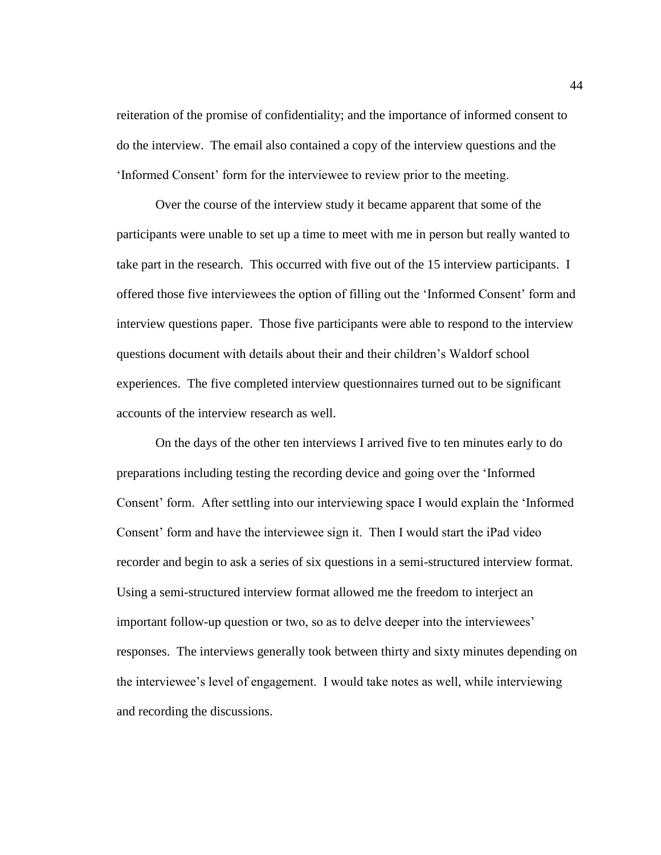reiteration of the promise of confidentiality; and the importance of informed consent to do the interview. The email also contained a copy of the interview questions and the 'Informed Consent' form for the interviewee to review prior to the meeting.

Over the course of the interview study it became apparent that some of the participants were unable to set up a time to meet with me in person but really wanted to take part in the research. This occurred with five out of the 15 interview participants. I offered those five interviewees the option of filling out the 'Informed Consent' form and interview questions paper. Those five participants were able to respond to the interview questions document with details about their and their children's Waldorf school experiences. The five completed interview questionnaires turned out to be significant accounts of the interview research as well.

On the days of the other ten interviews I arrived five to ten minutes early to do preparations including testing the recording device and going over the 'Informed Consent' form. After settling into our interviewing space I would explain the 'Informed Consent' form and have the interviewee sign it. Then I would start the iPad video recorder and begin to ask a series of six questions in a semi-structured interview format. Using a semi-structured interview format allowed me the freedom to interject an important follow-up question or two, so as to delve deeper into the interviewees' responses. The interviews generally took between thirty and sixty minutes depending on the interviewee's level of engagement. I would take notes as well, while interviewing and recording the discussions.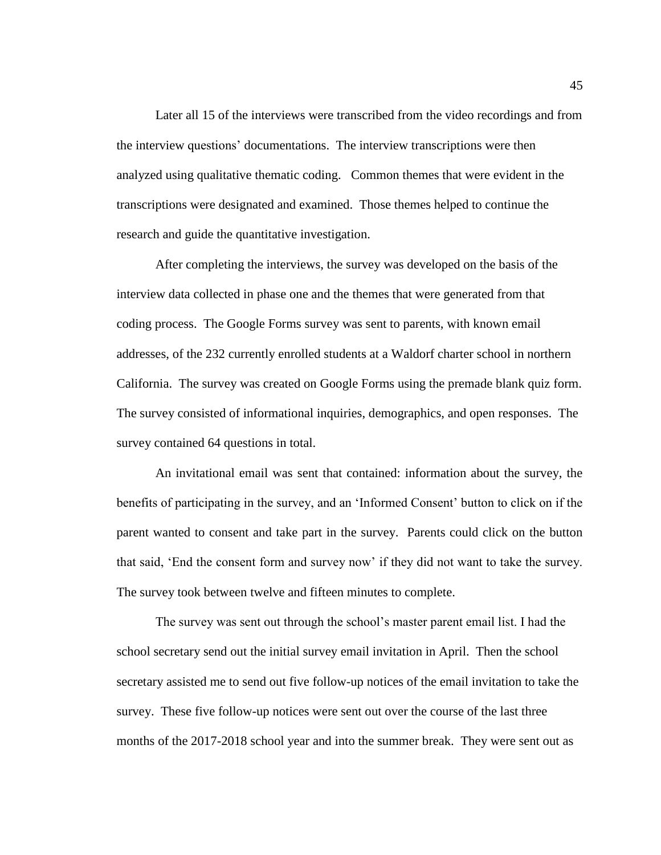Later all 15 of the interviews were transcribed from the video recordings and from the interview questions' documentations. The interview transcriptions were then analyzed using qualitative thematic coding. Common themes that were evident in the transcriptions were designated and examined. Those themes helped to continue the research and guide the quantitative investigation.

After completing the interviews, the survey was developed on the basis of the interview data collected in phase one and the themes that were generated from that coding process. The Google Forms survey was sent to parents, with known email addresses, of the 232 currently enrolled students at a Waldorf charter school in northern California. The survey was created on Google Forms using the premade blank quiz form. The survey consisted of informational inquiries, demographics, and open responses. The survey contained 64 questions in total.

An invitational email was sent that contained: information about the survey, the benefits of participating in the survey, and an 'Informed Consent' button to click on if the parent wanted to consent and take part in the survey. Parents could click on the button that said, 'End the consent form and survey now' if they did not want to take the survey. The survey took between twelve and fifteen minutes to complete.

The survey was sent out through the school's master parent email list. I had the school secretary send out the initial survey email invitation in April. Then the school secretary assisted me to send out five follow-up notices of the email invitation to take the survey. These five follow-up notices were sent out over the course of the last three months of the 2017-2018 school year and into the summer break. They were sent out as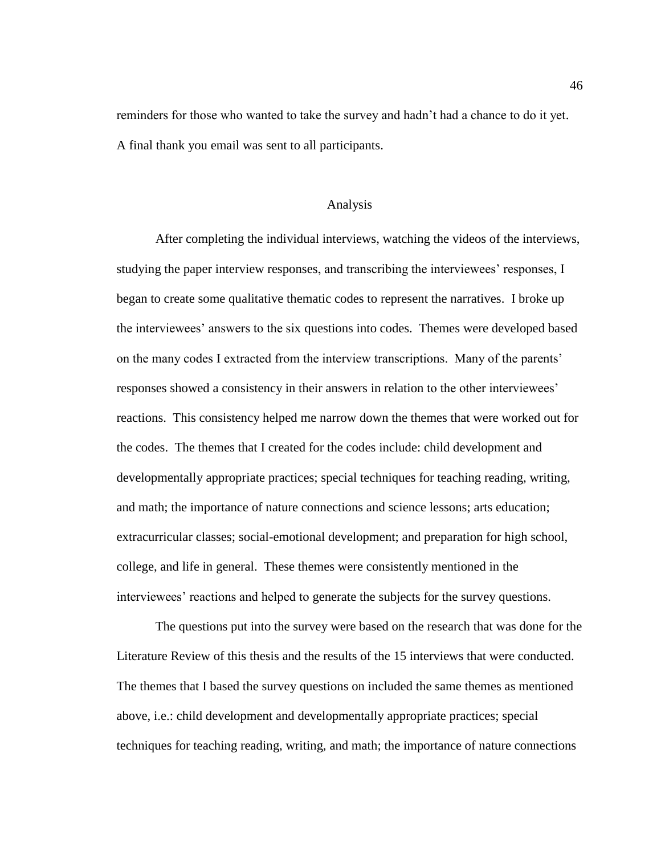reminders for those who wanted to take the survey and hadn't had a chance to do it yet. A final thank you email was sent to all participants.

#### Analysis

After completing the individual interviews, watching the videos of the interviews, studying the paper interview responses, and transcribing the interviewees' responses, I began to create some qualitative thematic codes to represent the narratives. I broke up the interviewees' answers to the six questions into codes. Themes were developed based on the many codes I extracted from the interview transcriptions. Many of the parents' responses showed a consistency in their answers in relation to the other interviewees' reactions. This consistency helped me narrow down the themes that were worked out for the codes. The themes that I created for the codes include: child development and developmentally appropriate practices; special techniques for teaching reading, writing, and math; the importance of nature connections and science lessons; arts education; extracurricular classes; social-emotional development; and preparation for high school, college, and life in general. These themes were consistently mentioned in the interviewees' reactions and helped to generate the subjects for the survey questions.

The questions put into the survey were based on the research that was done for the Literature Review of this thesis and the results of the 15 interviews that were conducted. The themes that I based the survey questions on included the same themes as mentioned above, i.e.: child development and developmentally appropriate practices; special techniques for teaching reading, writing, and math; the importance of nature connections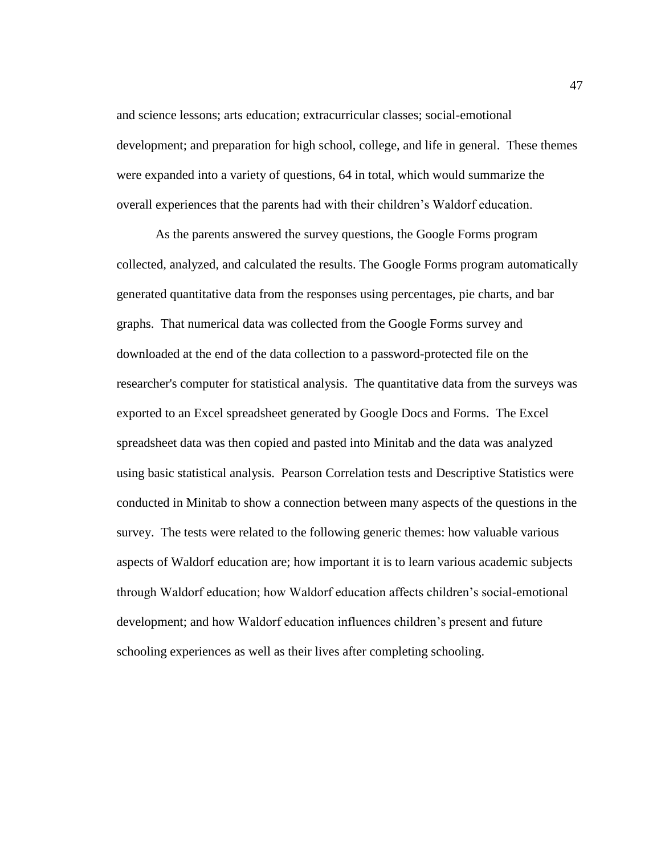and science lessons; arts education; extracurricular classes; social-emotional development; and preparation for high school, college, and life in general. These themes were expanded into a variety of questions, 64 in total, which would summarize the overall experiences that the parents had with their children's Waldorf education.

As the parents answered the survey questions, the Google Forms program collected, analyzed, and calculated the results. The Google Forms program automatically generated quantitative data from the responses using percentages, pie charts, and bar graphs. That numerical data was collected from the Google Forms survey and downloaded at the end of the data collection to a password-protected file on the researcher's computer for statistical analysis. The quantitative data from the surveys was exported to an Excel spreadsheet generated by Google Docs and Forms. The Excel spreadsheet data was then copied and pasted into Minitab and the data was analyzed using basic statistical analysis. Pearson Correlation tests and Descriptive Statistics were conducted in Minitab to show a connection between many aspects of the questions in the survey. The tests were related to the following generic themes: how valuable various aspects of Waldorf education are; how important it is to learn various academic subjects through Waldorf education; how Waldorf education affects children's social-emotional development; and how Waldorf education influences children's present and future schooling experiences as well as their lives after completing schooling.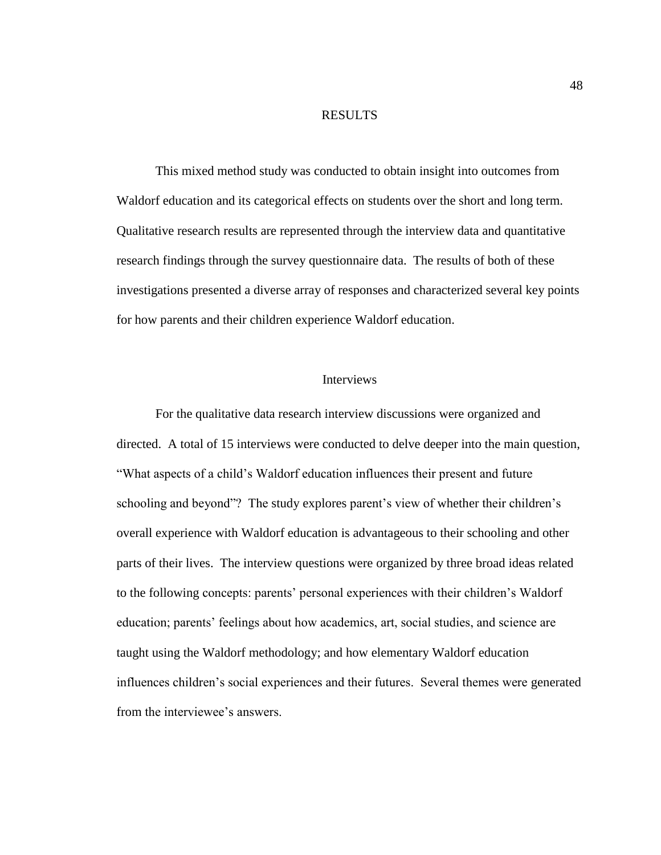#### RESULTS

This mixed method study was conducted to obtain insight into outcomes from Waldorf education and its categorical effects on students over the short and long term. Qualitative research results are represented through the interview data and quantitative research findings through the survey questionnaire data. The results of both of these investigations presented a diverse array of responses and characterized several key points for how parents and their children experience Waldorf education.

## **Interviews**

For the qualitative data research interview discussions were organized and directed. A total of 15 interviews were conducted to delve deeper into the main question, "What aspects of a child's Waldorf education influences their present and future schooling and beyond"? The study explores parent's view of whether their children's overall experience with Waldorf education is advantageous to their schooling and other parts of their lives. The interview questions were organized by three broad ideas related to the following concepts: parents' personal experiences with their children's Waldorf education; parents' feelings about how academics, art, social studies, and science are taught using the Waldorf methodology; and how elementary Waldorf education influences children's social experiences and their futures. Several themes were generated from the interviewee's answers.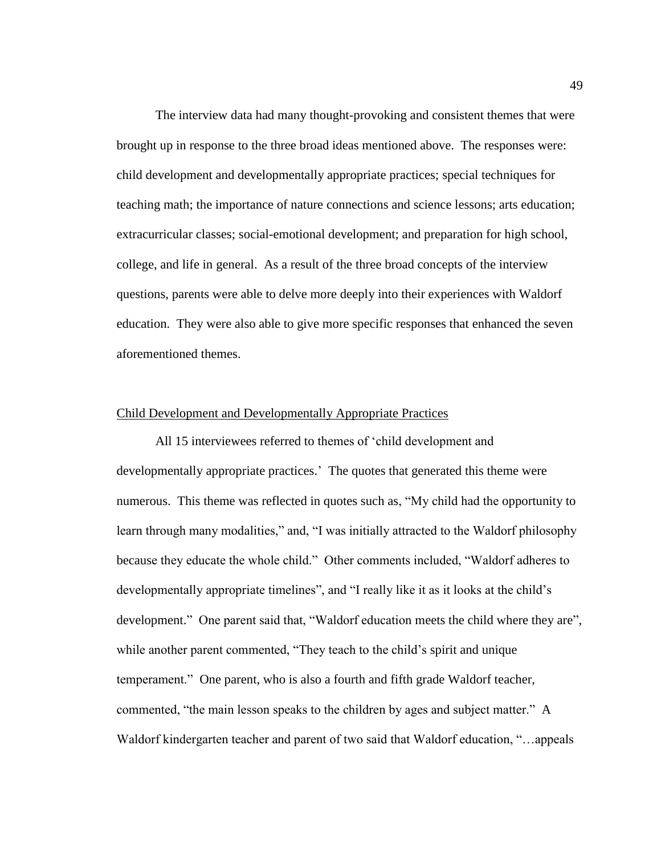The interview data had many thought-provoking and consistent themes that were brought up in response to the three broad ideas mentioned above. The responses were: child development and developmentally appropriate practices; special techniques for teaching math; the importance of nature connections and science lessons; arts education; extracurricular classes; social-emotional development; and preparation for high school, college, and life in general. As a result of the three broad concepts of the interview questions, parents were able to delve more deeply into their experiences with Waldorf education. They were also able to give more specific responses that enhanced the seven aforementioned themes.

### Child Development and Developmentally Appropriate Practices

All 15 interviewees referred to themes of 'child development and developmentally appropriate practices.' The quotes that generated this theme were numerous. This theme was reflected in quotes such as, "My child had the opportunity to learn through many modalities," and, "I was initially attracted to the Waldorf philosophy because they educate the whole child." Other comments included, "Waldorf adheres to developmentally appropriate timelines", and "I really like it as it looks at the child's development." One parent said that, "Waldorf education meets the child where they are", while another parent commented, "They teach to the child's spirit and unique temperament." One parent, who is also a fourth and fifth grade Waldorf teacher, commented, "the main lesson speaks to the children by ages and subject matter." A Waldorf kindergarten teacher and parent of two said that Waldorf education, "…appeals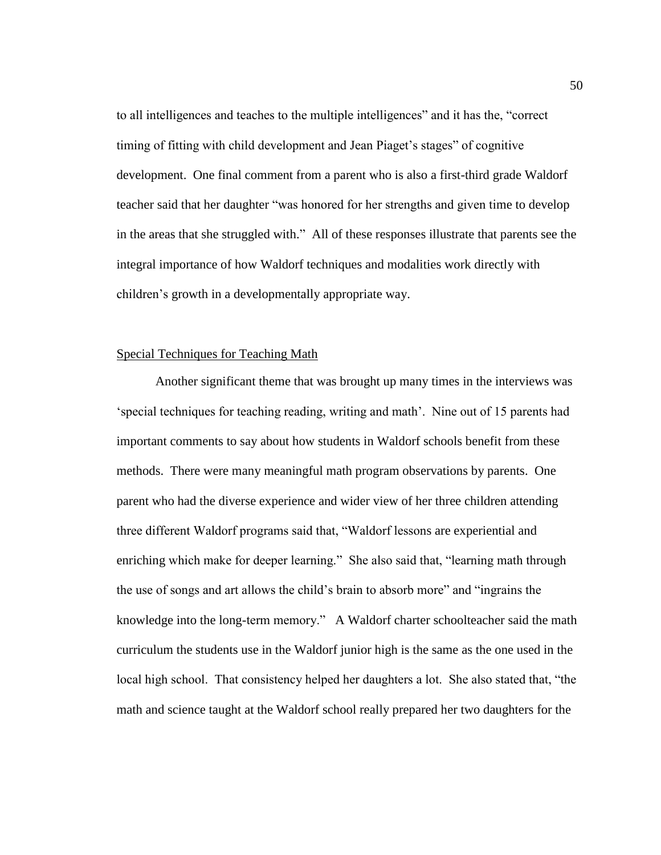to all intelligences and teaches to the multiple intelligences" and it has the, "correct timing of fitting with child development and Jean Piaget's stages" of cognitive development. One final comment from a parent who is also a first-third grade Waldorf teacher said that her daughter "was honored for her strengths and given time to develop in the areas that she struggled with." All of these responses illustrate that parents see the integral importance of how Waldorf techniques and modalities work directly with children's growth in a developmentally appropriate way.

## Special Techniques for Teaching Math

Another significant theme that was brought up many times in the interviews was 'special techniques for teaching reading, writing and math'. Nine out of 15 parents had important comments to say about how students in Waldorf schools benefit from these methods. There were many meaningful math program observations by parents. One parent who had the diverse experience and wider view of her three children attending three different Waldorf programs said that, "Waldorf lessons are experiential and enriching which make for deeper learning." She also said that, "learning math through the use of songs and art allows the child's brain to absorb more" and "ingrains the knowledge into the long-term memory." A Waldorf charter schoolteacher said the math curriculum the students use in the Waldorf junior high is the same as the one used in the local high school. That consistency helped her daughters a lot. She also stated that, "the math and science taught at the Waldorf school really prepared her two daughters for the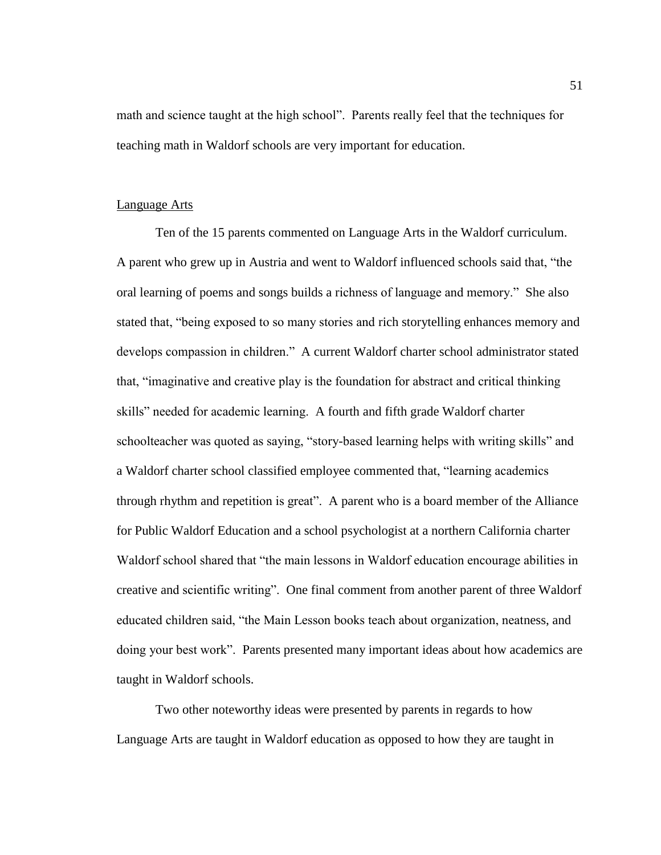math and science taught at the high school". Parents really feel that the techniques for teaching math in Waldorf schools are very important for education.

#### Language Arts

Ten of the 15 parents commented on Language Arts in the Waldorf curriculum. A parent who grew up in Austria and went to Waldorf influenced schools said that, "the oral learning of poems and songs builds a richness of language and memory." She also stated that, "being exposed to so many stories and rich storytelling enhances memory and develops compassion in children." A current Waldorf charter school administrator stated that, "imaginative and creative play is the foundation for abstract and critical thinking skills" needed for academic learning. A fourth and fifth grade Waldorf charter schoolteacher was quoted as saying, "story-based learning helps with writing skills" and a Waldorf charter school classified employee commented that, "learning academics through rhythm and repetition is great". A parent who is a board member of the Alliance for Public Waldorf Education and a school psychologist at a northern California charter Waldorf school shared that "the main lessons in Waldorf education encourage abilities in creative and scientific writing". One final comment from another parent of three Waldorf educated children said, "the Main Lesson books teach about organization, neatness, and doing your best work". Parents presented many important ideas about how academics are taught in Waldorf schools.

Two other noteworthy ideas were presented by parents in regards to how Language Arts are taught in Waldorf education as opposed to how they are taught in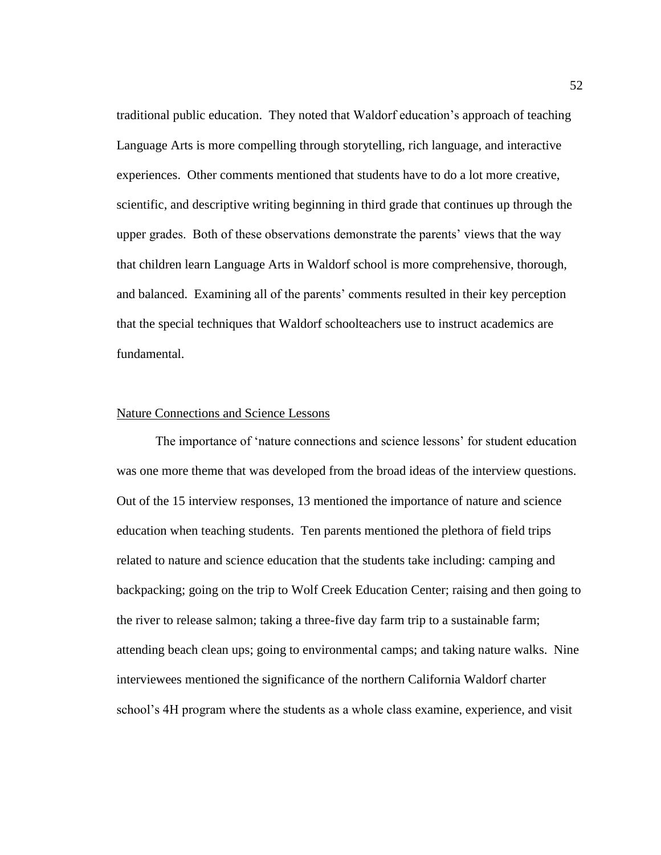traditional public education. They noted that Waldorf education's approach of teaching Language Arts is more compelling through storytelling, rich language, and interactive experiences. Other comments mentioned that students have to do a lot more creative, scientific, and descriptive writing beginning in third grade that continues up through the upper grades. Both of these observations demonstrate the parents' views that the way that children learn Language Arts in Waldorf school is more comprehensive, thorough, and balanced. Examining all of the parents' comments resulted in their key perception that the special techniques that Waldorf schoolteachers use to instruct academics are fundamental.

### Nature Connections and Science Lessons

The importance of 'nature connections and science lessons' for student education was one more theme that was developed from the broad ideas of the interview questions. Out of the 15 interview responses, 13 mentioned the importance of nature and science education when teaching students. Ten parents mentioned the plethora of field trips related to nature and science education that the students take including: camping and backpacking; going on the trip to Wolf Creek Education Center; raising and then going to the river to release salmon; taking a three-five day farm trip to a sustainable farm; attending beach clean ups; going to environmental camps; and taking nature walks. Nine interviewees mentioned the significance of the northern California Waldorf charter school's 4H program where the students as a whole class examine, experience, and visit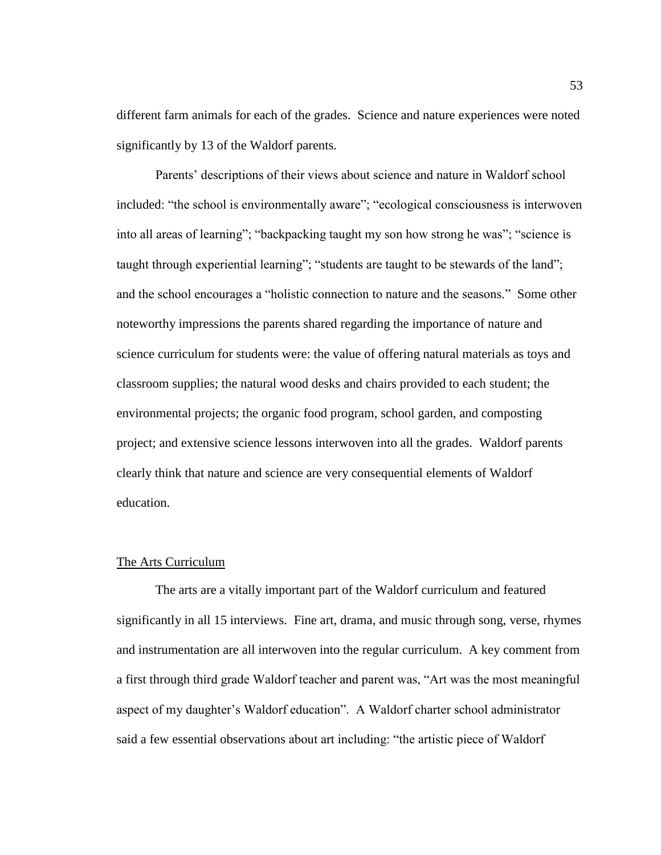different farm animals for each of the grades. Science and nature experiences were noted significantly by 13 of the Waldorf parents.

Parents' descriptions of their views about science and nature in Waldorf school included: "the school is environmentally aware"; "ecological consciousness is interwoven into all areas of learning"; "backpacking taught my son how strong he was"; "science is taught through experiential learning"; "students are taught to be stewards of the land"; and the school encourages a "holistic connection to nature and the seasons." Some other noteworthy impressions the parents shared regarding the importance of nature and science curriculum for students were: the value of offering natural materials as toys and classroom supplies; the natural wood desks and chairs provided to each student; the environmental projects; the organic food program, school garden, and composting project; and extensive science lessons interwoven into all the grades. Waldorf parents clearly think that nature and science are very consequential elements of Waldorf education.

### The Arts Curriculum

The arts are a vitally important part of the Waldorf curriculum and featured significantly in all 15 interviews. Fine art, drama, and music through song, verse, rhymes and instrumentation are all interwoven into the regular curriculum. A key comment from a first through third grade Waldorf teacher and parent was, "Art was the most meaningful aspect of my daughter's Waldorf education". A Waldorf charter school administrator said a few essential observations about art including: "the artistic piece of Waldorf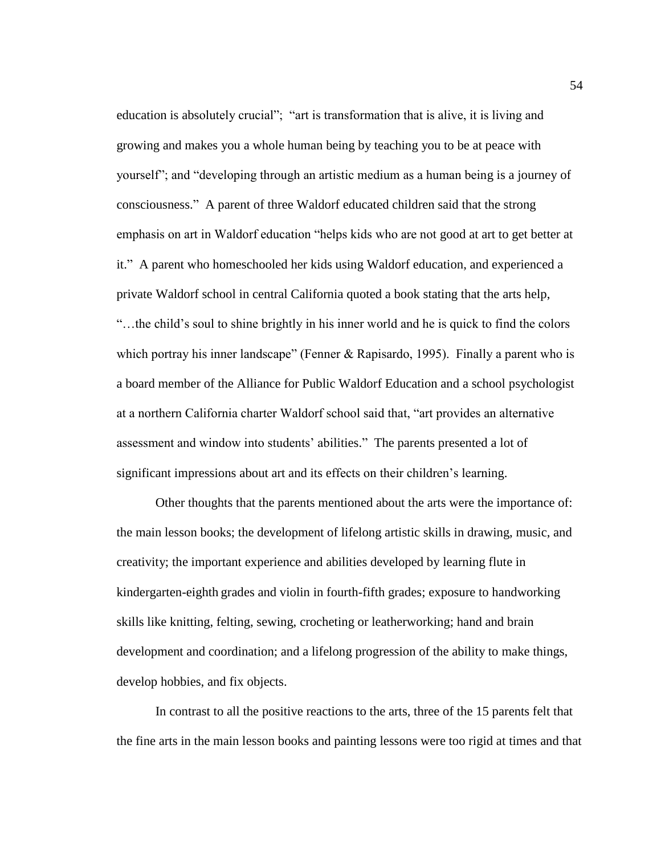education is absolutely crucial"; "art is transformation that is alive, it is living and growing and makes you a whole human being by teaching you to be at peace with yourself"; and "developing through an artistic medium as a human being is a journey of consciousness." A parent of three Waldorf educated children said that the strong emphasis on art in Waldorf education "helps kids who are not good at art to get better at it." A parent who homeschooled her kids using Waldorf education, and experienced a private Waldorf school in central California quoted a book stating that the arts help, "…the child's soul to shine brightly in his inner world and he is quick to find the colors which portray his inner landscape" (Fenner & Rapisardo, 1995). Finally a parent who is a board member of the Alliance for Public Waldorf Education and a school psychologist at a northern California charter Waldorf school said that, "art provides an alternative assessment and window into students' abilities." The parents presented a lot of significant impressions about art and its effects on their children's learning.

Other thoughts that the parents mentioned about the arts were the importance of: the main lesson books; the development of lifelong artistic skills in drawing, music, and creativity; the important experience and abilities developed by learning flute in kindergarten-eighth grades and violin in fourth-fifth grades; exposure to handworking skills like knitting, felting, sewing, crocheting or leatherworking; hand and brain development and coordination; and a lifelong progression of the ability to make things, develop hobbies, and fix objects.

In contrast to all the positive reactions to the arts, three of the 15 parents felt that the fine arts in the main lesson books and painting lessons were too rigid at times and that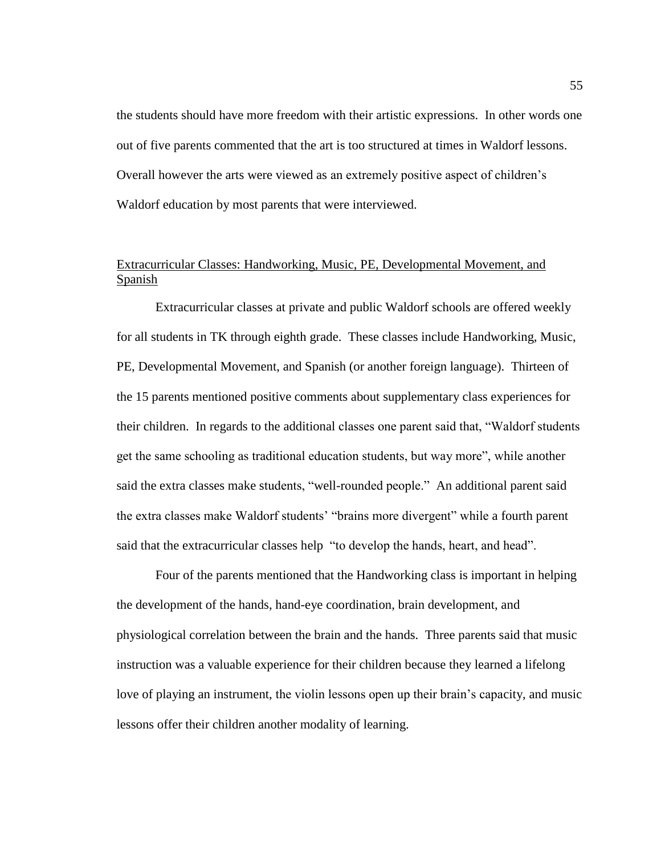the students should have more freedom with their artistic expressions. In other words one out of five parents commented that the art is too structured at times in Waldorf lessons. Overall however the arts were viewed as an extremely positive aspect of children's Waldorf education by most parents that were interviewed.

# Extracurricular Classes: Handworking, Music, PE, Developmental Movement, and Spanish

Extracurricular classes at private and public Waldorf schools are offered weekly for all students in TK through eighth grade. These classes include Handworking, Music, PE, Developmental Movement, and Spanish (or another foreign language). Thirteen of the 15 parents mentioned positive comments about supplementary class experiences for their children. In regards to the additional classes one parent said that, "Waldorf students get the same schooling as traditional education students, but way more", while another said the extra classes make students, "well-rounded people." An additional parent said the extra classes make Waldorf students' "brains more divergent" while a fourth parent said that the extracurricular classes help "to develop the hands, heart, and head".

Four of the parents mentioned that the Handworking class is important in helping the development of the hands, hand-eye coordination, brain development, and physiological correlation between the brain and the hands. Three parents said that music instruction was a valuable experience for their children because they learned a lifelong love of playing an instrument, the violin lessons open up their brain's capacity, and music lessons offer their children another modality of learning.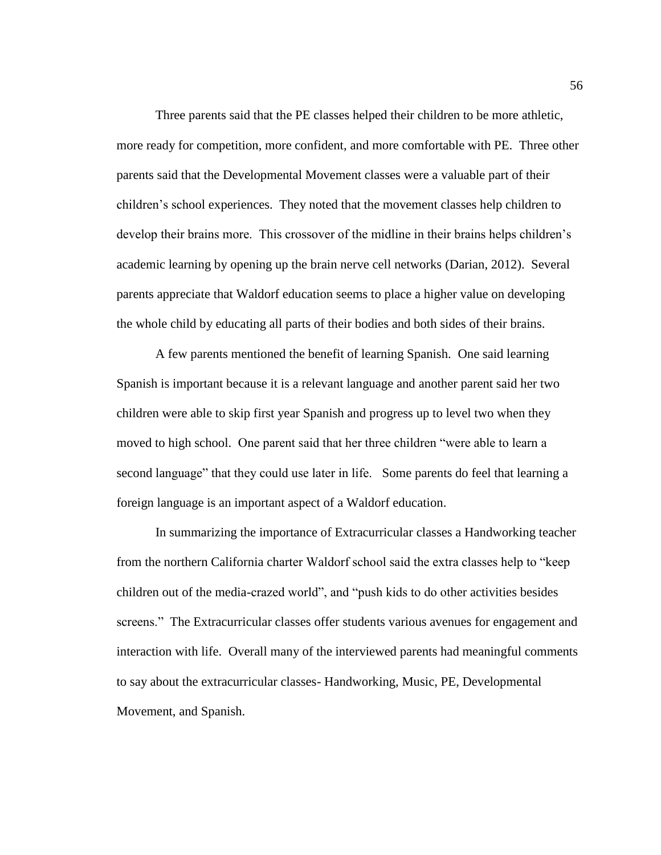Three parents said that the PE classes helped their children to be more athletic, more ready for competition, more confident, and more comfortable with PE. Three other parents said that the Developmental Movement classes were a valuable part of their children's school experiences. They noted that the movement classes help children to develop their brains more. This crossover of the midline in their brains helps children's academic learning by opening up the brain nerve cell networks (Darian, 2012). Several parents appreciate that Waldorf education seems to place a higher value on developing the whole child by educating all parts of their bodies and both sides of their brains.

A few parents mentioned the benefit of learning Spanish. One said learning Spanish is important because it is a relevant language and another parent said her two children were able to skip first year Spanish and progress up to level two when they moved to high school. One parent said that her three children "were able to learn a second language" that they could use later in life. Some parents do feel that learning a foreign language is an important aspect of a Waldorf education.

In summarizing the importance of Extracurricular classes a Handworking teacher from the northern California charter Waldorf school said the extra classes help to "keep children out of the media-crazed world", and "push kids to do other activities besides screens." The Extracurricular classes offer students various avenues for engagement and interaction with life. Overall many of the interviewed parents had meaningful comments to say about the extracurricular classes- Handworking, Music, PE, Developmental Movement, and Spanish.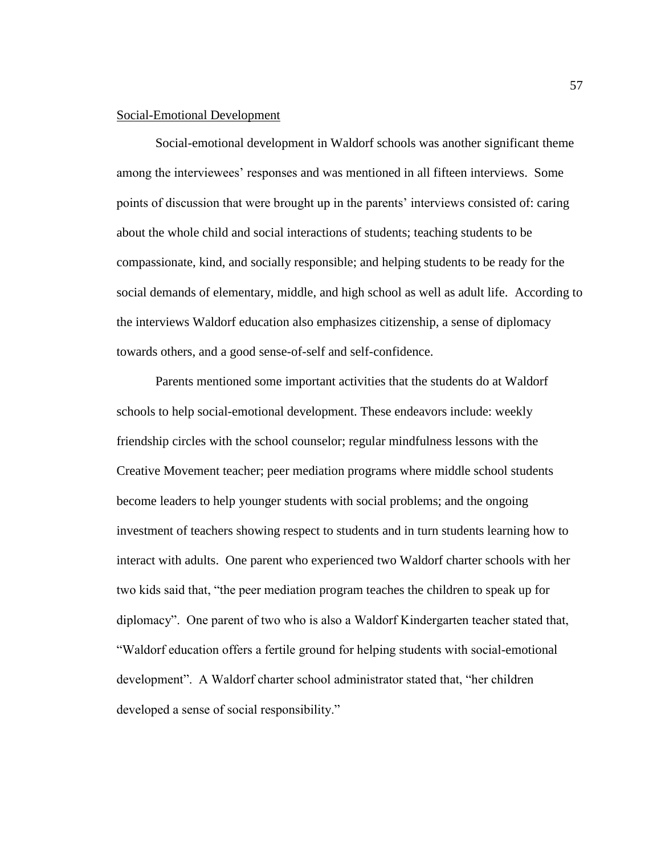### Social-Emotional Development

Social-emotional development in Waldorf schools was another significant theme among the interviewees' responses and was mentioned in all fifteen interviews. Some points of discussion that were brought up in the parents' interviews consisted of: caring about the whole child and social interactions of students; teaching students to be compassionate, kind, and socially responsible; and helping students to be ready for the social demands of elementary, middle, and high school as well as adult life. According to the interviews Waldorf education also emphasizes citizenship, a sense of diplomacy towards others, and a good sense-of-self and self-confidence.

Parents mentioned some important activities that the students do at Waldorf schools to help social-emotional development. These endeavors include: weekly friendship circles with the school counselor; regular mindfulness lessons with the Creative Movement teacher; peer mediation programs where middle school students become leaders to help younger students with social problems; and the ongoing investment of teachers showing respect to students and in turn students learning how to interact with adults. One parent who experienced two Waldorf charter schools with her two kids said that, "the peer mediation program teaches the children to speak up for diplomacy". One parent of two who is also a Waldorf Kindergarten teacher stated that, "Waldorf education offers a fertile ground for helping students with social-emotional development". A Waldorf charter school administrator stated that, "her children developed a sense of social responsibility."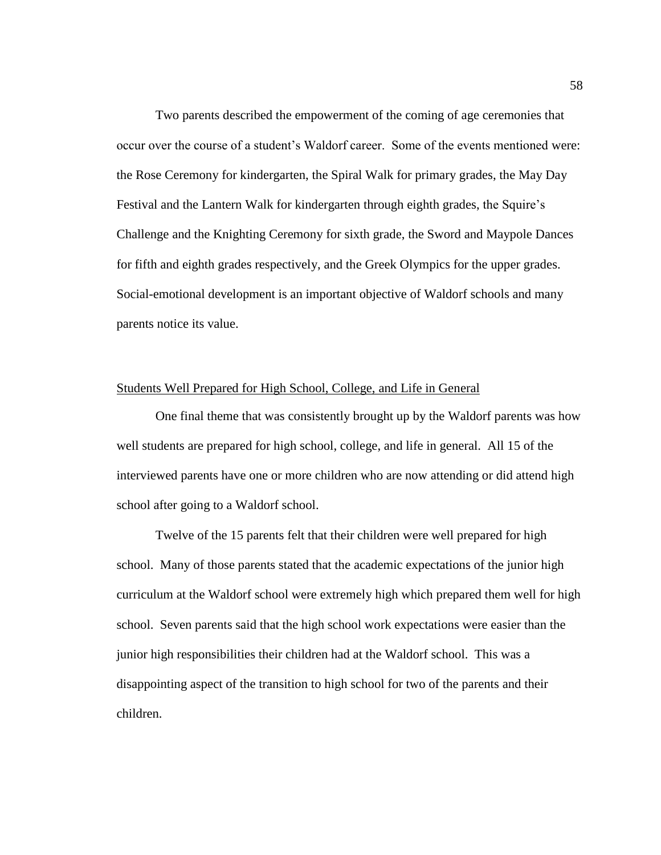Two parents described the empowerment of the coming of age ceremonies that occur over the course of a student's Waldorf career. Some of the events mentioned were: the Rose Ceremony for kindergarten, the Spiral Walk for primary grades, the May Day Festival and the Lantern Walk for kindergarten through eighth grades, the Squire's Challenge and the Knighting Ceremony for sixth grade, the Sword and Maypole Dances for fifth and eighth grades respectively, and the Greek Olympics for the upper grades. Social-emotional development is an important objective of Waldorf schools and many parents notice its value.

# Students Well Prepared for High School, College, and Life in General

One final theme that was consistently brought up by the Waldorf parents was how well students are prepared for high school, college, and life in general. All 15 of the interviewed parents have one or more children who are now attending or did attend high school after going to a Waldorf school.

Twelve of the 15 parents felt that their children were well prepared for high school. Many of those parents stated that the academic expectations of the junior high curriculum at the Waldorf school were extremely high which prepared them well for high school. Seven parents said that the high school work expectations were easier than the junior high responsibilities their children had at the Waldorf school. This was a disappointing aspect of the transition to high school for two of the parents and their children.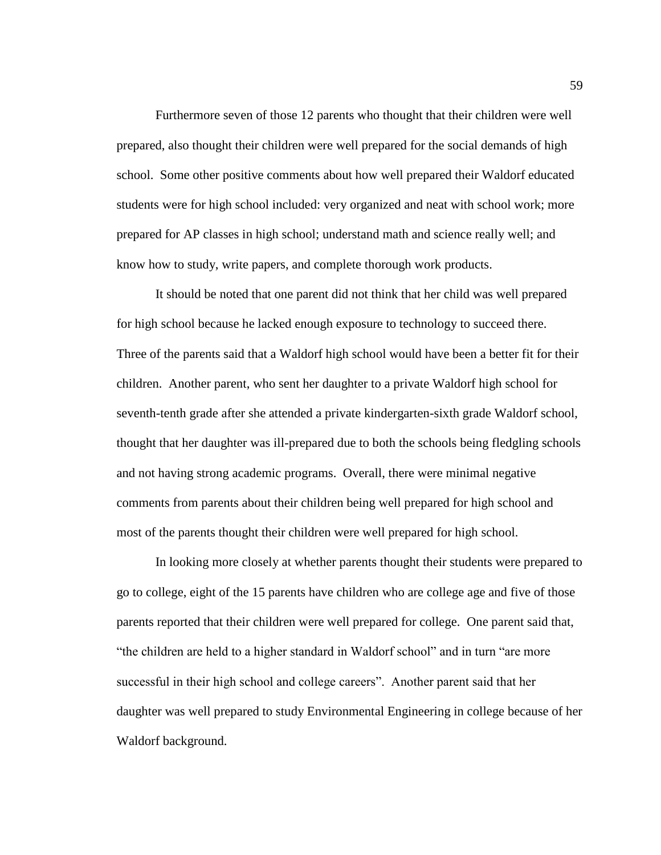Furthermore seven of those 12 parents who thought that their children were well prepared, also thought their children were well prepared for the social demands of high school. Some other positive comments about how well prepared their Waldorf educated students were for high school included: very organized and neat with school work; more prepared for AP classes in high school; understand math and science really well; and know how to study, write papers, and complete thorough work products.

It should be noted that one parent did not think that her child was well prepared for high school because he lacked enough exposure to technology to succeed there. Three of the parents said that a Waldorf high school would have been a better fit for their children. Another parent, who sent her daughter to a private Waldorf high school for seventh-tenth grade after she attended a private kindergarten-sixth grade Waldorf school, thought that her daughter was ill-prepared due to both the schools being fledgling schools and not having strong academic programs. Overall, there were minimal negative comments from parents about their children being well prepared for high school and most of the parents thought their children were well prepared for high school.

In looking more closely at whether parents thought their students were prepared to go to college, eight of the 15 parents have children who are college age and five of those parents reported that their children were well prepared for college. One parent said that, "the children are held to a higher standard in Waldorf school" and in turn "are more successful in their high school and college careers". Another parent said that her daughter was well prepared to study Environmental Engineering in college because of her Waldorf background.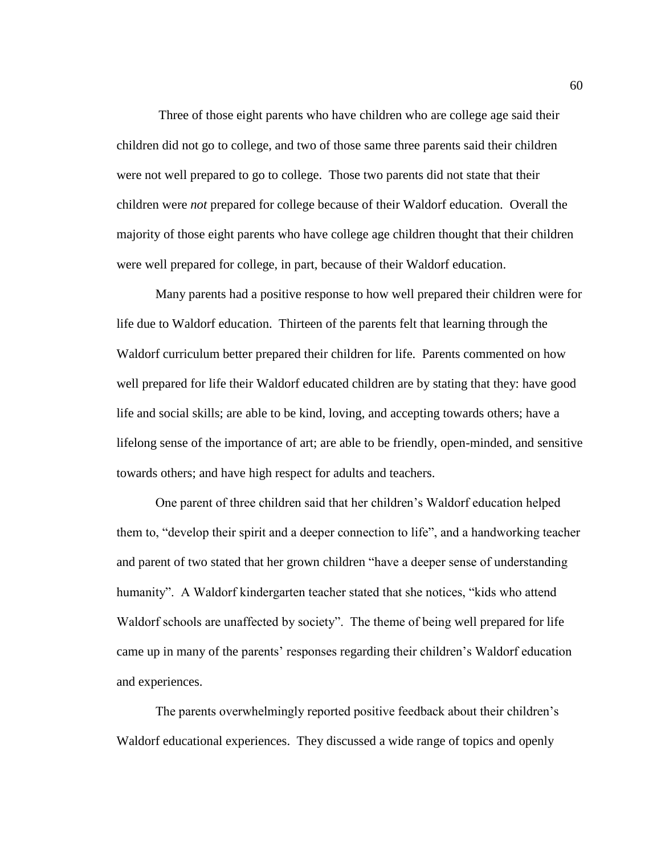Three of those eight parents who have children who are college age said their children did not go to college, and two of those same three parents said their children were not well prepared to go to college. Those two parents did not state that their children were *not* prepared for college because of their Waldorf education. Overall the majority of those eight parents who have college age children thought that their children were well prepared for college, in part, because of their Waldorf education.

Many parents had a positive response to how well prepared their children were for life due to Waldorf education. Thirteen of the parents felt that learning through the Waldorf curriculum better prepared their children for life. Parents commented on how well prepared for life their Waldorf educated children are by stating that they: have good life and social skills; are able to be kind, loving, and accepting towards others; have a lifelong sense of the importance of art; are able to be friendly, open-minded, and sensitive towards others; and have high respect for adults and teachers.

One parent of three children said that her children's Waldorf education helped them to, "develop their spirit and a deeper connection to life", and a handworking teacher and parent of two stated that her grown children "have a deeper sense of understanding humanity". A Waldorf kindergarten teacher stated that she notices, "kids who attend Waldorf schools are unaffected by society". The theme of being well prepared for life came up in many of the parents' responses regarding their children's Waldorf education and experiences.

The parents overwhelmingly reported positive feedback about their children's Waldorf educational experiences. They discussed a wide range of topics and openly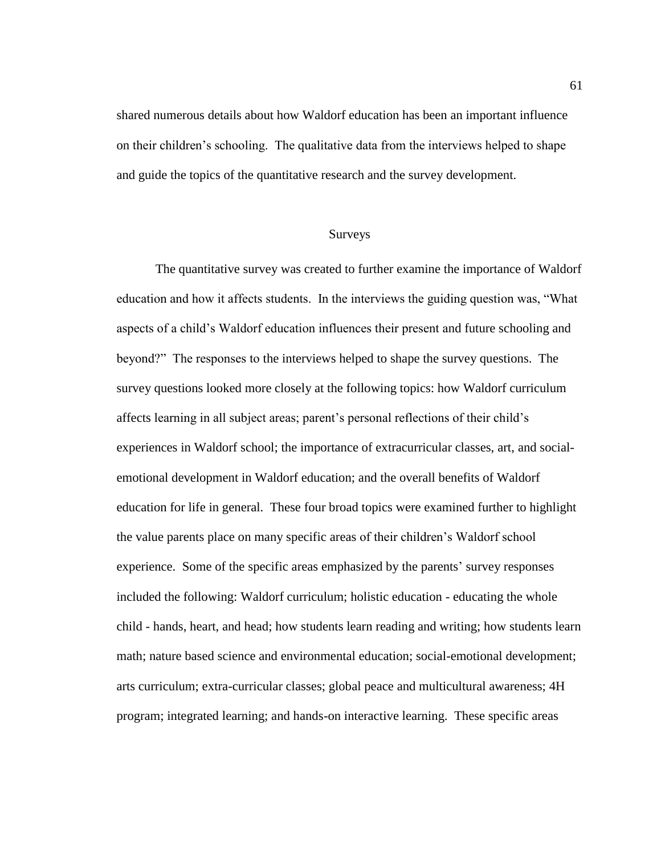shared numerous details about how Waldorf education has been an important influence on their children's schooling. The qualitative data from the interviews helped to shape and guide the topics of the quantitative research and the survey development.

## Surveys

The quantitative survey was created to further examine the importance of Waldorf education and how it affects students. In the interviews the guiding question was, "What aspects of a child's Waldorf education influences their present and future schooling and beyond?" The responses to the interviews helped to shape the survey questions. The survey questions looked more closely at the following topics: how Waldorf curriculum affects learning in all subject areas; parent's personal reflections of their child's experiences in Waldorf school; the importance of extracurricular classes, art, and socialemotional development in Waldorf education; and the overall benefits of Waldorf education for life in general. These four broad topics were examined further to highlight the value parents place on many specific areas of their children's Waldorf school experience. Some of the specific areas emphasized by the parents' survey responses included the following: Waldorf curriculum; holistic education - educating the whole child - hands, heart, and head; how students learn reading and writing; how students learn math; nature based science and environmental education; social-emotional development; arts curriculum; extra-curricular classes; global peace and multicultural awareness; 4H program; integrated learning; and hands-on interactive learning. These specific areas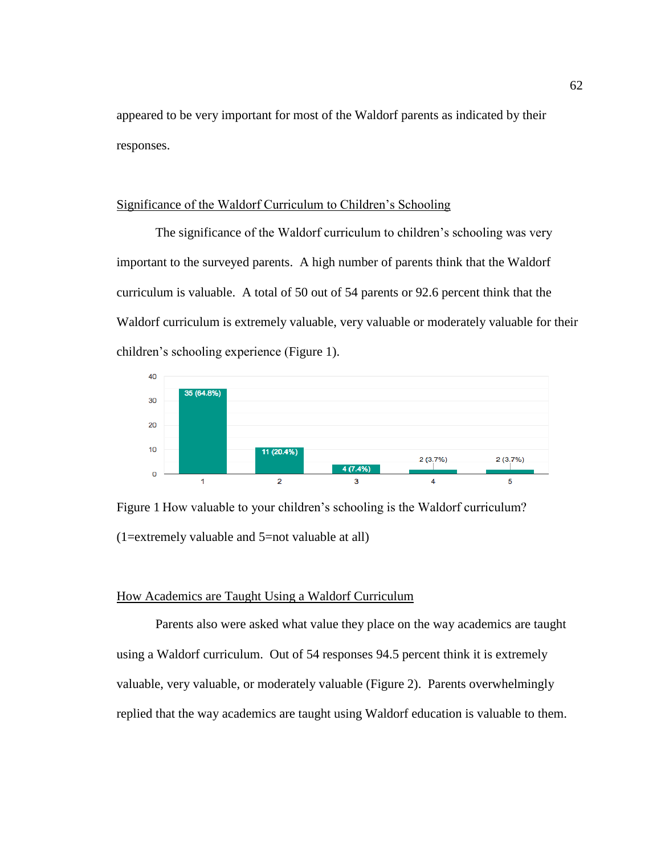appeared to be very important for most of the Waldorf parents as indicated by their responses.

# Significance of the Waldorf Curriculum to Children's Schooling

The significance of the Waldorf curriculum to children's schooling was very important to the surveyed parents. A high number of parents think that the Waldorf curriculum is valuable. A total of 50 out of 54 parents or 92.6 percent think that the Waldorf curriculum is extremely valuable, very valuable or moderately valuable for their children's schooling experience (Figure 1).



Figure 1 How valuable to your children's schooling is the Waldorf curriculum? (1=extremely valuable and 5=not valuable at all)

## How Academics are Taught Using a Waldorf Curriculum

Parents also were asked what value they place on the way academics are taught using a Waldorf curriculum. Out of 54 responses 94.5 percent think it is extremely valuable, very valuable, or moderately valuable (Figure 2). Parents overwhelmingly replied that the way academics are taught using Waldorf education is valuable to them.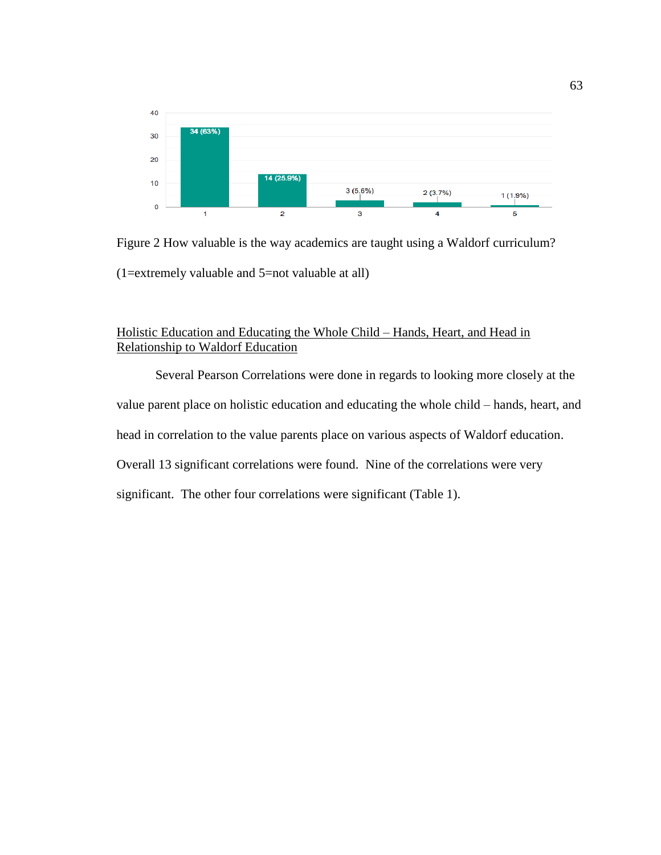

Figure 2 How valuable is the way academics are taught using a Waldorf curriculum? (1=extremely valuable and 5=not valuable at all)

## Holistic Education and Educating the Whole Child – Hands, Heart, and Head in Relationship to Waldorf Education

Several Pearson Correlations were done in regards to looking more closely at the value parent place on holistic education and educating the whole child – hands, heart, and head in correlation to the value parents place on various aspects of Waldorf education. Overall 13 significant correlations were found. Nine of the correlations were very significant. The other four correlations were significant (Table 1).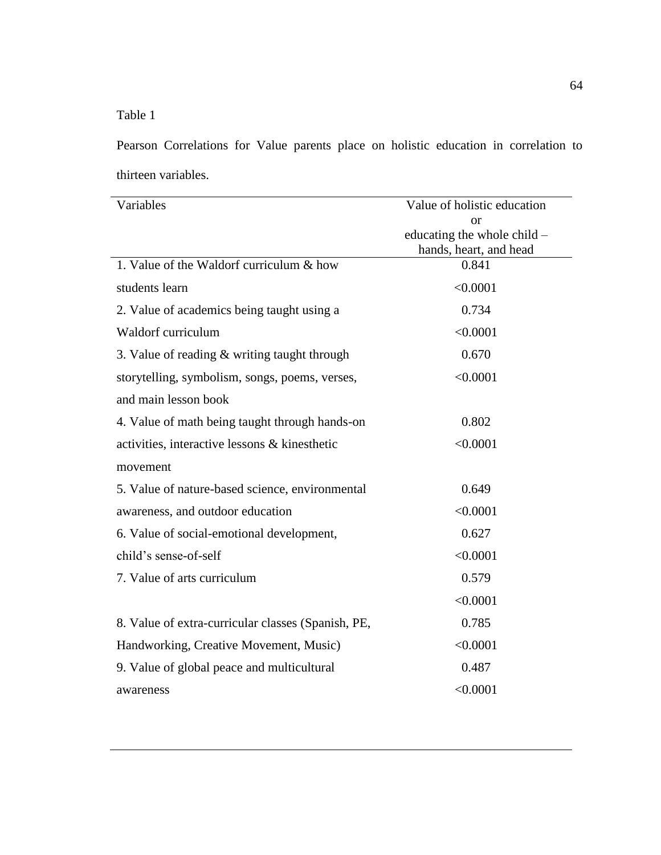Table 1

Pearson Correlations for Value parents place on holistic education in correlation to thirteen variables.

| Variables                                          | Value of holistic education |
|----------------------------------------------------|-----------------------------|
|                                                    | or                          |
|                                                    | educating the whole child – |
|                                                    | hands, heart, and head      |
| 1. Value of the Waldorf curriculum & how           | 0.841                       |
| students learn                                     | < 0.0001                    |
| 2. Value of academics being taught using a         | 0.734                       |
| Waldorf curriculum                                 | < 0.0001                    |
| 3. Value of reading $&$ writing taught through     | 0.670                       |
| storytelling, symbolism, songs, poems, verses,     | < 0.0001                    |
| and main lesson book                               |                             |
| 4. Value of math being taught through hands-on     | 0.802                       |
| activities, interactive lessons & kinesthetic      | < 0.0001                    |
| movement                                           |                             |
| 5. Value of nature-based science, environmental    | 0.649                       |
| awareness, and outdoor education                   | < 0.0001                    |
| 6. Value of social-emotional development,          | 0.627                       |
| child's sense-of-self                              | < 0.0001                    |
| 7. Value of arts curriculum                        | 0.579                       |
|                                                    | < 0.0001                    |
| 8. Value of extra-curricular classes (Spanish, PE, | 0.785                       |
| Handworking, Creative Movement, Music)             | < 0.0001                    |
| 9. Value of global peace and multicultural         | 0.487                       |
| awareness                                          | < 0.0001                    |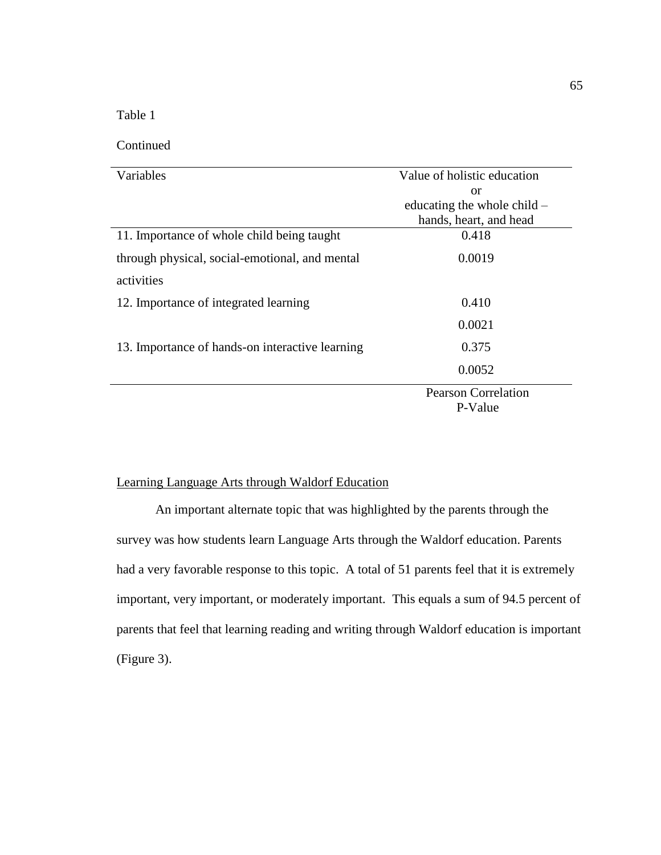Table 1

l,

## Continued

| Variables                                       | Value of holistic education |
|-------------------------------------------------|-----------------------------|
|                                                 | <b>or</b>                   |
|                                                 | educating the whole child – |
|                                                 | hands, heart, and head      |
| 11. Importance of whole child being taught      | 0.418                       |
| through physical, social-emotional, and mental  | 0.0019                      |
| activities                                      |                             |
| 12. Importance of integrated learning           | 0.410                       |
|                                                 | 0.0021                      |
| 13. Importance of hands-on interactive learning | 0.375                       |
|                                                 | 0.0052                      |
|                                                 | <b>Pearson Correlation</b>  |
|                                                 | P-Value                     |

# Learning Language Arts through Waldorf Education

An important alternate topic that was highlighted by the parents through the survey was how students learn Language Arts through the Waldorf education. Parents had a very favorable response to this topic. A total of 51 parents feel that it is extremely important, very important, or moderately important. This equals a sum of 94.5 percent of parents that feel that learning reading and writing through Waldorf education is important (Figure 3).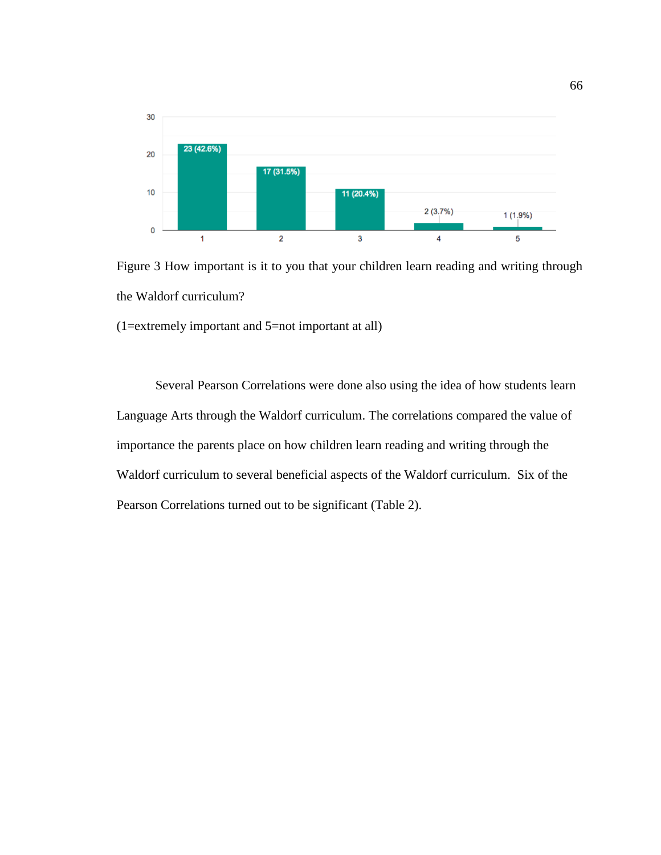

Figure 3 How important is it to you that your children learn reading and writing through the Waldorf curriculum?

(1=extremely important and 5=not important at all)

Several Pearson Correlations were done also using the idea of how students learn Language Arts through the Waldorf curriculum. The correlations compared the value of importance the parents place on how children learn reading and writing through the Waldorf curriculum to several beneficial aspects of the Waldorf curriculum. Six of the Pearson Correlations turned out to be significant (Table 2).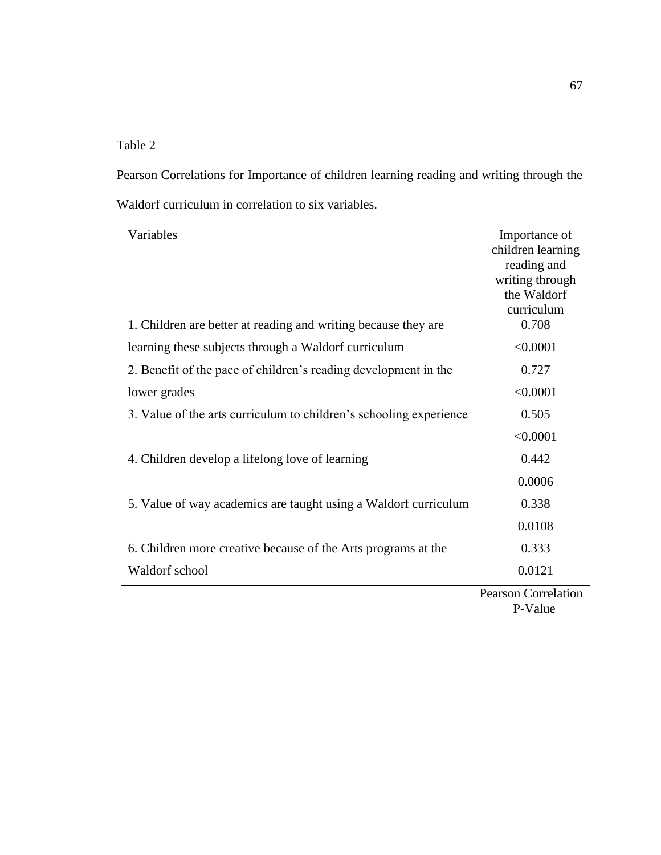# Table 2

Pearson Correlations for Importance of children learning reading and writing through the Waldorf curriculum in correlation to six variables.

| Variables                                                          | Importance of       |
|--------------------------------------------------------------------|---------------------|
|                                                                    | children learning   |
|                                                                    | reading and         |
|                                                                    | writing through     |
|                                                                    | the Waldorf         |
|                                                                    | curriculum          |
| 1. Children are better at reading and writing because they are     | 0.708               |
| learning these subjects through a Waldorf curriculum               | < 0.0001            |
| 2. Benefit of the pace of children's reading development in the    | 0.727               |
| lower grades                                                       | < 0.0001            |
| 3. Value of the arts curriculum to children's schooling experience | 0.505               |
|                                                                    | < 0.0001            |
| 4. Children develop a lifelong love of learning                    | 0.442               |
|                                                                    | 0.0006              |
| 5. Value of way academics are taught using a Waldorf curriculum    | 0.338               |
|                                                                    | 0.0108              |
| 6. Children more creative because of the Arts programs at the      | 0.333               |
| Waldorf school                                                     | 0.0121              |
|                                                                    | Pearson Correlation |

'ears P-Value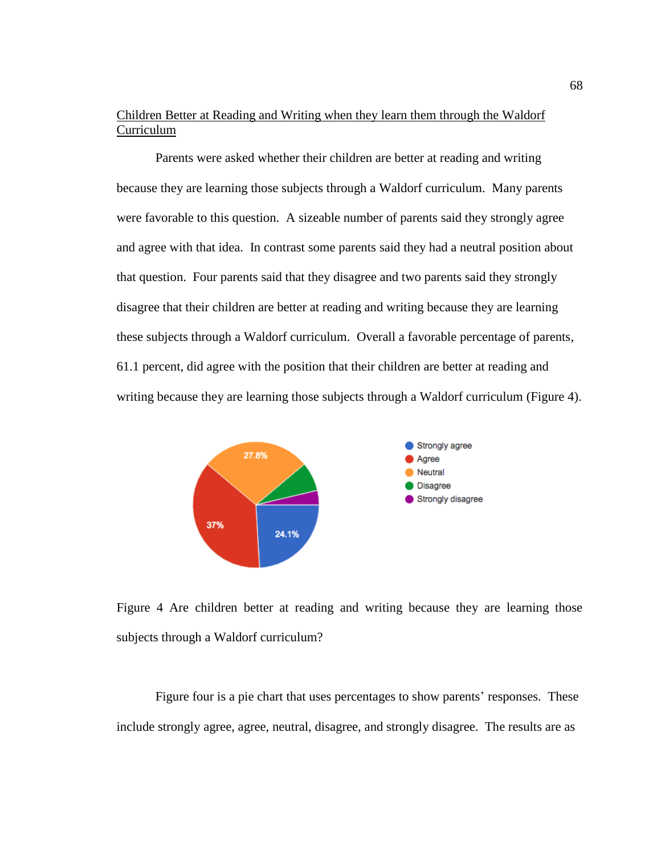## Children Better at Reading and Writing when they learn them through the Waldorf Curriculum

Parents were asked whether their children are better at reading and writing because they are learning those subjects through a Waldorf curriculum. Many parents were favorable to this question. A sizeable number of parents said they strongly agree and agree with that idea. In contrast some parents said they had a neutral position about that question. Four parents said that they disagree and two parents said they strongly disagree that their children are better at reading and writing because they are learning these subjects through a Waldorf curriculum. Overall a favorable percentage of parents, 61.1 percent, did agree with the position that their children are better at reading and writing because they are learning those subjects through a Waldorf curriculum (Figure 4).



Figure 4 Are children better at reading and writing because they are learning those subjects through a Waldorf curriculum?

Figure four is a pie chart that uses percentages to show parents' responses. These include strongly agree, agree, neutral, disagree, and strongly disagree. The results are as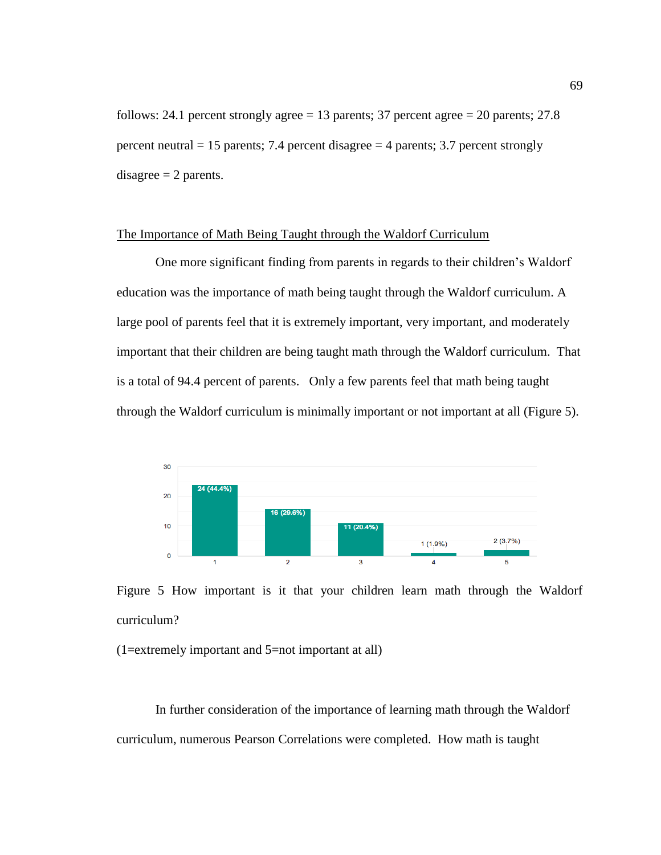follows: 24.1 percent strongly agree  $= 13$  parents; 37 percent agree  $= 20$  parents; 27.8 percent neutral  $= 15$  parents; 7.4 percent disagree  $= 4$  parents; 3.7 percent strongly disagree  $= 2$  parents.

## The Importance of Math Being Taught through the Waldorf Curriculum

One more significant finding from parents in regards to their children's Waldorf education was the importance of math being taught through the Waldorf curriculum. A large pool of parents feel that it is extremely important, very important, and moderately important that their children are being taught math through the Waldorf curriculum. That is a total of 94.4 percent of parents. Only a few parents feel that math being taught through the Waldorf curriculum is minimally important or not important at all (Figure 5).



Figure 5 How important is it that your children learn math through the Waldorf curriculum?

(1=extremely important and 5=not important at all)

In further consideration of the importance of learning math through the Waldorf curriculum, numerous Pearson Correlations were completed. How math is taught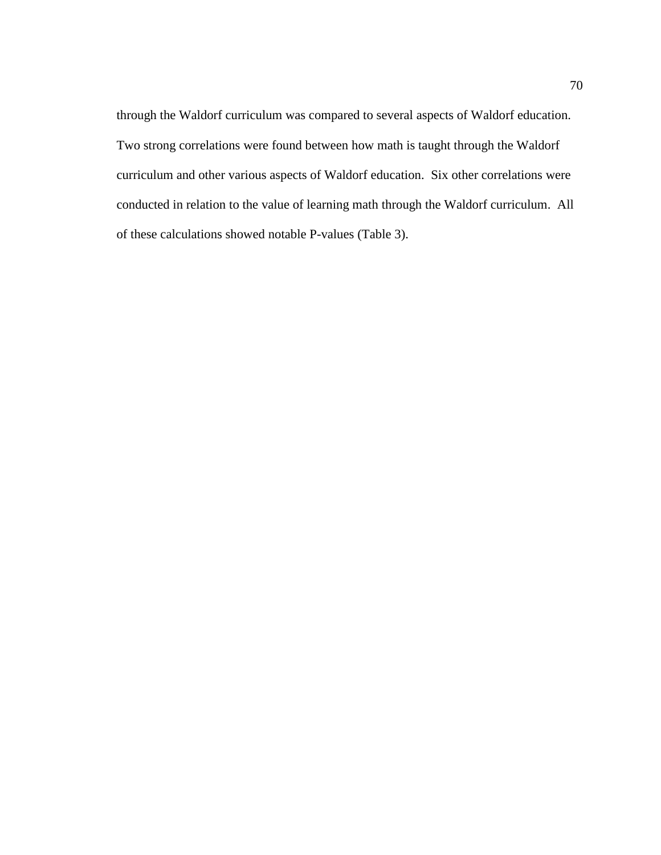through the Waldorf curriculum was compared to several aspects of Waldorf education. Two strong correlations were found between how math is taught through the Waldorf curriculum and other various aspects of Waldorf education. Six other correlations were conducted in relation to the value of learning math through the Waldorf curriculum. All of these calculations showed notable P-values (Table 3).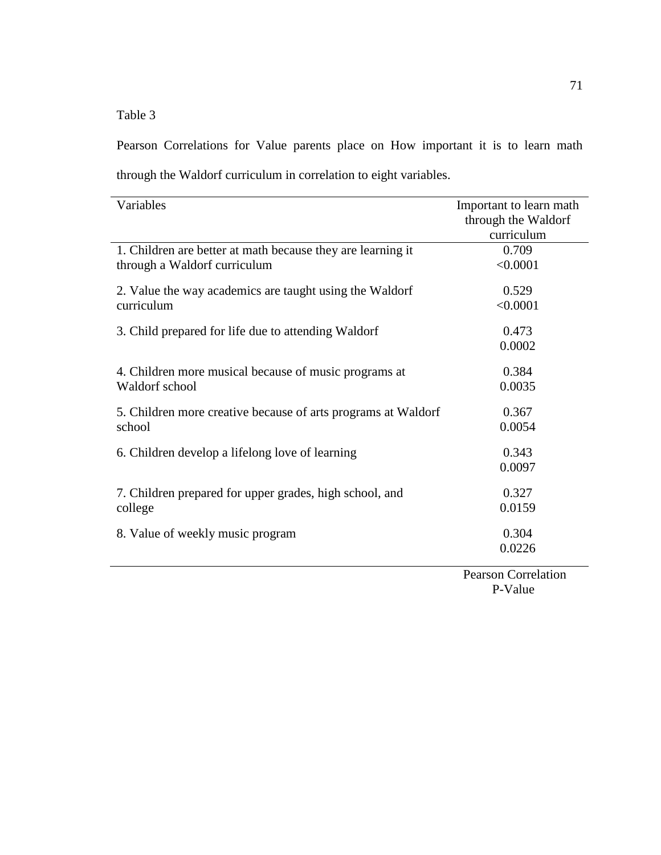Table 3

Pearson Correlations for Value parents place on How important it is to learn math through the Waldorf curriculum in correlation to eight variables.

| Variables                                                     | Important to learn math |
|---------------------------------------------------------------|-------------------------|
|                                                               | through the Waldorf     |
|                                                               | curriculum              |
| 1. Children are better at math because they are learning it   | 0.709                   |
| through a Waldorf curriculum                                  | < 0.0001                |
| 2. Value the way academics are taught using the Waldorf       | 0.529                   |
| curriculum                                                    | < 0.0001                |
| 3. Child prepared for life due to attending Waldorf           | 0.473                   |
|                                                               | 0.0002                  |
| 4. Children more musical because of music programs at         | 0.384                   |
| Waldorf school                                                | 0.0035                  |
| 5. Children more creative because of arts programs at Waldorf | 0.367                   |
| school                                                        | 0.0054                  |
| 6. Children develop a lifelong love of learning               | 0.343                   |
|                                                               | 0.0097                  |
| 7. Children prepared for upper grades, high school, and       | 0.327                   |
| college                                                       | 0.0159                  |
| 8. Value of weekly music program                              | 0.304                   |
|                                                               | 0.0226                  |

 Pearson Correlation P-Value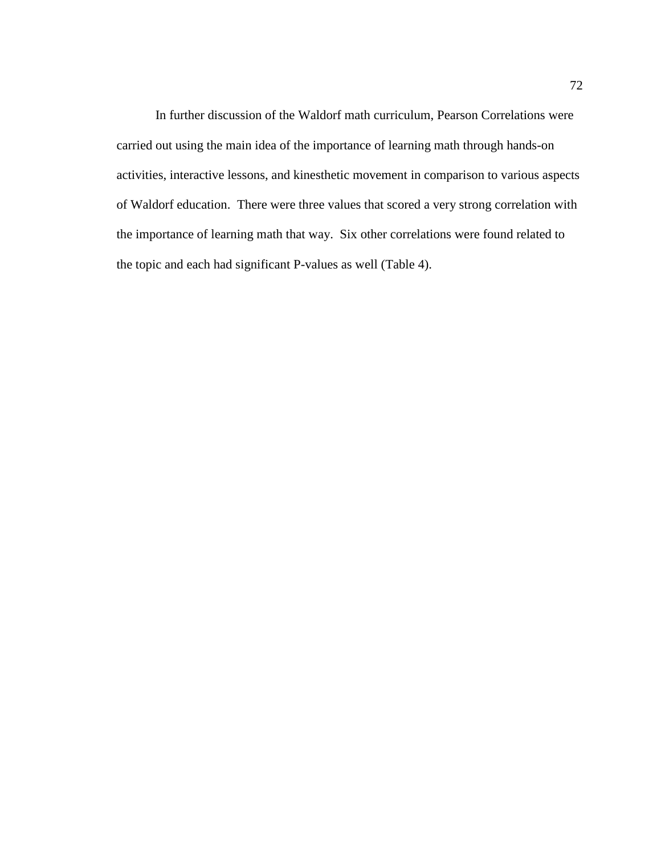In further discussion of the Waldorf math curriculum, Pearson Correlations were carried out using the main idea of the importance of learning math through hands-on activities, interactive lessons, and kinesthetic movement in comparison to various aspects of Waldorf education. There were three values that scored a very strong correlation with the importance of learning math that way. Six other correlations were found related to the topic and each had significant P-values as well (Table 4).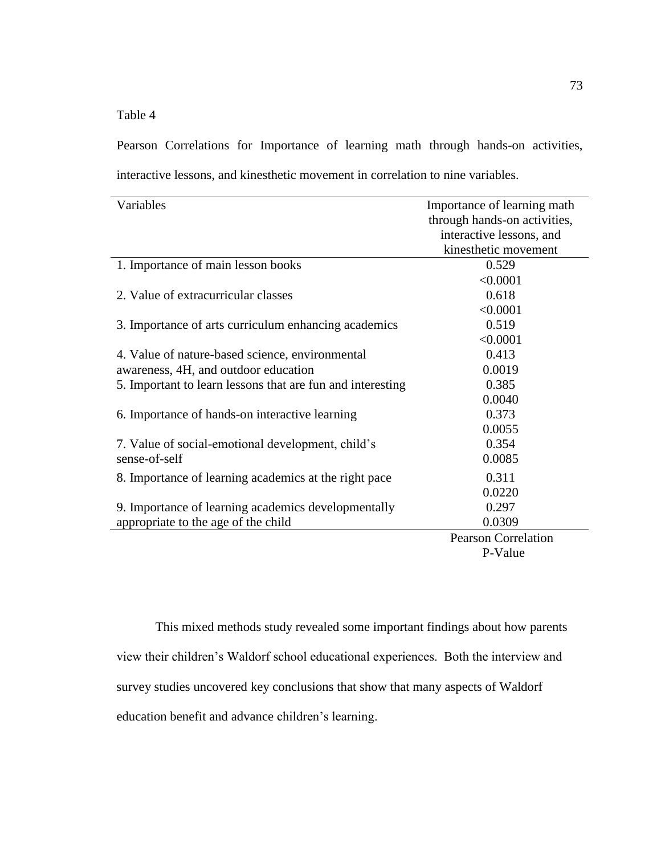Table 4

Pearson Correlations for Importance of learning math through hands-on activities, interactive lessons, and kinesthetic movement in correlation to nine variables.

| Variables                                                  | Importance of learning math  |
|------------------------------------------------------------|------------------------------|
|                                                            | through hands-on activities, |
|                                                            | interactive lessons, and     |
|                                                            | kinesthetic movement         |
| 1. Importance of main lesson books                         | 0.529                        |
|                                                            | < 0.0001                     |
| 2. Value of extracurricular classes                        | 0.618                        |
|                                                            | < 0.0001                     |
| 3. Importance of arts curriculum enhancing academics       | 0.519                        |
|                                                            | < 0.0001                     |
| 4. Value of nature-based science, environmental            | 0.413                        |
| awareness, 4H, and outdoor education                       | 0.0019                       |
| 5. Important to learn lessons that are fun and interesting | 0.385                        |
|                                                            | 0.0040                       |
| 6. Importance of hands-on interactive learning             | 0.373                        |
|                                                            | 0.0055                       |
| 7. Value of social-emotional development, child's          | 0.354                        |
| sense-of-self                                              | 0.0085                       |
| 8. Importance of learning academics at the right pace      | 0.311                        |
|                                                            | 0.0220                       |
| 9. Importance of learning academics developmentally        | 0.297                        |
| appropriate to the age of the child                        | 0.0309                       |
|                                                            | <b>Pearson Correlation</b>   |
|                                                            | $\mathbf{D} \mathbf{V}$      |

P-Value

This mixed methods study revealed some important findings about how parents view their children's Waldorf school educational experiences. Both the interview and survey studies uncovered key conclusions that show that many aspects of Waldorf education benefit and advance children's learning.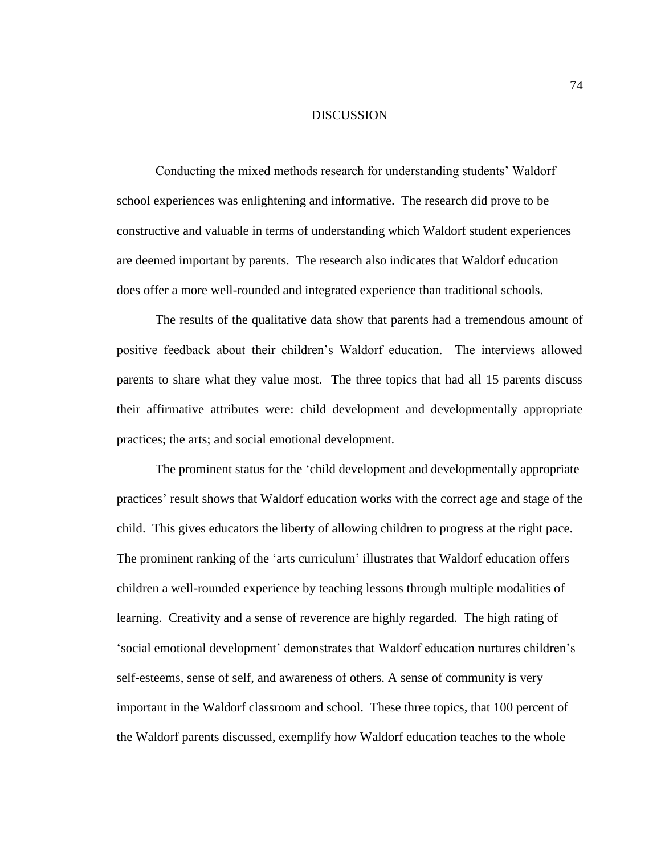#### DISCUSSION

Conducting the mixed methods research for understanding students' Waldorf school experiences was enlightening and informative. The research did prove to be constructive and valuable in terms of understanding which Waldorf student experiences are deemed important by parents. The research also indicates that Waldorf education does offer a more well-rounded and integrated experience than traditional schools.

The results of the qualitative data show that parents had a tremendous amount of positive feedback about their children's Waldorf education. The interviews allowed parents to share what they value most. The three topics that had all 15 parents discuss their affirmative attributes were: child development and developmentally appropriate practices; the arts; and social emotional development.

The prominent status for the 'child development and developmentally appropriate practices' result shows that Waldorf education works with the correct age and stage of the child. This gives educators the liberty of allowing children to progress at the right pace. The prominent ranking of the 'arts curriculum' illustrates that Waldorf education offers children a well-rounded experience by teaching lessons through multiple modalities of learning. Creativity and a sense of reverence are highly regarded. The high rating of 'social emotional development' demonstrates that Waldorf education nurtures children's self-esteems, sense of self, and awareness of others. A sense of community is very important in the Waldorf classroom and school. These three topics, that 100 percent of the Waldorf parents discussed, exemplify how Waldorf education teaches to the whole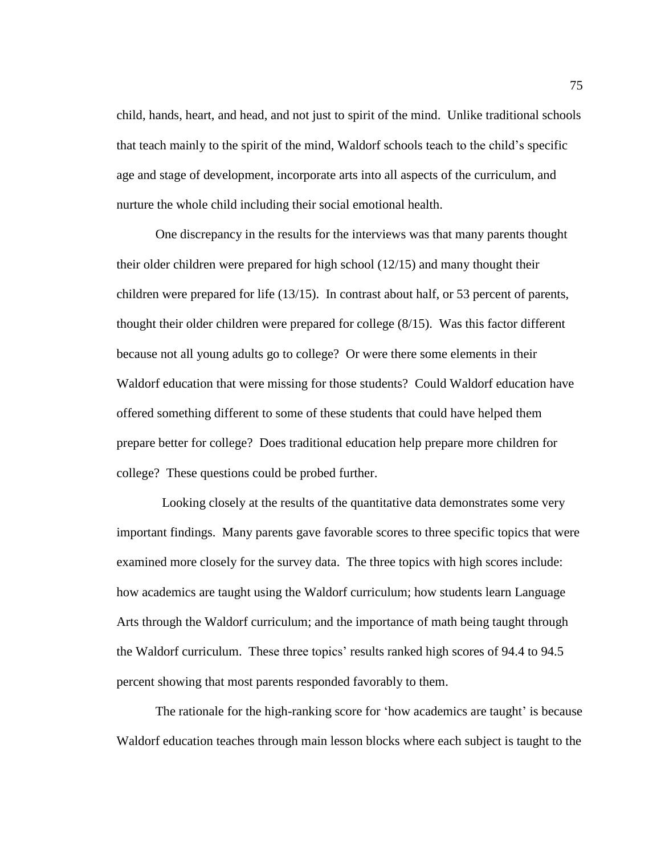child, hands, heart, and head, and not just to spirit of the mind. Unlike traditional schools that teach mainly to the spirit of the mind, Waldorf schools teach to the child's specific age and stage of development, incorporate arts into all aspects of the curriculum, and nurture the whole child including their social emotional health.

One discrepancy in the results for the interviews was that many parents thought their older children were prepared for high school (12/15) and many thought their children were prepared for life (13/15). In contrast about half, or 53 percent of parents, thought their older children were prepared for college (8/15). Was this factor different because not all young adults go to college? Or were there some elements in their Waldorf education that were missing for those students? Could Waldorf education have offered something different to some of these students that could have helped them prepare better for college? Does traditional education help prepare more children for college? These questions could be probed further.

 Looking closely at the results of the quantitative data demonstrates some very important findings. Many parents gave favorable scores to three specific topics that were examined more closely for the survey data. The three topics with high scores include: how academics are taught using the Waldorf curriculum; how students learn Language Arts through the Waldorf curriculum; and the importance of math being taught through the Waldorf curriculum. These three topics' results ranked high scores of 94.4 to 94.5 percent showing that most parents responded favorably to them.

The rationale for the high-ranking score for 'how academics are taught' is because Waldorf education teaches through main lesson blocks where each subject is taught to the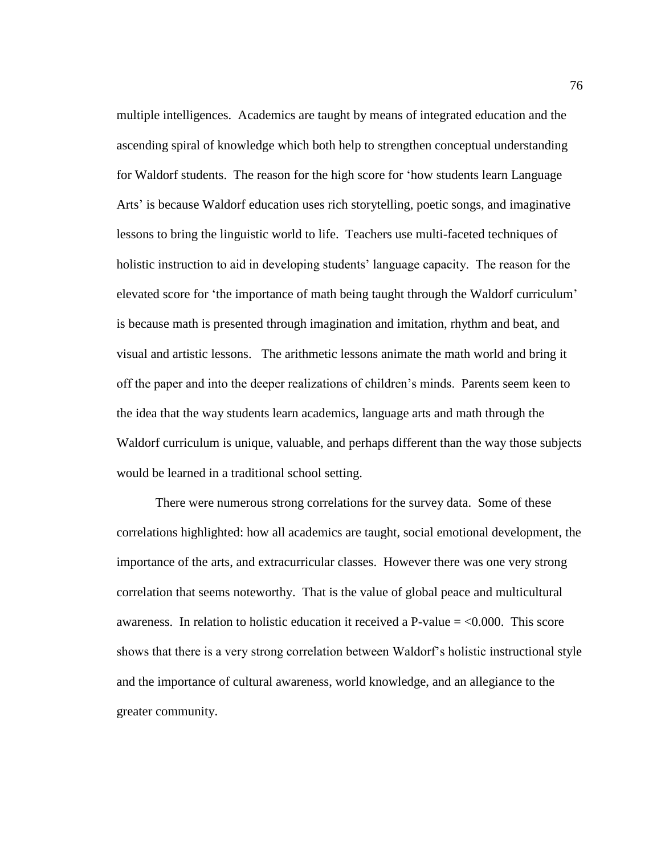multiple intelligences. Academics are taught by means of integrated education and the ascending spiral of knowledge which both help to strengthen conceptual understanding for Waldorf students. The reason for the high score for 'how students learn Language Arts' is because Waldorf education uses rich storytelling, poetic songs, and imaginative lessons to bring the linguistic world to life. Teachers use multi-faceted techniques of holistic instruction to aid in developing students' language capacity. The reason for the elevated score for 'the importance of math being taught through the Waldorf curriculum' is because math is presented through imagination and imitation, rhythm and beat, and visual and artistic lessons. The arithmetic lessons animate the math world and bring it off the paper and into the deeper realizations of children's minds. Parents seem keen to the idea that the way students learn academics, language arts and math through the Waldorf curriculum is unique, valuable, and perhaps different than the way those subjects would be learned in a traditional school setting.

There were numerous strong correlations for the survey data. Some of these correlations highlighted: how all academics are taught, social emotional development, the importance of the arts, and extracurricular classes. However there was one very strong correlation that seems noteworthy. That is the value of global peace and multicultural awareness. In relation to holistic education it received a P-value  $=$  <0.000. This score shows that there is a very strong correlation between Waldorf's holistic instructional style and the importance of cultural awareness, world knowledge, and an allegiance to the greater community.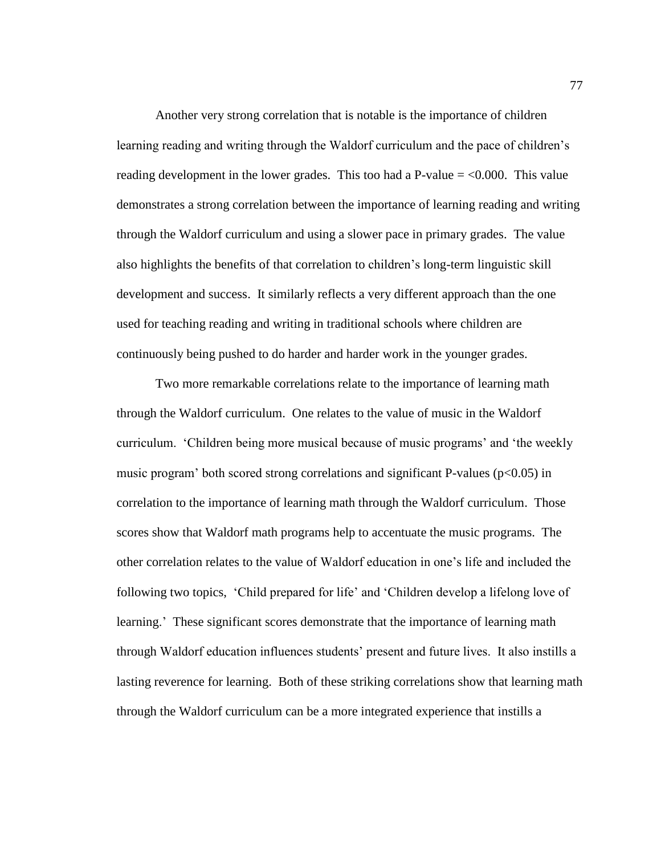Another very strong correlation that is notable is the importance of children learning reading and writing through the Waldorf curriculum and the pace of children's reading development in the lower grades. This too had a P-value  $=$  <0.000. This value demonstrates a strong correlation between the importance of learning reading and writing through the Waldorf curriculum and using a slower pace in primary grades. The value also highlights the benefits of that correlation to children's long-term linguistic skill development and success. It similarly reflects a very different approach than the one used for teaching reading and writing in traditional schools where children are continuously being pushed to do harder and harder work in the younger grades.

Two more remarkable correlations relate to the importance of learning math through the Waldorf curriculum. One relates to the value of music in the Waldorf curriculum. 'Children being more musical because of music programs' and 'the weekly music program' both scored strong correlations and significant P-values ( $p<0.05$ ) in correlation to the importance of learning math through the Waldorf curriculum. Those scores show that Waldorf math programs help to accentuate the music programs. The other correlation relates to the value of Waldorf education in one's life and included the following two topics, 'Child prepared for life' and 'Children develop a lifelong love of learning.' These significant scores demonstrate that the importance of learning math through Waldorf education influences students' present and future lives. It also instills a lasting reverence for learning. Both of these striking correlations show that learning math through the Waldorf curriculum can be a more integrated experience that instills a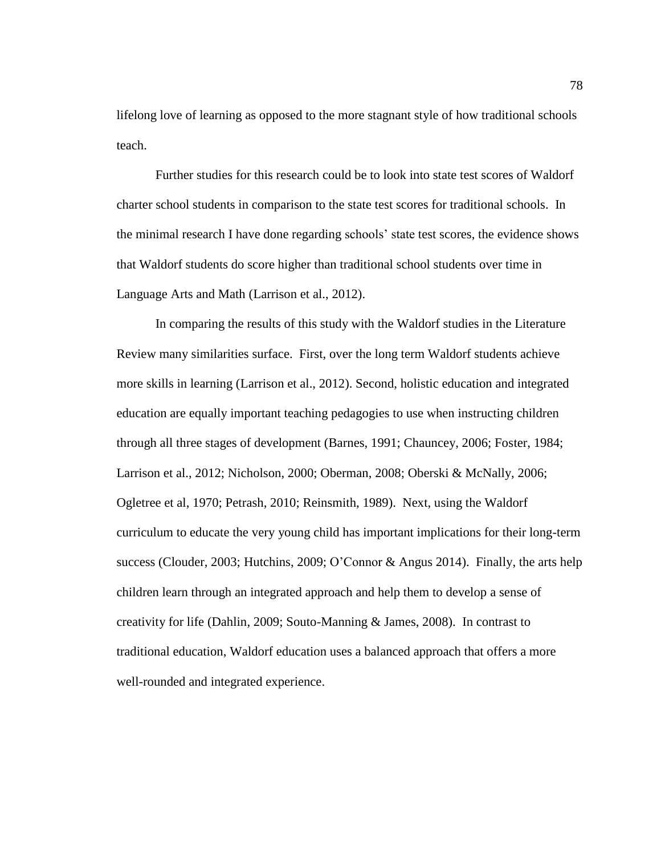lifelong love of learning as opposed to the more stagnant style of how traditional schools teach.

Further studies for this research could be to look into state test scores of Waldorf charter school students in comparison to the state test scores for traditional schools. In the minimal research I have done regarding schools' state test scores, the evidence shows that Waldorf students do score higher than traditional school students over time in Language Arts and Math (Larrison et al., 2012).

In comparing the results of this study with the Waldorf studies in the Literature Review many similarities surface. First, over the long term Waldorf students achieve more skills in learning (Larrison et al., 2012). Second, holistic education and integrated education are equally important teaching pedagogies to use when instructing children through all three stages of development (Barnes, 1991; Chauncey, 2006; Foster, 1984; Larrison et al., 2012; Nicholson, 2000; Oberman, 2008; Oberski & McNally, 2006; Ogletree et al, 1970; Petrash, 2010; Reinsmith, 1989). Next, using the Waldorf curriculum to educate the very young child has important implications for their long-term success (Clouder, 2003; Hutchins, 2009; O'Connor & Angus 2014). Finally, the arts help children learn through an integrated approach and help them to develop a sense of creativity for life (Dahlin, 2009; Souto-Manning & James, 2008). In contrast to traditional education, Waldorf education uses a balanced approach that offers a more well-rounded and integrated experience.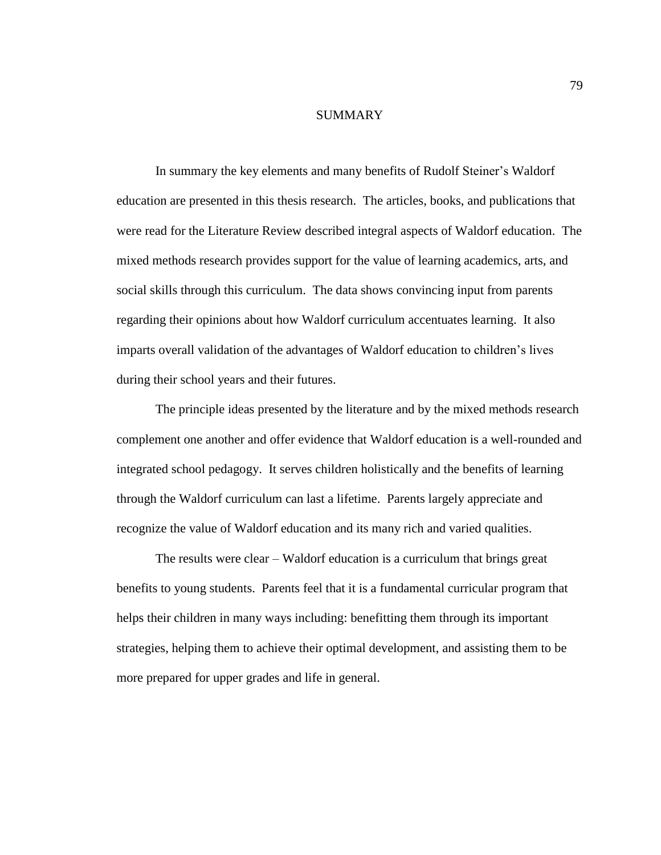### SUMMARY

In summary the key elements and many benefits of Rudolf Steiner's Waldorf education are presented in this thesis research. The articles, books, and publications that were read for the Literature Review described integral aspects of Waldorf education. The mixed methods research provides support for the value of learning academics, arts, and social skills through this curriculum. The data shows convincing input from parents regarding their opinions about how Waldorf curriculum accentuates learning. It also imparts overall validation of the advantages of Waldorf education to children's lives during their school years and their futures.

The principle ideas presented by the literature and by the mixed methods research complement one another and offer evidence that Waldorf education is a well-rounded and integrated school pedagogy. It serves children holistically and the benefits of learning through the Waldorf curriculum can last a lifetime. Parents largely appreciate and recognize the value of Waldorf education and its many rich and varied qualities.

The results were clear – Waldorf education is a curriculum that brings great benefits to young students. Parents feel that it is a fundamental curricular program that helps their children in many ways including: benefitting them through its important strategies, helping them to achieve their optimal development, and assisting them to be more prepared for upper grades and life in general.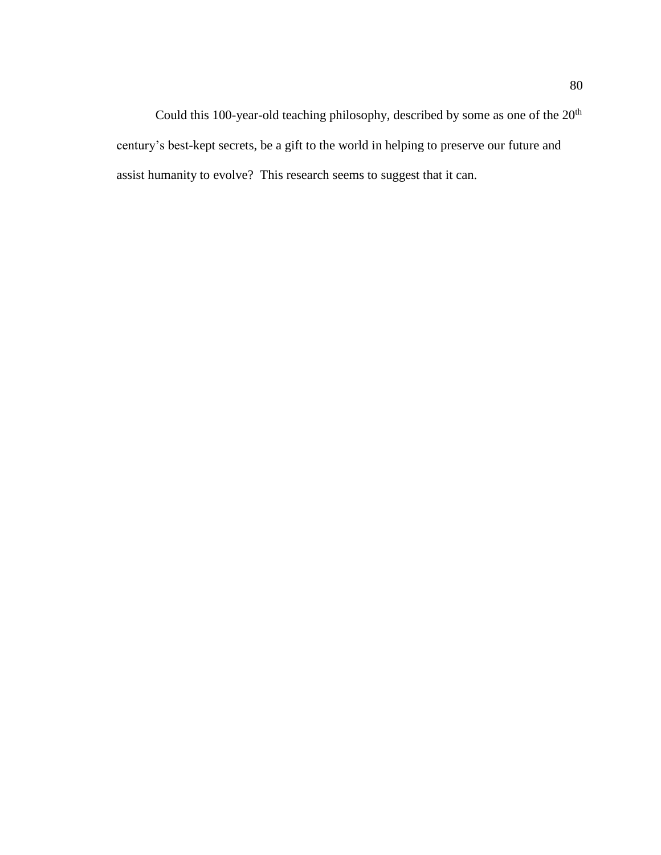Could this 100-year-old teaching philosophy, described by some as one of the  $20<sup>th</sup>$ century's best-kept secrets, be a gift to the world in helping to preserve our future and assist humanity to evolve? This research seems to suggest that it can.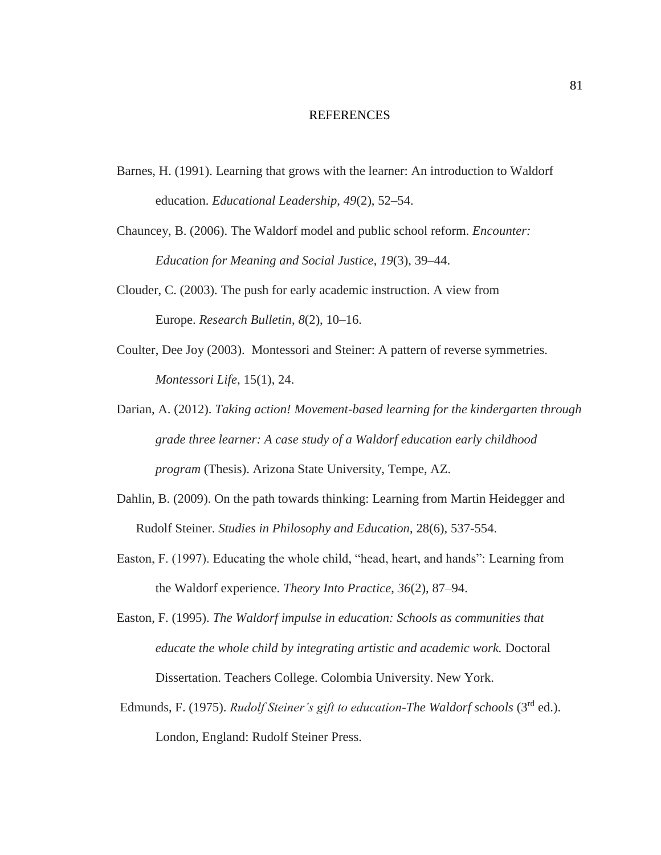#### REFERENCES

Barnes, H. (1991). Learning that grows with the learner: An introduction to Waldorf education. *Educational Leadership*, *49*(2), 52–54.

Chauncey, B. (2006). The Waldorf model and public school reform. *Encounter: Education for Meaning and Social Justice*, *19*(3), 39–44.

- Clouder, C. (2003). The push for early academic instruction. A view from Europe. *Research Bulletin*, *8*(2), 10–16.
- Coulter, Dee Joy (2003). Montessori and Steiner: A pattern of reverse symmetries. *Montessori Life*, 15(1), 24.
- Darian, A. (2012). *Taking action! Movement-based learning for the kindergarten through grade three learner: A case study of a Waldorf education early childhood program* (Thesis). Arizona State University, Tempe, AZ.
- Dahlin, B. (2009). On the path towards thinking: Learning from Martin Heidegger and Rudolf Steiner. *Studies in Philosophy and Education*, 28(6), 537-554.
- Easton, F. (1997). Educating the whole child, "head, heart, and hands": Learning from the Waldorf experience. *Theory Into Practice*, *36*(2), 87–94.
- Easton, F. (1995). *The Waldorf impulse in education: Schools as communities that educate the whole child by integrating artistic and academic work.* Doctoral Dissertation. Teachers College. Colombia University. New York.
- Edmunds, F. (1975). *Rudolf Steiner's gift to education-The Waldorf schools* (3rd ed.). London, England: Rudolf Steiner Press.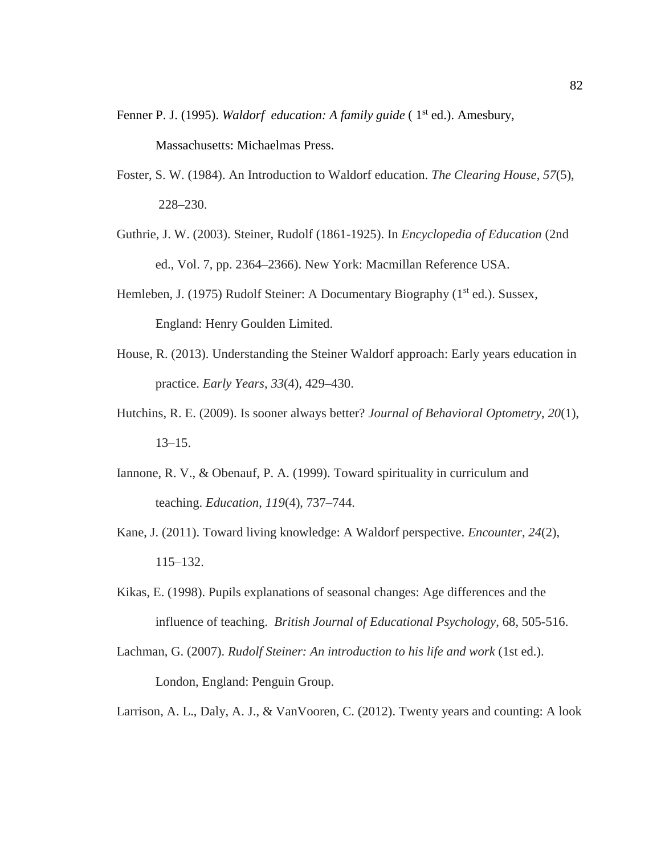- Fenner P. J. (1995). *Waldorf education: A family guide* (1<sup>st</sup> ed.). Amesbury, Massachusetts: Michaelmas Press.
- Foster, S. W. (1984). An Introduction to Waldorf education. *The Clearing House*, *57*(5), 228–230.
- Guthrie, J. W. (2003). Steiner, Rudolf (1861-1925). In *Encyclopedia of Education* (2nd ed., Vol. 7, pp. 2364–2366). New York: Macmillan Reference USA.
- Hemleben, J. (1975) Rudolf Steiner: A Documentary Biography (1<sup>st</sup> ed.). Sussex, England: Henry Goulden Limited.
- House, R. (2013). Understanding the Steiner Waldorf approach: Early years education in practice. *Early Years*, *33*(4), 429–430.
- Hutchins, R. E. (2009). Is sooner always better? *Journal of Behavioral Optometry*, *20*(1), 13–15.
- Iannone, R. V., & Obenauf, P. A. (1999). Toward spirituality in curriculum and teaching. *Education*, *119*(4), 737–744.
- Kane, J. (2011). Toward living knowledge: A Waldorf perspective. *Encounter*, *24*(2), 115–132.
- Kikas, E. (1998). Pupils explanations of seasonal changes: Age differences and the influence of teaching. *British Journal of Educational Psychology*, 68, 505-516.
- Lachman, G. (2007). *Rudolf Steiner: An introduction to his life and work* (1st ed.). London, England: Penguin Group.

Larrison, A. L., Daly, A. J., & VanVooren, C. (2012). Twenty years and counting: A look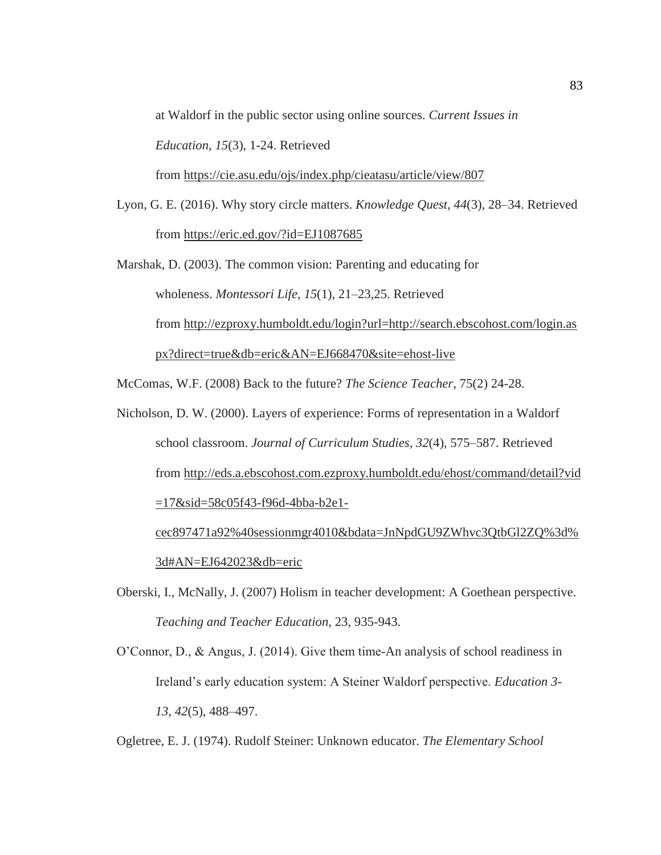at Waldorf in the public sector using online sources. *Current Issues in* 

*Education*, *15*(3), 1-24. Retrieved

from <https://cie.asu.edu/ojs/index.php/cieatasu/article/view/807>

Lyon, G. E. (2016). Why story circle matters. *Knowledge Quest*, *44*(3), 28–34. Retrieved from <https://eric.ed.gov/?id=EJ1087685>

Marshak, D. (2003). The common vision: Parenting and educating for wholeness. *Montessori Life*, *15*(1), 21–23,25. Retrieved from [http://ezproxy.humboldt.edu/login?url=http://search.ebscohost.com/login.as](http://ezproxy.humboldt.edu/login?url=http://search.ebscohost.com/login.aspx?direct=true&db=eric&AN=EJ668470&site=ehost-live) [px?direct=true&db=eric&AN=EJ668470&site=ehost-live](http://ezproxy.humboldt.edu/login?url=http://search.ebscohost.com/login.aspx?direct=true&db=eric&AN=EJ668470&site=ehost-live)

McComas, W.F. (2008) Back to the future? *The Science Teacher*, 75(2) 24-28.

Nicholson, D. W. (2000). Layers of experience: Forms of representation in a Waldorf school classroom. *Journal of Curriculum Studies*, *32*(4), 575–587. Retrieved from [http://eds.a.ebscohost.com.ezproxy.humboldt.edu/ehost/command/detail?vid](http://eds.a.ebscohost.com.ezproxy.humboldt.edu/ehost/command/detail?vid=17&sid=58c05f43-f96d-4bba-b2e1-cec897471a92%40sessionmgr4010&bdata=JnNpdGU9ZWhvc3QtbGl2ZQ%3d%3d#AN=EJ642023&db=eric) [=17&sid=58c05f43-f96d-4bba-b2e1](http://eds.a.ebscohost.com.ezproxy.humboldt.edu/ehost/command/detail?vid=17&sid=58c05f43-f96d-4bba-b2e1-cec897471a92%40sessionmgr4010&bdata=JnNpdGU9ZWhvc3QtbGl2ZQ%3d%3d#AN=EJ642023&db=eric) [cec897471a92%40sessionmgr4010&bdata=JnNpdGU9ZWhvc3QtbGl2ZQ%3d%](http://eds.a.ebscohost.com.ezproxy.humboldt.edu/ehost/command/detail?vid=17&sid=58c05f43-f96d-4bba-b2e1-cec897471a92%40sessionmgr4010&bdata=JnNpdGU9ZWhvc3QtbGl2ZQ%3d%3d#AN=EJ642023&db=eric)

[3d#AN=EJ642023&db=eric](http://eds.a.ebscohost.com.ezproxy.humboldt.edu/ehost/command/detail?vid=17&sid=58c05f43-f96d-4bba-b2e1-cec897471a92%40sessionmgr4010&bdata=JnNpdGU9ZWhvc3QtbGl2ZQ%3d%3d#AN=EJ642023&db=eric)

Oberski, I., McNally, J. (2007) Holism in teacher development: A Goethean perspective. *Teaching and Teacher Education,* 23, 935-943.

O'Connor, D., & Angus, J. (2014). Give them time-An analysis of school readiness in Ireland's early education system: A Steiner Waldorf perspective. *Education 3- 13*, *42*(5), 488–497.

Ogletree, E. J. (1974). Rudolf Steiner: Unknown educator. *The Elementary School*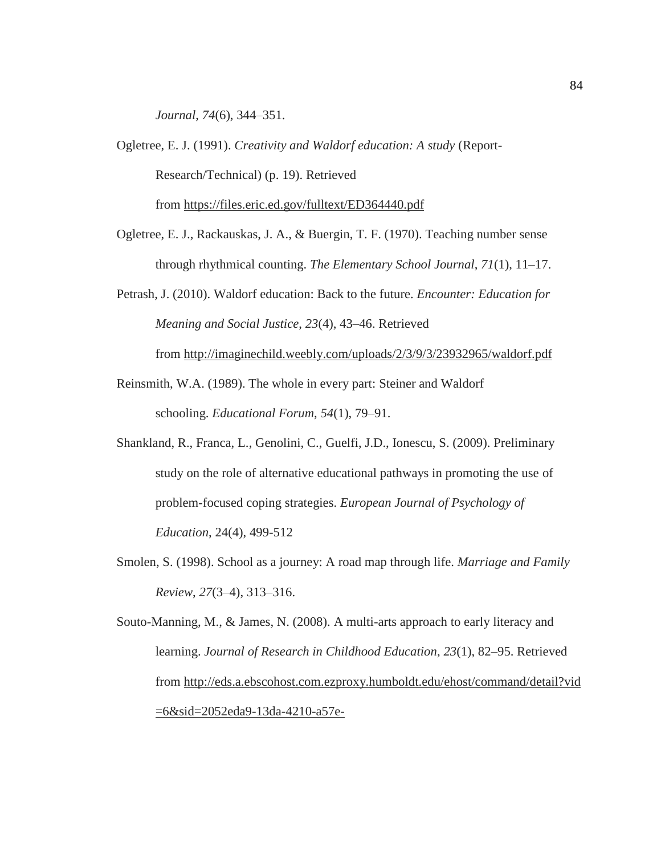*Journal*, *74*(6), 344–351.

- Ogletree, E. J. (1991). *Creativity and Waldorf education: A study* (Report-Research/Technical) (p. 19). Retrieved from <https://files.eric.ed.gov/fulltext/ED364440.pdf>
- Ogletree, E. J., Rackauskas, J. A., & Buergin, T. F. (1970). Teaching number sense through rhythmical counting. *The Elementary School Journal*, *71*(1), 11–17.
- Petrash, J. (2010). Waldorf education: Back to the future. *Encounter: Education for Meaning and Social Justice*, *23*(4), 43–46. Retrieved from <http://imaginechild.weebly.com/uploads/2/3/9/3/23932965/waldorf.pdf>
- Reinsmith, W.A. (1989). The whole in every part: Steiner and Waldorf schooling. *Educational Forum*, *54*(1), 79–91.
- Shankland, R., Franca, L., Genolini, C., Guelfi, J.D., Ionescu, S. (2009). Preliminary study on the role of alternative educational pathways in promoting the use of problem-focused coping strategies. *European Journal of Psychology of Education*, 24(4), 499-512
- Smolen, S. (1998). School as a journey: A road map through life. *Marriage and Family Review*, *27*(3–4), 313–316.

Souto-Manning, M., & James, N. (2008). A multi-arts approach to early literacy and learning. *Journal of Research in Childhood Education*, *23*(1), 82–95. Retrieved from [http://eds.a.ebscohost.com.ezproxy.humboldt.edu/ehost/command/detail?vid](http://eds.a.ebscohost.com.ezproxy.humboldt.edu/ehost/command/detail?vid=6&sid=2052eda9-13da-4210-a57e-ca4d2dad0436%40sessionmgr4008&bdata=JnNpdGU9ZWhvc3QtbGl2ZQ%3d%3d#AN=EJ818681&db=eric) [=6&sid=2052eda9-13da-4210-a57e-](http://eds.a.ebscohost.com.ezproxy.humboldt.edu/ehost/command/detail?vid=6&sid=2052eda9-13da-4210-a57e-ca4d2dad0436%40sessionmgr4008&bdata=JnNpdGU9ZWhvc3QtbGl2ZQ%3d%3d#AN=EJ818681&db=eric)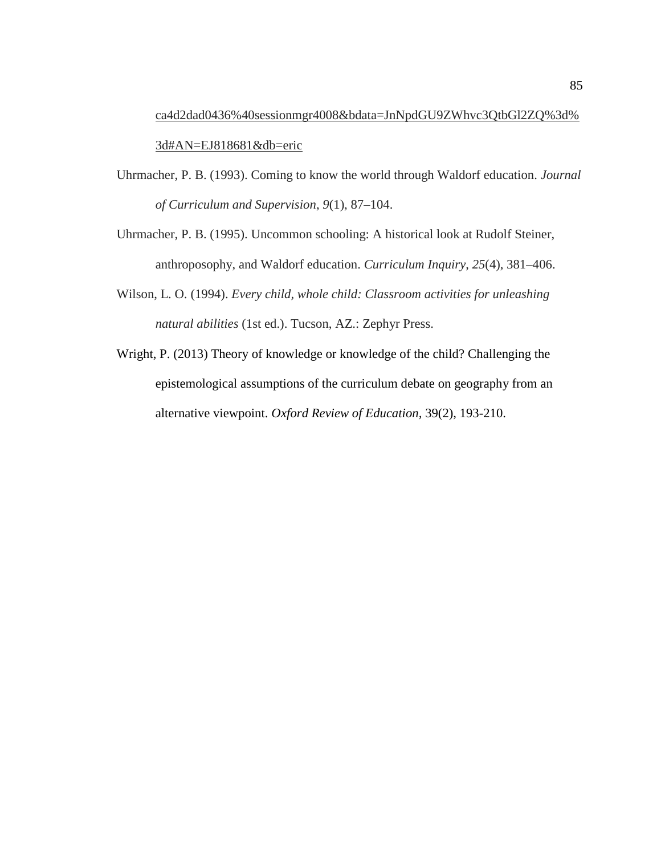[ca4d2dad0436%40sessionmgr4008&bdata=JnNpdGU9ZWhvc3QtbGl2ZQ%3d%](http://eds.a.ebscohost.com.ezproxy.humboldt.edu/ehost/command/detail?vid=6&sid=2052eda9-13da-4210-a57e-ca4d2dad0436%40sessionmgr4008&bdata=JnNpdGU9ZWhvc3QtbGl2ZQ%3d%3d#AN=EJ818681&db=eric) [3d#AN=EJ818681&db=eric](http://eds.a.ebscohost.com.ezproxy.humboldt.edu/ehost/command/detail?vid=6&sid=2052eda9-13da-4210-a57e-ca4d2dad0436%40sessionmgr4008&bdata=JnNpdGU9ZWhvc3QtbGl2ZQ%3d%3d#AN=EJ818681&db=eric)

- Uhrmacher, P. B. (1993). Coming to know the world through Waldorf education. *Journal of Curriculum and Supervision*, *9*(1), 87–104.
- Uhrmacher, P. B. (1995). Uncommon schooling: A historical look at Rudolf Steiner, anthroposophy, and Waldorf education. *Curriculum Inquiry*, *25*(4), 381–406.
- Wilson, L. O. (1994). *Every child, whole child: Classroom activities for unleashing natural abilities* (1st ed.). Tucson, AZ.: Zephyr Press.
- Wright, P. (2013) Theory of knowledge or knowledge of the child? Challenging the epistemological assumptions of the curriculum debate on geography from an alternative viewpoint. *Oxford Review of Education,* 39(2), 193-210.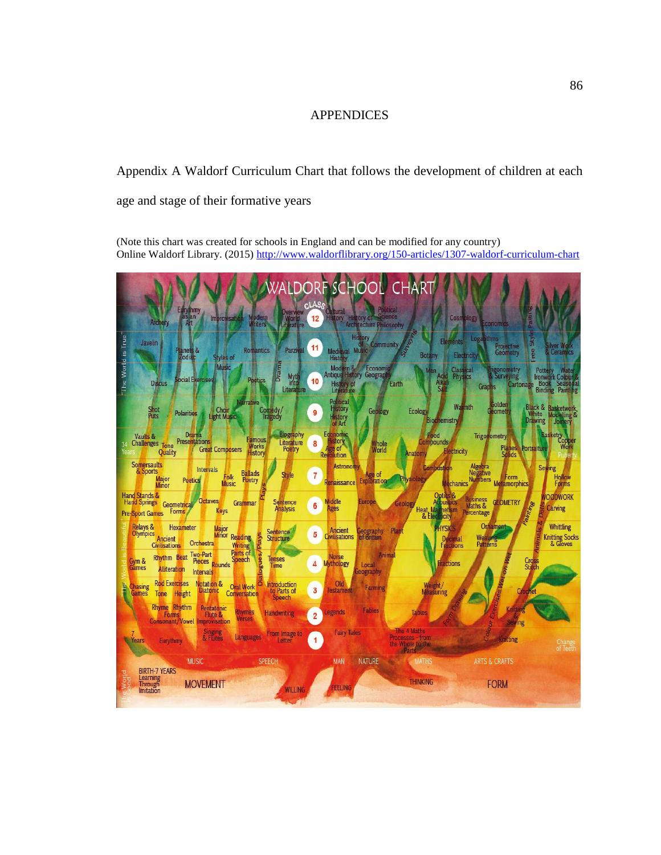## APPENDICES

# Appendix A Waldorf Curriculum Chart that follows the development of children at each age and stage of their formative years

(Note this chart was created for schools in England and can be modified for any country) Online Waldorf Library. (2015[\) http://www.waldorflibrary.org/150-articles/1307-waldorf-curriculum-chart](http://www.waldorflibrary.org/150-articles/1307-waldorf-curriculum-chart)

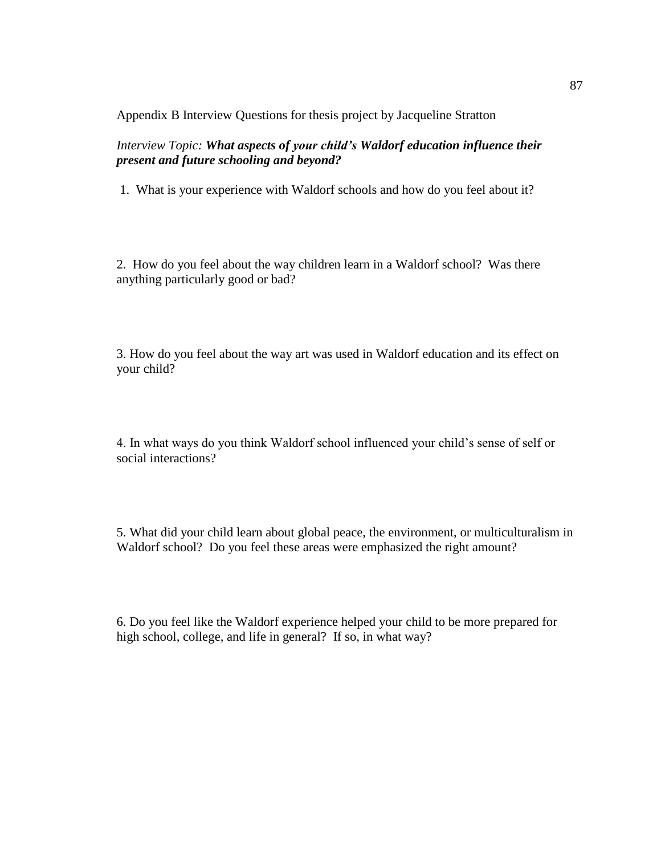Appendix B Interview Questions for thesis project by Jacqueline Stratton

*Interview Topic: What aspects of your child's Waldorf education influence their present and future schooling and beyond?*

1. What is your experience with Waldorf schools and how do you feel about it?

2. How do you feel about the way children learn in a Waldorf school? Was there anything particularly good or bad?

3. How do you feel about the way art was used in Waldorf education and its effect on your child?

4. In what ways do you think Waldorf school influenced your child's sense of self or social interactions?

5. What did your child learn about global peace, the environment, or multiculturalism in Waldorf school? Do you feel these areas were emphasized the right amount?

6. Do you feel like the Waldorf experience helped your child to be more prepared for high school, college, and life in general? If so, in what way?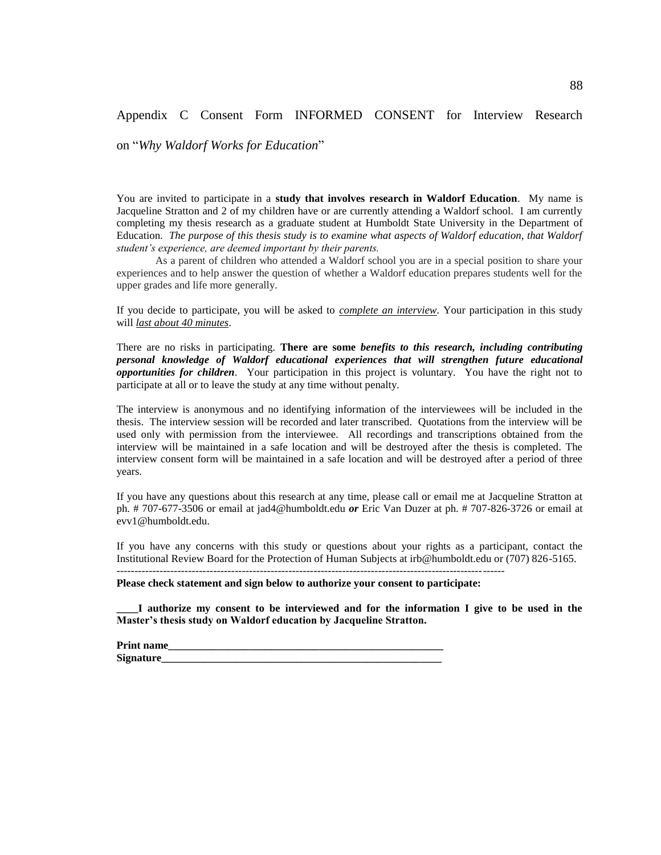## Appendix C Consent Form INFORMED CONSENT for Interview Research

on "*Why Waldorf Works for Education*"

You are invited to participate in a **study that involves research in Waldorf Education**. My name is Jacqueline Stratton and 2 of my children have or are currently attending a Waldorf school. I am currently completing my thesis research as a graduate student at Humboldt State University in the Department of Education. *The purpose of this thesis study is to examine what aspects of Waldorf education, that Waldorf student's experience, are deemed important by their parents.* 

As a parent of children who attended a Waldorf school you are in a special position to share your experiences and to help answer the question of whether a Waldorf education prepares students well for the upper grades and life more generally.

If you decide to participate, you will be asked to *complete an interview*. Your participation in this study will *last about 40 minutes*.

There are no risks in participating. **There are some** *benefits to this research, including contributing personal knowledge of Waldorf educational experiences that will strengthen future educational opportunities for children*. Your participation in this project is voluntary. You have the right not to participate at all or to leave the study at any time without penalty.

The interview is anonymous and no identifying information of the interviewees will be included in the thesis. The interview session will be recorded and later transcribed. Quotations from the interview will be used only with permission from the interviewee. All recordings and transcriptions obtained from the interview will be maintained in a safe location and will be destroyed after the thesis is completed. The interview consent form will be maintained in a safe location and will be destroyed after a period of three years.

If you have any questions about this research at any time, please call or email me at Jacqueline Stratton at ph. # 707-677-3506 or email at jad4@humboldt.edu *or* Eric Van Duzer at ph. # 707-826-3726 or email at evv1@humboldt.edu.

If you have any concerns with this study or questions about your rights as a participant, contact the Institutional Review Board for the Protection of Human Subjects at irb@humboldt.edu or (707) 826-5165.

**Please check statement and sign below to authorize your consent to participate:**

------------------------------------------------------------------------------------------------------------

**\_\_\_\_I authorize my consent to be interviewed and for the information I give to be used in the Master's thesis study on Waldorf education by Jacqueline Stratton.**

**Print name\_\_\_\_\_\_\_\_\_\_\_\_\_\_\_\_\_\_\_\_\_\_\_\_\_\_\_\_\_\_\_\_\_\_\_\_\_\_\_\_\_\_\_\_\_\_\_\_\_\_\_**  Signature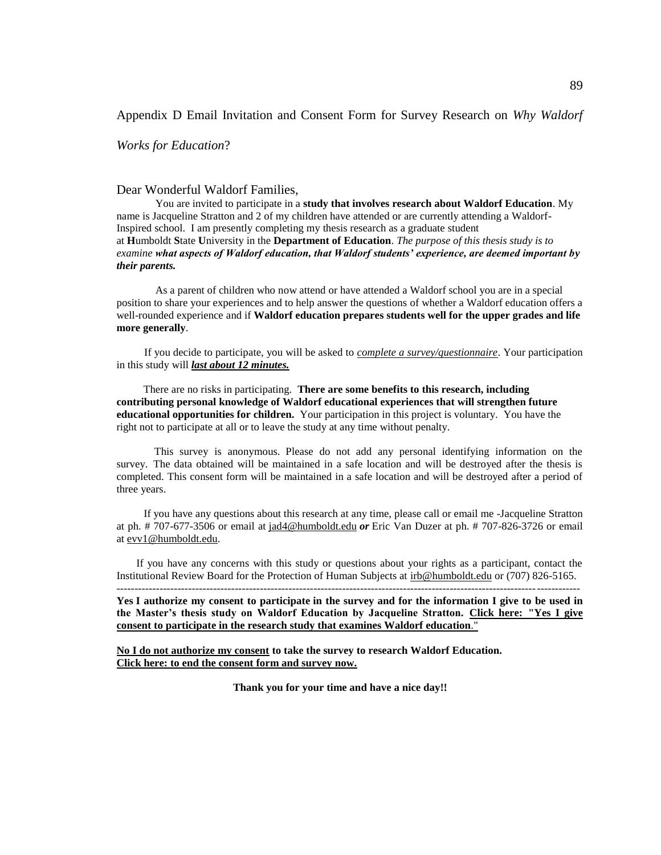### Appendix D Email Invitation and Consent Form for Survey Research on *Why Waldorf*

*Works for Education*?

#### Dear Wonderful Waldorf Families,

You are invited to participate in a **study that involves research about Waldorf Education**. My name is Jacqueline Stratton and 2 of my children have attended or are currently attending a Waldorf-Inspired school. I am presently completing my thesis research as a graduate student at **H**umboldt **S**tate **U**niversity in the **Department of Education**. *The purpose of this thesis study is to examine what aspects of Waldorf education, that Waldorf students' experience, are deemed important by their parents.*

As a parent of children who now attend or have attended a Waldorf school you are in a special position to share your experiences and to help answer the questions of whether a Waldorf education offers a well-rounded experience and if **Waldorf education prepares students well for the upper grades and life more generally**.

If you decide to participate, you will be asked to *complete a survey/questionnaire*. Your participation in this study will *last about 12 minutes.*

There are no risks in participating. **There are some benefits to this research, including contributing personal knowledge of Waldorf educational experiences that will strengthen future educational opportunities for children.** Your participation in this project is voluntary. You have the right not to participate at all or to leave the study at any time without penalty.

This survey is anonymous. Please do not add any personal identifying information on the survey. The data obtained will be maintained in a safe location and will be destroyed after the thesis is completed. This consent form will be maintained in a safe location and will be destroyed after a period of three years.

If you have any questions about this research at any time, please call or email me -Jacqueline Stratton at ph. # 707-677-3506 or email at [jad4@humboldt.edu](mailto:jad4@humboldt.edu) *or* Eric Van Duzer at ph. # 707-826-3726 or email at [evv1@humboldt.edu.](mailto:evv1@humboldt.edu)

If you have any concerns with this study or questions about your rights as a participant, contact the Institutional Review Board for the Protection of Human Subjects at [irb@humboldt.edu](mailto:irb@humboldt.edu) or (707) 826-5165. ---------------------------------------------------------------------------------------------------------------------------------

**Yes I authorize my consent to participate in the survey and for the information I give to be used in the Master's thesis study on Waldorf Education by Jacqueline Stratton. [Click here: "Yes I give](https://docs.google.com/forms/d/e/1FAIpQLSeEZtoZwk3yP3tPddPQh8sfzoE9oaZqpCBFH752hIVLe41FOA/viewform)  [consent to participate in the research study that examines Waldorf education](https://docs.google.com/forms/d/e/1FAIpQLSeEZtoZwk3yP3tPddPQh8sfzoE9oaZqpCBFH752hIVLe41FOA/viewform)**."

**No I do not authorize my consent to take the survey to research Waldorf Education. [Click here: to end the consent form and survey now.](https://docs.google.com/forms/d/e/1FAIpQLSckEER1NPMStPsxUuseSyzm5kce1ScpZR5Fna2Pelxz_dzuzg/viewform)**

**Thank you for your time and have a nice day!!**